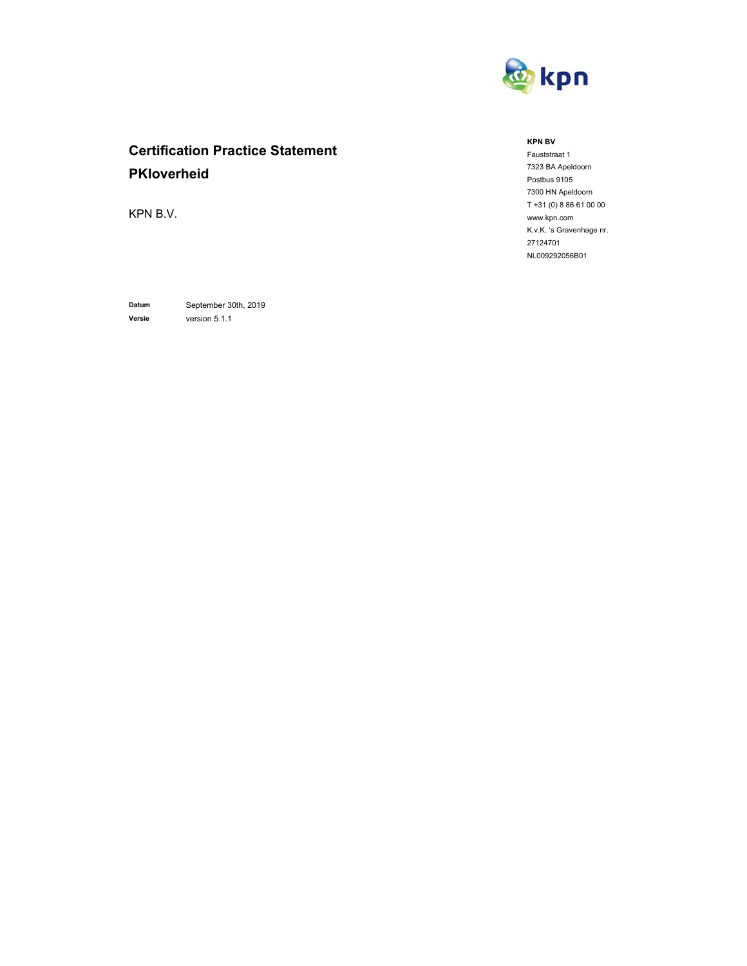

# **Certification Practice Statement PKIoverheid**

KPN B.V.

**Datum** September 30th, 2019 **Versie** version 5.1.1

#### **KPN BV**

Fauststraat 1 7323 BA Apeldoorn Postbus 9105 7300 HN Apeldoorn T +31 (0) 8 86 61 00 00 www.kpn.com K.v.K. 's Gravenhage nr. 27124701 NL009292056B01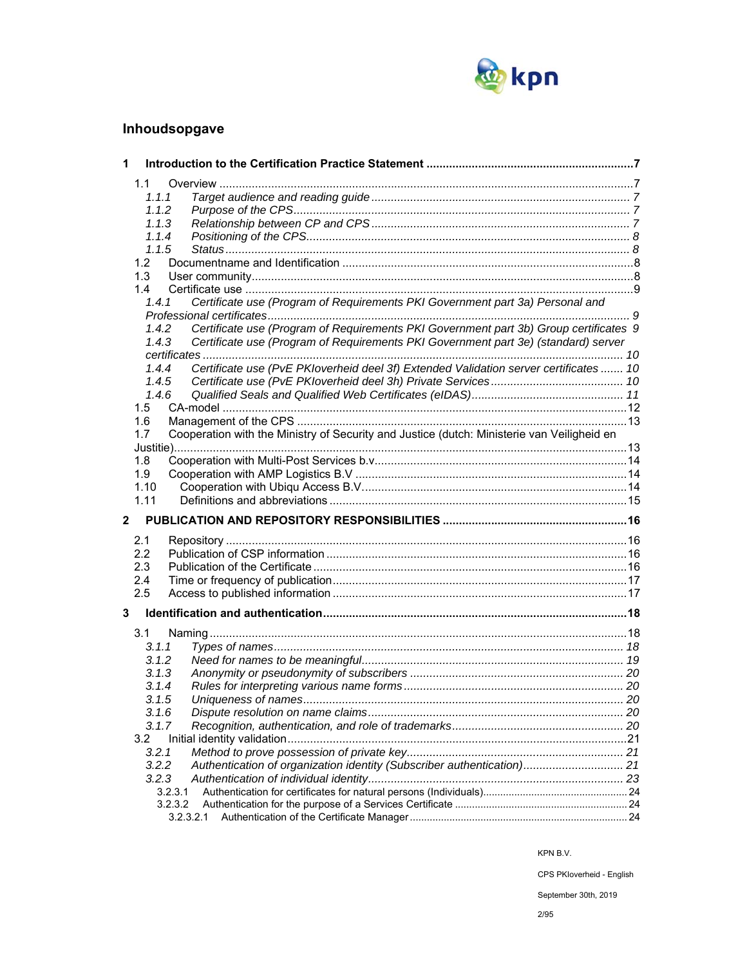

## **Inhoudsopgave**

| $\mathbf{1}$            |                                                                                                   |  |  |
|-------------------------|---------------------------------------------------------------------------------------------------|--|--|
|                         | 1.1                                                                                               |  |  |
|                         | 1.1.1                                                                                             |  |  |
|                         | 1.1.2                                                                                             |  |  |
|                         | 1.1.3                                                                                             |  |  |
|                         | 1.1.4                                                                                             |  |  |
|                         | 1.1.5                                                                                             |  |  |
|                         | 1.2                                                                                               |  |  |
|                         | 1.3                                                                                               |  |  |
|                         | 1.4                                                                                               |  |  |
|                         | Certificate use (Program of Requirements PKI Government part 3a) Personal and<br>1.4.1            |  |  |
|                         |                                                                                                   |  |  |
|                         | Certificate use (Program of Requirements PKI Government part 3b) Group certificates 9<br>1.4.2    |  |  |
|                         | Certificate use (Program of Requirements PKI Government part 3e) (standard) server<br>1.4.3       |  |  |
|                         | Certificate use (PvE PKloverheid deel 3f) Extended Validation server certificates  10<br>1.4.4    |  |  |
|                         | 1.4.5                                                                                             |  |  |
|                         | 1.4.6                                                                                             |  |  |
|                         | $1.5^{\circ}$                                                                                     |  |  |
|                         | 1.6                                                                                               |  |  |
|                         | Cooperation with the Ministry of Security and Justice (dutch: Ministerie van Veiligheid en<br>1.7 |  |  |
|                         |                                                                                                   |  |  |
|                         | 1.8                                                                                               |  |  |
|                         | 1.9                                                                                               |  |  |
|                         | 1.10                                                                                              |  |  |
|                         | 1.11                                                                                              |  |  |
| $\overline{\mathbf{2}}$ |                                                                                                   |  |  |
|                         |                                                                                                   |  |  |
|                         | 2.1                                                                                               |  |  |
|                         | 2.2<br>2.3                                                                                        |  |  |
|                         | 2.4                                                                                               |  |  |
|                         | 2.5                                                                                               |  |  |
|                         |                                                                                                   |  |  |
| 3                       |                                                                                                   |  |  |
|                         | 3.1                                                                                               |  |  |
|                         | 3.1.1                                                                                             |  |  |
|                         | 3.1.2                                                                                             |  |  |
|                         | 3.1.3                                                                                             |  |  |
|                         | 3.1.4                                                                                             |  |  |
|                         | 3.1.5                                                                                             |  |  |
|                         | 3.1.6                                                                                             |  |  |
|                         | 3.1.7                                                                                             |  |  |
|                         | 3.2                                                                                               |  |  |
|                         | 3.2.1                                                                                             |  |  |
|                         | Authentication of organization identity (Subscriber authentication) 21<br>3.2.2                   |  |  |
|                         | 3.2.3                                                                                             |  |  |
|                         | 3.2.3.1                                                                                           |  |  |
|                         | 3.2.3.2                                                                                           |  |  |
|                         | 3.2.3.2.1                                                                                         |  |  |

KPN B.V.

CPS PKIoverheid - English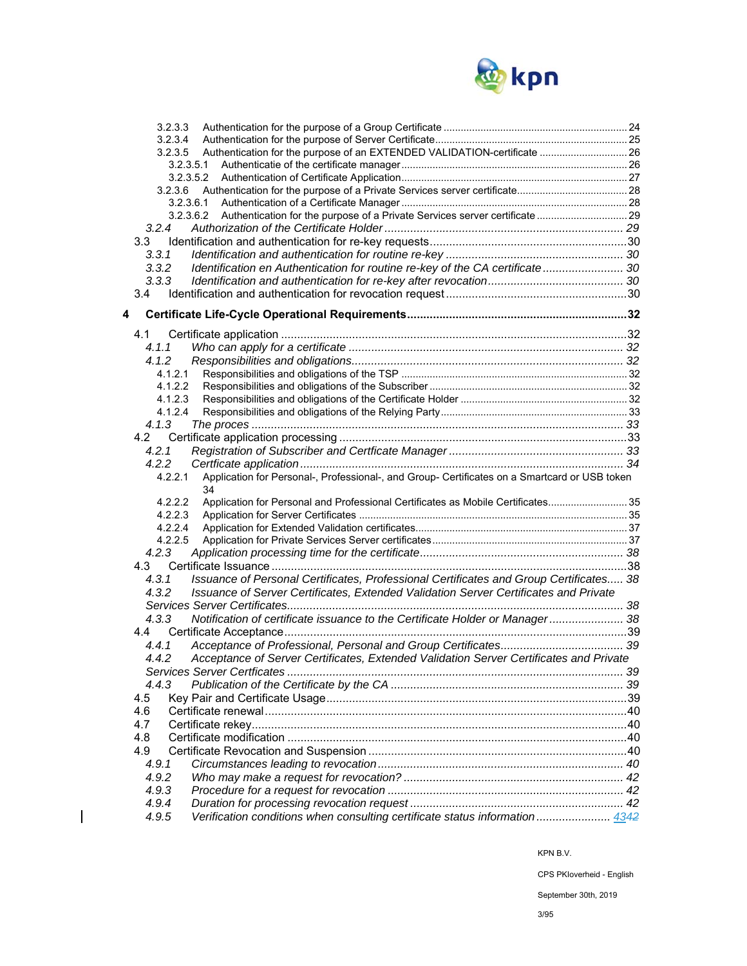

|   | 3.2.3.3                                                                                                  |  |
|---|----------------------------------------------------------------------------------------------------------|--|
|   | 3.2.3.4                                                                                                  |  |
|   | Authentication for the purpose of an EXTENDED VALIDATION-certificate  26<br>3.2.3.5                      |  |
|   | 3.2.3.5.1                                                                                                |  |
|   | 3.2.3.5.2                                                                                                |  |
|   | 3.2.3.6                                                                                                  |  |
|   | 3.2.3.6.1                                                                                                |  |
|   | Authentication for the purpose of a Private Services server certificate  29<br>3.2.3.6.2                 |  |
|   | 3.2.4                                                                                                    |  |
|   | 3.3                                                                                                      |  |
|   | 3.3.1                                                                                                    |  |
|   | Identification en Authentication for routine re-key of the CA certificate 30<br>3.3.2                    |  |
|   | 3.3.3                                                                                                    |  |
|   | 3.4                                                                                                      |  |
|   |                                                                                                          |  |
| 4 |                                                                                                          |  |
|   | 4.1                                                                                                      |  |
|   | 4.1.1                                                                                                    |  |
|   | 4.1.2                                                                                                    |  |
|   |                                                                                                          |  |
|   | 4.1.2.2                                                                                                  |  |
|   | 4.1.2.3                                                                                                  |  |
|   | 4.1.2.4                                                                                                  |  |
|   | 4.1.3                                                                                                    |  |
|   | 4.2                                                                                                      |  |
|   | 4.2.1                                                                                                    |  |
|   | 4.2.2                                                                                                    |  |
|   |                                                                                                          |  |
|   |                                                                                                          |  |
|   | Application for Personal-, Professional-, and Group- Certificates on a Smartcard or USB token<br>4.2.2.1 |  |
|   | 34                                                                                                       |  |
|   | Application for Personal and Professional Certificates as Mobile Certificates 35<br>4.2.2.2              |  |
|   | 4.2.2.3                                                                                                  |  |
|   | 4.2.2.4                                                                                                  |  |
|   | 4.2.2.5                                                                                                  |  |
|   | 4.2.3                                                                                                    |  |
|   | 4.3                                                                                                      |  |
|   | Issuance of Personal Certificates, Professional Certificates and Group Certificates 38<br>4.3.1          |  |
|   | Issuance of Server Certificates, Extended Validation Server Certificates and Private<br>4.3.2            |  |
|   |                                                                                                          |  |
|   | Notification of certificate issuance to the Certificate Holder or Manager 38<br>4.3.3                    |  |
|   | 4.4                                                                                                      |  |
|   | 4.4.1                                                                                                    |  |
|   | Acceptance of Server Certificates, Extended Validation Server Certificates and Private<br>4.4.2          |  |
|   |                                                                                                          |  |
|   | 4.4.3                                                                                                    |  |
|   | 4.5                                                                                                      |  |
|   | 4.6                                                                                                      |  |
|   | 4.7                                                                                                      |  |
|   | 4.8                                                                                                      |  |
|   | 4.9                                                                                                      |  |
|   | 4.9.1                                                                                                    |  |
|   | 4.9.2                                                                                                    |  |
|   | 4.9.3                                                                                                    |  |
|   | 4.9.4<br>Verification conditions when consulting certificate status information 4342                     |  |

 $\overline{1}$ 

KPN B.V.

CPS PKIoverheid - English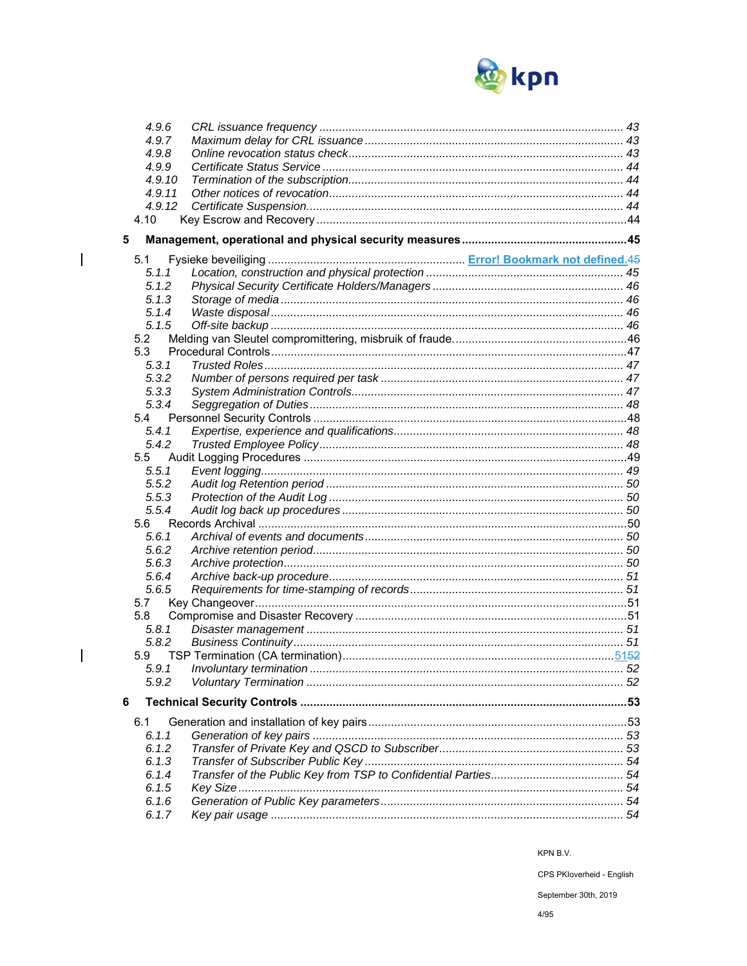

| 4.9.6  |  |
|--------|--|
| 4.9.7  |  |
| 4.9.8  |  |
| 4.9.9  |  |
| 4.9.10 |  |
| 4.9.11 |  |
| 4.9.12 |  |
| 4.10   |  |
| 5      |  |
| 5.1    |  |
| 5.1.1  |  |
| 5.1.2  |  |
| 5.1.3  |  |
| 5.1.4  |  |
| 5.1.5  |  |
| 5.2    |  |
| 5.3    |  |
| 5.3.1  |  |
| 5.3.2  |  |
| 5.3.3  |  |
| 5.3.4  |  |
| 5.4    |  |
| 5.4.1  |  |
| 5.4.2  |  |
| 5.5    |  |
| 5.5.1  |  |
| 5.5.2  |  |
| 5.5.3  |  |
| 5.5.4  |  |
| 5.6    |  |
| 5.6.1  |  |
| 5.6.2  |  |
| 5.6.3  |  |
| 5.6.4  |  |
| 5.6.5  |  |
| 5.7    |  |
| 5.8    |  |
| 5.8.1  |  |
| 5.8.2  |  |
| 5.9    |  |
| 5.9.1  |  |
| 5.9.2  |  |
| 6      |  |
| 6.1    |  |
| 6.1.1  |  |
| 6.1.2  |  |
| 6.1.3  |  |
| 6.1.4  |  |
| 6.1.5  |  |
| 6.1.6  |  |
| 6.1.7  |  |
|        |  |

 $\overline{1}$ 

 $\begin{array}{c} \rule{0pt}{2ex} \rule{0pt}{2ex} \rule{0pt}{2ex} \rule{0pt}{2ex} \rule{0pt}{2ex} \rule{0pt}{2ex} \rule{0pt}{2ex} \rule{0pt}{2ex} \rule{0pt}{2ex} \rule{0pt}{2ex} \rule{0pt}{2ex} \rule{0pt}{2ex} \rule{0pt}{2ex} \rule{0pt}{2ex} \rule{0pt}{2ex} \rule{0pt}{2ex} \rule{0pt}{2ex} \rule{0pt}{2ex} \rule{0pt}{2ex} \rule{0pt}{2ex} \rule{0pt}{2ex} \rule{0pt}{2ex} \rule{0pt}{2ex} \rule{0pt}{$ 

KPN B.V.

CPS PKloverheid - English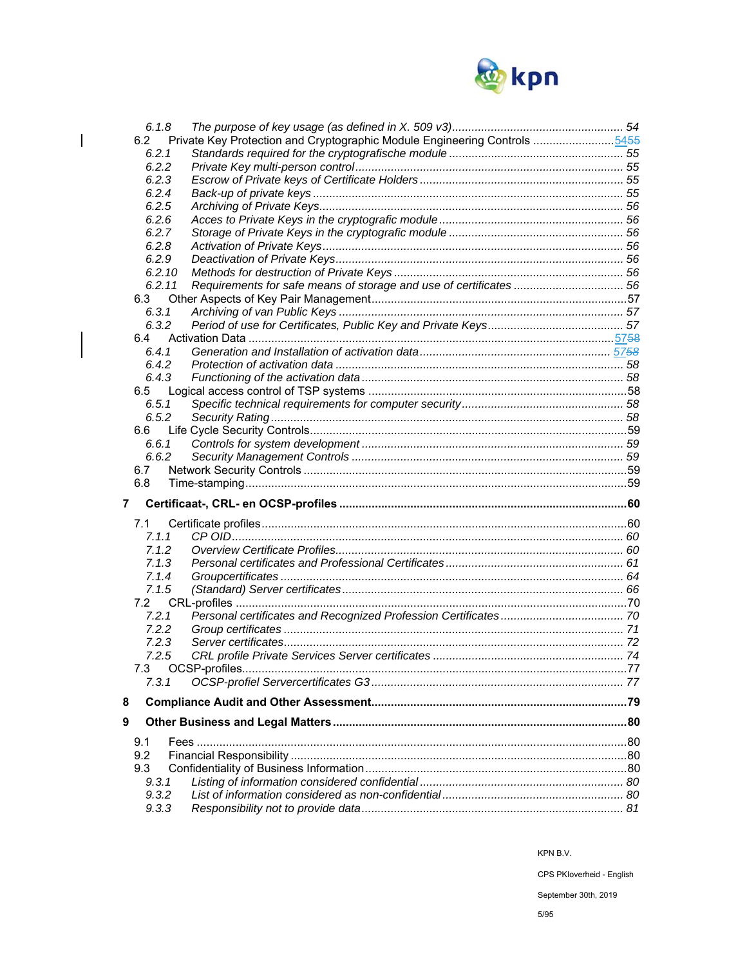

| 6.1.8   |                                                                           |  |
|---------|---------------------------------------------------------------------------|--|
| 6.2     | Private Key Protection and Cryptographic Module Engineering Controls 5455 |  |
| 6.2.1   |                                                                           |  |
| 6.2.2   |                                                                           |  |
| 6.2.3   |                                                                           |  |
| 6.2.4   |                                                                           |  |
| 6.2.5   |                                                                           |  |
| 6.2.6   |                                                                           |  |
| 6.2.7   |                                                                           |  |
| 6.2.8   |                                                                           |  |
| 6.2.9   |                                                                           |  |
| 6.2.10  |                                                                           |  |
| 6.2.11  | Requirements for safe means of storage and use of certificates  56        |  |
|         |                                                                           |  |
| 6, 3, 1 |                                                                           |  |
| 6.3.2   |                                                                           |  |
| 6.4     |                                                                           |  |
| 6.4.1   |                                                                           |  |
| 6.4.2   |                                                                           |  |
| 6.4.3   |                                                                           |  |
| 6.5     |                                                                           |  |
| 6.5.1   |                                                                           |  |
| 6.5.2   |                                                                           |  |
| 6.6     |                                                                           |  |
| 6.6.1   |                                                                           |  |
| 6.6.2   |                                                                           |  |
| 6.7     |                                                                           |  |
| 6.8     |                                                                           |  |
|         |                                                                           |  |
| 7       |                                                                           |  |
| 7.1     |                                                                           |  |
| 7.1.1   |                                                                           |  |
| 7.1.2   |                                                                           |  |
| 7.1.3   |                                                                           |  |
| 7.1.4   |                                                                           |  |
| 7.1.5   |                                                                           |  |
| 7.2     |                                                                           |  |
| 7.2.1   |                                                                           |  |
| 7.2.2   |                                                                           |  |
| 7.2.3   |                                                                           |  |
| 7.2.5   |                                                                           |  |
| 7.3     |                                                                           |  |
| 7.3.1   |                                                                           |  |
|         |                                                                           |  |
| 8       |                                                                           |  |
| 9       |                                                                           |  |
| 9.1     |                                                                           |  |
| 9.2     |                                                                           |  |
| 9.3     |                                                                           |  |
| 9.3.1   |                                                                           |  |
|         |                                                                           |  |
| 9.3.2   |                                                                           |  |

 $\overline{\phantom{a}}$ 

CPS PKloverheid - English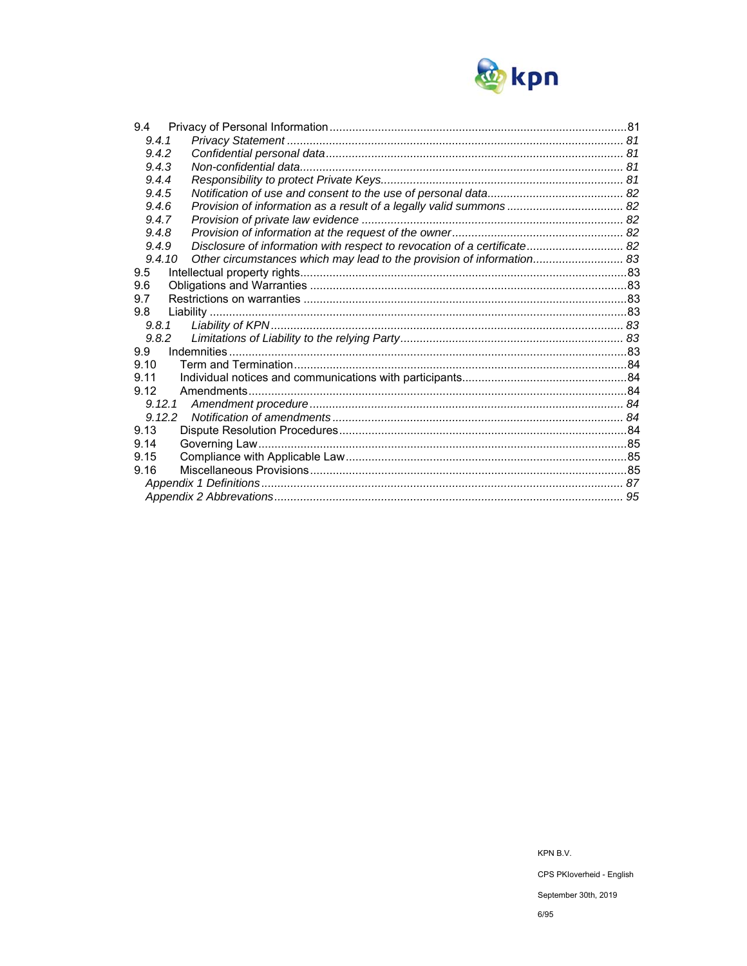

| 9.4                                                                               |  |
|-----------------------------------------------------------------------------------|--|
| 9.4.1                                                                             |  |
| 9.4.2                                                                             |  |
| 9.4.3                                                                             |  |
| 9.4.4                                                                             |  |
| 9.4.5                                                                             |  |
| 9.4.6                                                                             |  |
| 9.4.7                                                                             |  |
| 9.4.8                                                                             |  |
| Disclosure of information with respect to revocation of a certificate 82<br>9.4.9 |  |
| Other circumstances which may lead to the provision of information 83<br>9.4.10   |  |
| 9.5                                                                               |  |
| 9.6                                                                               |  |
| 9.7                                                                               |  |
| 9.8                                                                               |  |
| 9.8.1                                                                             |  |
| 9.8.2                                                                             |  |
| 9.9                                                                               |  |
| 9.10                                                                              |  |
| 9.11                                                                              |  |
| 9.12                                                                              |  |
| 9.12.1                                                                            |  |
|                                                                                   |  |
| 9.13                                                                              |  |
| 9.14                                                                              |  |
| 9.15                                                                              |  |
| 9.16                                                                              |  |
|                                                                                   |  |
|                                                                                   |  |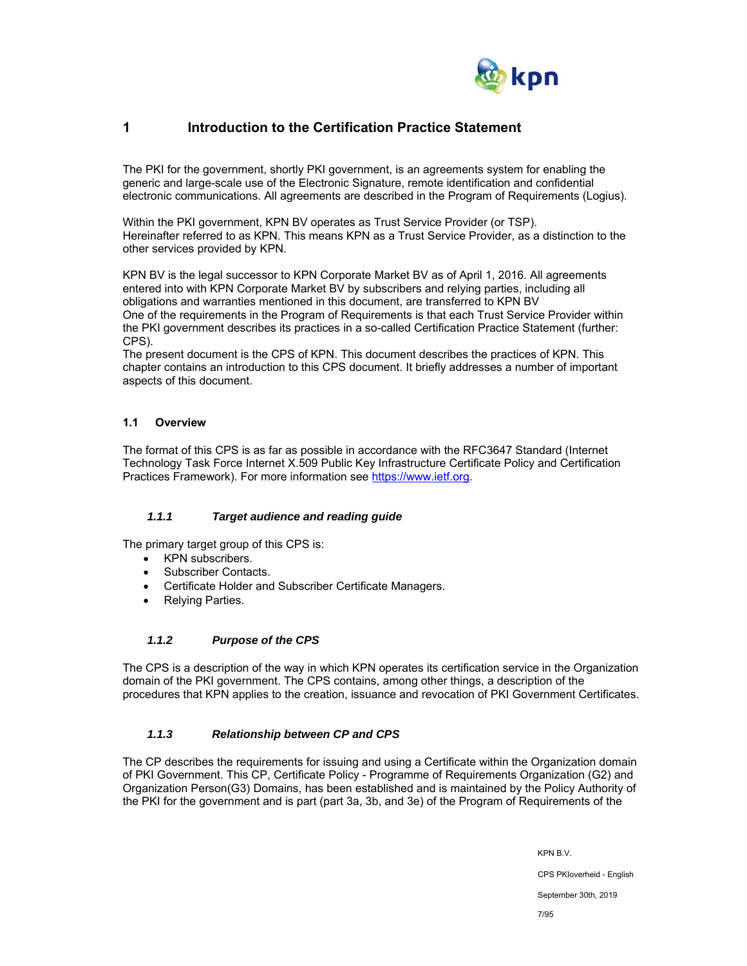

## **1 Introduction to the Certification Practice Statement**

The PKI for the government, shortly PKI government, is an agreements system for enabling the generic and large-scale use of the Electronic Signature, remote identification and confidential electronic communications. All agreements are described in the Program of Requirements (Logius).

Within the PKI government, KPN BV operates as Trust Service Provider (or TSP). Hereinafter referred to as KPN. This means KPN as a Trust Service Provider, as a distinction to the other services provided by KPN.

KPN BV is the legal successor to KPN Corporate Market BV as of April 1, 2016. All agreements entered into with KPN Corporate Market BV by subscribers and relying parties, including all obligations and warranties mentioned in this document, are transferred to KPN BV One of the requirements in the Program of Requirements is that each Trust Service Provider within the PKI government describes its practices in a so-called Certification Practice Statement (further: CPS).

The present document is the CPS of KPN. This document describes the practices of KPN. This chapter contains an introduction to this CPS document. It briefly addresses a number of important aspects of this document.

## **1.1 Overview**

The format of this CPS is as far as possible in accordance with the RFC3647 Standard (Internet Technology Task Force Internet X.509 Public Key Infrastructure Certificate Policy and Certification Practices Framework). For more information see https://www.ietf.org.

## *1.1.1 Target audience and reading guide*

The primary target group of this CPS is:

- KPN subscribers.
- Subscriber Contacts.
- Certificate Holder and Subscriber Certificate Managers.
- Relying Parties.

## *1.1.2 Purpose of the CPS*

The CPS is a description of the way in which KPN operates its certification service in the Organization domain of the PKI government. The CPS contains, among other things, a description of the procedures that KPN applies to the creation, issuance and revocation of PKI Government Certificates.

## *1.1.3 Relationship between CP and CPS*

The CP describes the requirements for issuing and using a Certificate within the Organization domain of PKI Government. This CP, Certificate Policy - Programme of Requirements Organization (G2) and Organization Person(G3) Domains, has been established and is maintained by the Policy Authority of the PKI for the government and is part (part 3a, 3b, and 3e) of the Program of Requirements of the

> KPN B.V. CPS PKIoverheid - English September 30th, 2019 7/95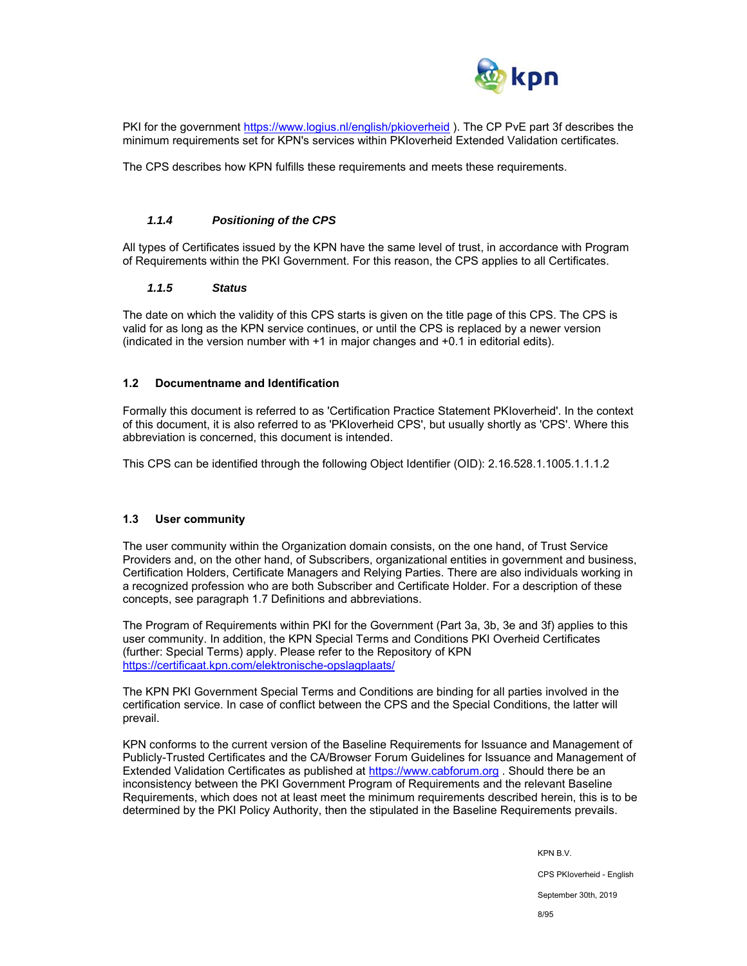

PKI for the government https://www.logius.nl/english/pkioverheid ). The CP PvE part 3f describes the minimum requirements set for KPN's services within PKIoverheid Extended Validation certificates.

The CPS describes how KPN fulfills these requirements and meets these requirements.

#### *1.1.4 Positioning of the CPS*

All types of Certificates issued by the KPN have the same level of trust, in accordance with Program of Requirements within the PKI Government. For this reason, the CPS applies to all Certificates.

#### *1.1.5 Status*

The date on which the validity of this CPS starts is given on the title page of this CPS. The CPS is valid for as long as the KPN service continues, or until the CPS is replaced by a newer version (indicated in the version number with +1 in major changes and +0.1 in editorial edits).

#### **1.2 Documentname and Identification**

Formally this document is referred to as 'Certification Practice Statement PKIoverheid'. In the context of this document, it is also referred to as 'PKIoverheid CPS', but usually shortly as 'CPS'. Where this abbreviation is concerned, this document is intended.

This CPS can be identified through the following Object Identifier (OID): 2.16.528.1.1005.1.1.1.2

#### **1.3 User community**

The user community within the Organization domain consists, on the one hand, of Trust Service Providers and, on the other hand, of Subscribers, organizational entities in government and business, Certification Holders, Certificate Managers and Relying Parties. There are also individuals working in a recognized profession who are both Subscriber and Certificate Holder. For a description of these concepts, see paragraph 1.7 Definitions and abbreviations.

The Program of Requirements within PKI for the Government (Part 3a, 3b, 3e and 3f) applies to this user community. In addition, the KPN Special Terms and Conditions PKI Overheid Certificates (further: Special Terms) apply. Please refer to the Repository of KPN https://certificaat.kpn.com/elektronische-opslagplaats/

The KPN PKI Government Special Terms and Conditions are binding for all parties involved in the certification service. In case of conflict between the CPS and the Special Conditions, the latter will prevail.

KPN conforms to the current version of the Baseline Requirements for Issuance and Management of Publicly-Trusted Certificates and the CA/Browser Forum Guidelines for Issuance and Management of Extended Validation Certificates as published at https://www.cabforum.org . Should there be an inconsistency between the PKI Government Program of Requirements and the relevant Baseline Requirements, which does not at least meet the minimum requirements described herein, this is to be determined by the PKI Policy Authority, then the stipulated in the Baseline Requirements prevails.

> KPN B.V. CPS PKIoverheid - English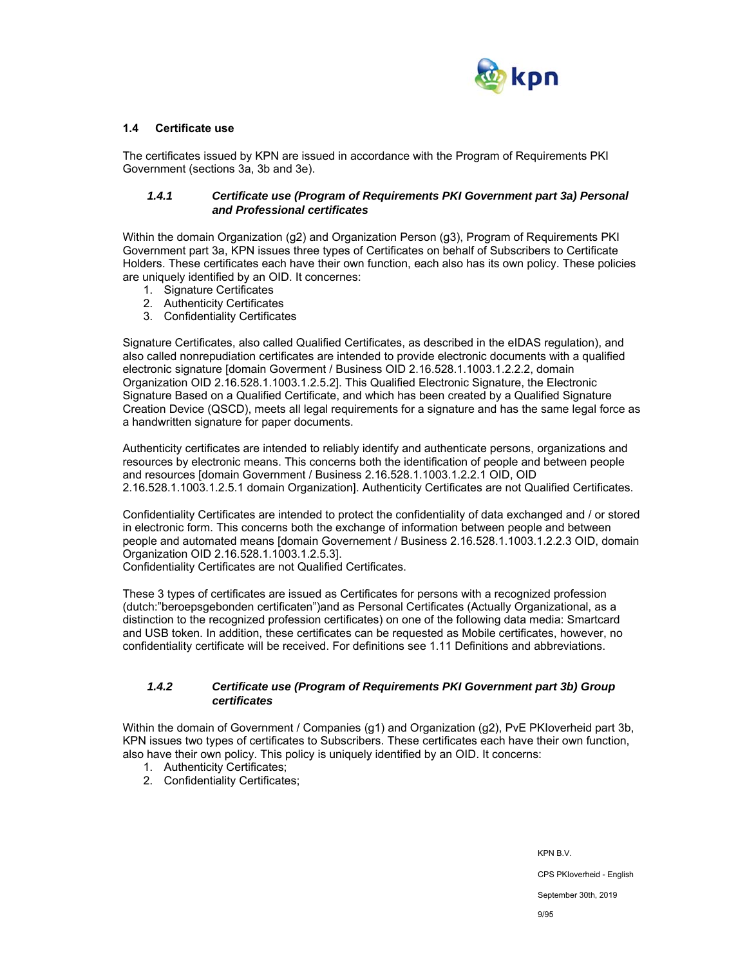

#### **1.4 Certificate use**

The certificates issued by KPN are issued in accordance with the Program of Requirements PKI Government (sections 3a, 3b and 3e).

#### *1.4.1 Certificate use (Program of Requirements PKI Government part 3a) Personal and Professional certificates*

Within the domain Organization (g2) and Organization Person (g3), Program of Requirements PKI Government part 3a, KPN issues three types of Certificates on behalf of Subscribers to Certificate Holders. These certificates each have their own function, each also has its own policy. These policies are uniquely identified by an OID. It concernes:

- 1. Signature Certificates
- 2. Authenticity Certificates
- 3. Confidentiality Certificates

Signature Certificates, also called Qualified Certificates, as described in the eIDAS regulation), and also called nonrepudiation certificates are intended to provide electronic documents with a qualified electronic signature [domain Goverment / Business OID 2.16.528.1.1003.1.2.2.2, domain Organization OID 2.16.528.1.1003.1.2.5.2]. This Qualified Electronic Signature, the Electronic Signature Based on a Qualified Certificate, and which has been created by a Qualified Signature Creation Device (QSCD), meets all legal requirements for a signature and has the same legal force as a handwritten signature for paper documents.

Authenticity certificates are intended to reliably identify and authenticate persons, organizations and resources by electronic means. This concerns both the identification of people and between people and resources [domain Government / Business 2.16.528.1.1003.1.2.2.1 OID, OID 2.16.528.1.1003.1.2.5.1 domain Organization]. Authenticity Certificates are not Qualified Certificates.

Confidentiality Certificates are intended to protect the confidentiality of data exchanged and / or stored in electronic form. This concerns both the exchange of information between people and between people and automated means [domain Governement / Business 2.16.528.1.1003.1.2.2.3 OID, domain Organization OID 2.16.528.1.1003.1.2.5.3].

Confidentiality Certificates are not Qualified Certificates.

These 3 types of certificates are issued as Certificates for persons with a recognized profession (dutch:"beroepsgebonden certificaten")and as Personal Certificates (Actually Organizational, as a distinction to the recognized profession certificates) on one of the following data media: Smartcard and USB token. In addition, these certificates can be requested as Mobile certificates, however, no confidentiality certificate will be received. For definitions see 1.11 Definitions and abbreviations.

#### *1.4.2 Certificate use (Program of Requirements PKI Government part 3b) Group certificates*

Within the domain of Government / Companies (g1) and Organization (g2), PvE PKIoverheid part 3b, KPN issues two types of certificates to Subscribers. These certificates each have their own function, also have their own policy. This policy is uniquely identified by an OID. It concerns:

- 1. Authenticity Certificates;
- 2. Confidentiality Certificates;

KPN B.V. CPS PKIoverheid - English September 30th, 2019 9/95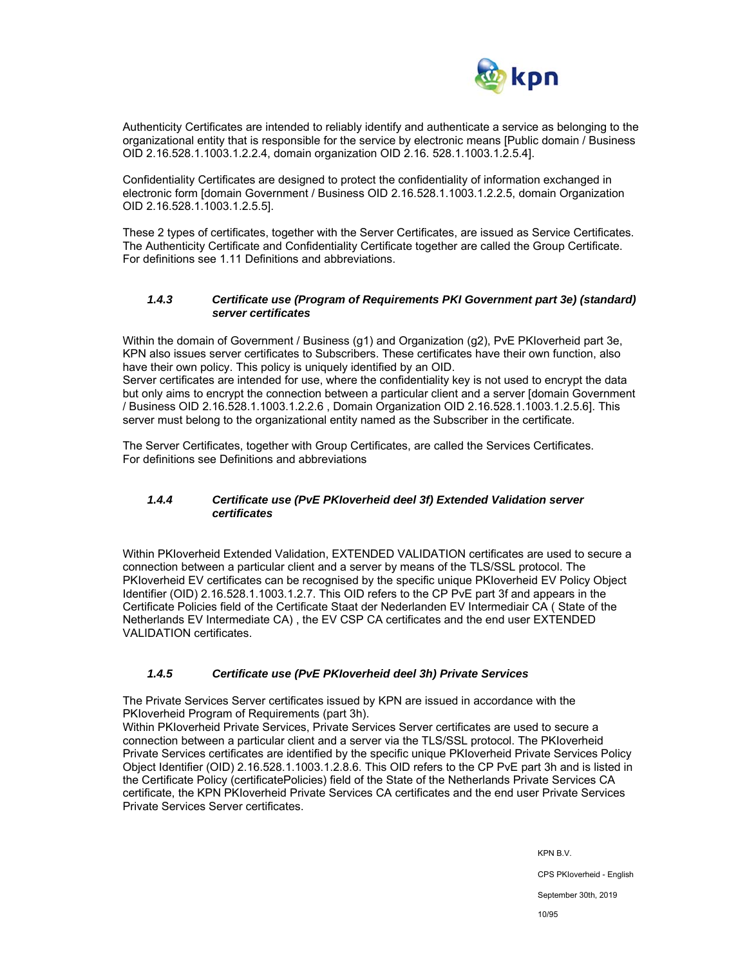

Authenticity Certificates are intended to reliably identify and authenticate a service as belonging to the organizational entity that is responsible for the service by electronic means [Public domain / Business OID 2.16.528.1.1003.1.2.2.4, domain organization OID 2.16. 528.1.1003.1.2.5.4].

Confidentiality Certificates are designed to protect the confidentiality of information exchanged in electronic form [domain Government / Business OID 2.16.528.1.1003.1.2.2.5, domain Organization OID 2.16.528.1.1003.1.2.5.5].

These 2 types of certificates, together with the Server Certificates, are issued as Service Certificates. The Authenticity Certificate and Confidentiality Certificate together are called the Group Certificate. For definitions see 1.11 Definitions and abbreviations.

#### *1.4.3 Certificate use (Program of Requirements PKI Government part 3e) (standard) server certificates*

Within the domain of Government / Business (g1) and Organization (g2), PvE PKIoverheid part 3e, KPN also issues server certificates to Subscribers. These certificates have their own function, also have their own policy. This policy is uniquely identified by an OID.

Server certificates are intended for use, where the confidentiality key is not used to encrypt the data but only aims to encrypt the connection between a particular client and a server [domain Government / Business OID 2.16.528.1.1003.1.2.2.6 , Domain Organization OID 2.16.528.1.1003.1.2.5.6]. This server must belong to the organizational entity named as the Subscriber in the certificate.

The Server Certificates, together with Group Certificates, are called the Services Certificates. For definitions see Definitions and abbreviations

## *1.4.4 Certificate use (PvE PKIoverheid deel 3f) Extended Validation server certificates*

Within PKIoverheid Extended Validation, EXTENDED VALIDATION certificates are used to secure a connection between a particular client and a server by means of the TLS/SSL protocol. The PKIoverheid EV certificates can be recognised by the specific unique PKIoverheid EV Policy Object Identifier (OID) 2.16.528.1.1003.1.2.7. This OID refers to the CP PvE part 3f and appears in the Certificate Policies field of the Certificate Staat der Nederlanden EV Intermediair CA ( State of the Netherlands EV Intermediate CA) , the EV CSP CA certificates and the end user EXTENDED VALIDATION certificates.

## *1.4.5 Certificate use (PvE PKIoverheid deel 3h) Private Services*

The Private Services Server certificates issued by KPN are issued in accordance with the PKIoverheid Program of Requirements (part 3h).

Within PKIoverheid Private Services, Private Services Server certificates are used to secure a connection between a particular client and a server via the TLS/SSL protocol. The PKIoverheid Private Services certificates are identified by the specific unique PKIoverheid Private Services Policy Object Identifier (OID) 2.16.528.1.1003.1.2.8.6. This OID refers to the CP PvE part 3h and is listed in the Certificate Policy (certificatePolicies) field of the State of the Netherlands Private Services CA certificate, the KPN PKIoverheid Private Services CA certificates and the end user Private Services Private Services Server certificates.

> KPN B.V. CPS PKIoverheid - English September 30th, 2019 10/95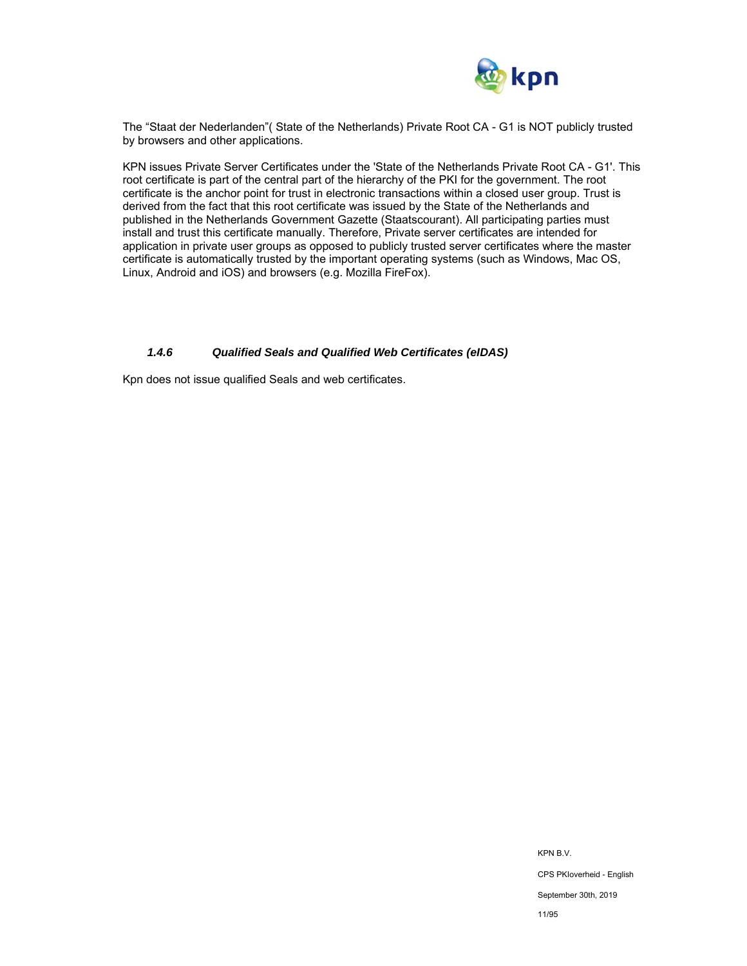

The "Staat der Nederlanden"( State of the Netherlands) Private Root CA - G1 is NOT publicly trusted by browsers and other applications.

KPN issues Private Server Certificates under the 'State of the Netherlands Private Root CA - G1'. This root certificate is part of the central part of the hierarchy of the PKI for the government. The root certificate is the anchor point for trust in electronic transactions within a closed user group. Trust is derived from the fact that this root certificate was issued by the State of the Netherlands and published in the Netherlands Government Gazette (Staatscourant). All participating parties must install and trust this certificate manually. Therefore, Private server certificates are intended for application in private user groups as opposed to publicly trusted server certificates where the master certificate is automatically trusted by the important operating systems (such as Windows, Mac OS, Linux, Android and iOS) and browsers (e.g. Mozilla FireFox).

#### *1.4.6 Qualified Seals and Qualified Web Certificates (eIDAS)*

Kpn does not issue qualified Seals and web certificates.

KPN B.V. CPS PKIoverheid - English September 30th, 2019 11/95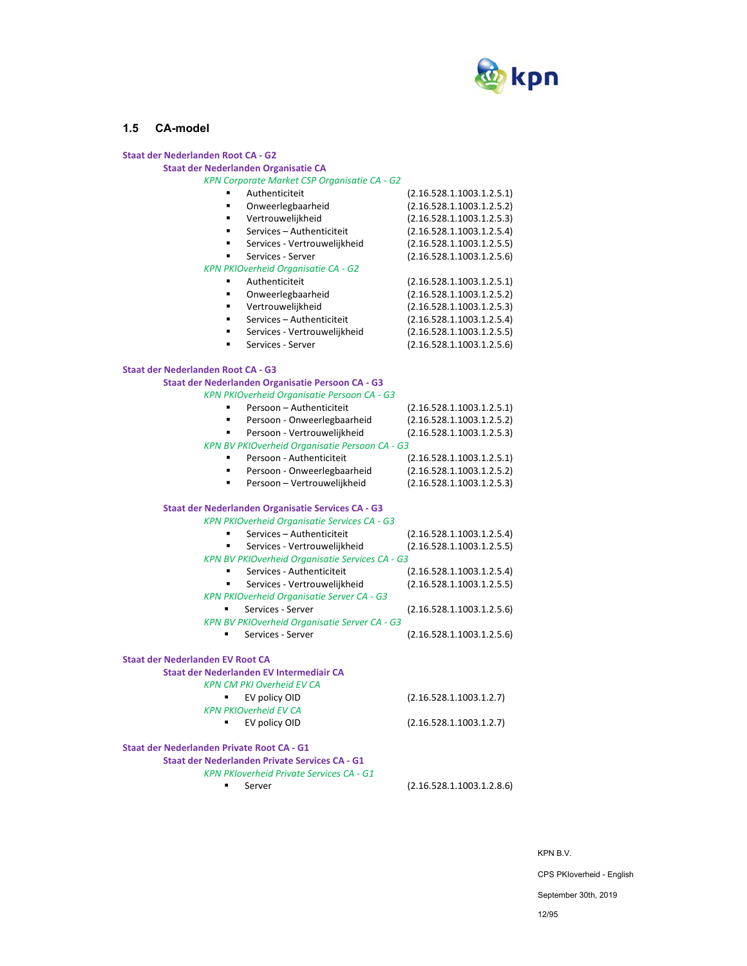

#### **1.5 CA-model**

#### **Staat der Nederlanden Root CA ‐ G2 Staat der Nederlanden Organisatie CA**  *KPN Corporate Market CSP Organisatie CA ‐ G2*   $(2.16.528.1.1003.1.2.5.1)$  Onweerlegbaarheid (2.16.528.1.1003.1.2.5.2) Vertrouwelijkheid (2.16.528.1.1003.1.2.5.3) Services – Authenticiteit (2.16.528.1.1003.1.2.5.4) Services ‐ Vertrouwelijkheid (2.16.528.1.1003.1.2.5.5) Services ‐ Server (2.16.528.1.1003.1.2.5.6) *KPN PKIOverheid Organisatie CA ‐ G2*  Authenticiteit (2.16.528.1.1003.1.2.5.1)<br>Onweerlegbaarheid (2.16.528.1.1003.1.2.5.2)  $(2.16.528.1.1003.1.2.5.2)$  Vertrouwelijkheid (2.16.528.1.1003.1.2.5.3) Services – Authenticiteit (2.16.528.1.1003.1.2.5.4) Services ‐ Vertrouwelijkheid (2.16.528.1.1003.1.2.5.5) Services ‐ Server (2.16.528.1.1003.1.2.5.6) **Staat der Nederlanden Root CA ‐ G3 Staat der Nederlanden Organisatie Persoon CA ‐ G3**  *KPN PKIOverheid Organisatie Persoon CA ‐ G3*  Persoon – Authenticiteit (2.16.528.1.1003.1.2.5.1) Persoon ‐ Onweerlegbaarheid (2.16.528.1.1003.1.2.5.2) Persoon ‐ Vertrouwelijkheid (2.16.528.1.1003.1.2.5.3) *KPN BV PKIOverheid Organisatie Persoon CA ‐ G3*  ■ Persoon - Authenticiteit (2.16.528.1.1003.1.2.5.1) Persoon ‐ Onweerlegbaarheid (2.16.528.1.1003.1.2.5.2) Persoon – Vertrouwelijkheid (2.16.528.1.1003.1.2.5.3) **Staat der Nederlanden Organisatie Services CA ‐ G3**  *KPN PKIOverheid Organisatie Services CA ‐ G3*  Services – Authenticiteit (2.16.528.1.1003.1.2.5.4) ■ Services - Vertrouwelijkheid (2.16.528.1.1003.1.2.5.5) *KPN BV PKIOverheid Organisatie Services CA ‐ G3*  ■ Services - Authenticiteit (2.16.528.1.1003.1.2.5.4) ■ Services - Vertrouwelijkheid (2.16.528.1.1003.1.2.5.5) *KPN PKIOverheid Organisatie Server CA ‐ G3*  ■ Services - Server (2.16.528.1.1003.1.2.5.6) *KPN BV PKIOverheid Organisatie Server CA ‐ G3*  ■ Services - Server (2.16.528.1.1003.1.2.5.6) **Staat der Nederlanden EV Root CA Staat der Nederlanden EV Intermediair CA**  *KPN CM PKI Overheid EV CA*  ■ EV policy OID (2.16.528.1.1003.1.2.7) *KPN PKIOverheid EV CA*  ■ EV policy OID (2.16.528.1.1003.1.2.7) **Staat der Nederlanden Private Root CA ‐ G1 Staat der Nederlanden Private Services CA ‐ G1**  *KPN PKIoverheid Private Services CA ‐ G1*  Server (2.16.528.1.1003.1.2.8.6)

KPN B.V.

CPS PKIoverheid - English

September 30th, 2019

12/95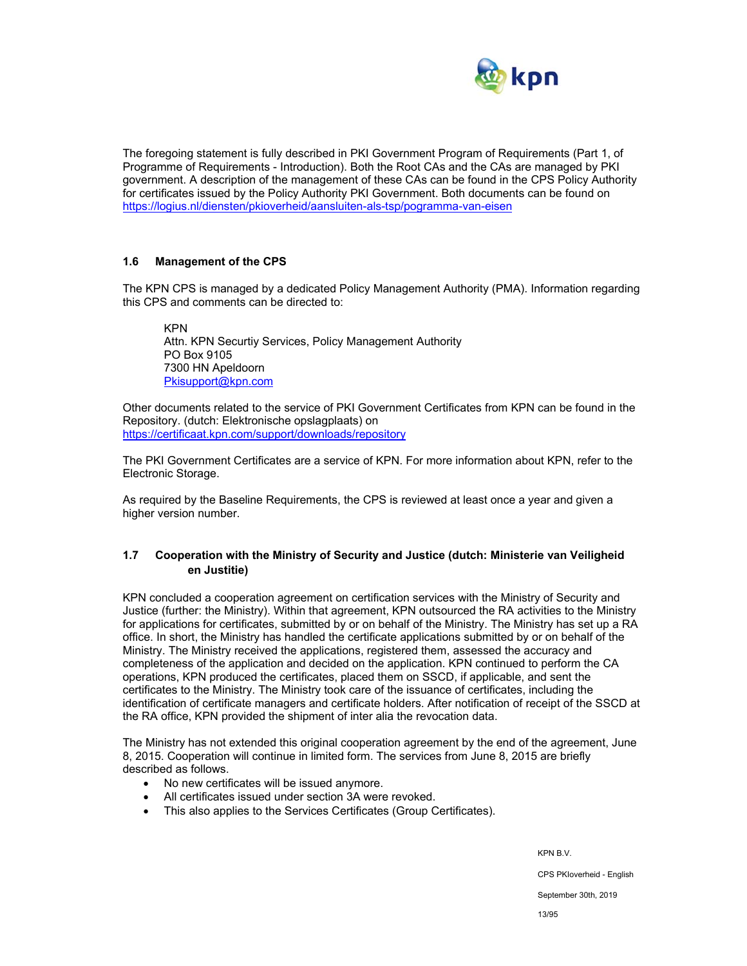

The foregoing statement is fully described in PKI Government Program of Requirements (Part 1, of Programme of Requirements - Introduction). Both the Root CAs and the CAs are managed by PKI government. A description of the management of these CAs can be found in the CPS Policy Authority for certificates issued by the Policy Authority PKI Government. Both documents can be found on https://logius.nl/diensten/pkioverheid/aansluiten-als-tsp/pogramma-van-eisen

#### **1.6 Management of the CPS**

The KPN CPS is managed by a dedicated Policy Management Authority (PMA). Information regarding this CPS and comments can be directed to:

KPN Attn. KPN Securtiy Services, Policy Management Authority PO Box 9105 7300 HN Apeldoorn Pkisupport@kpn.com

Other documents related to the service of PKI Government Certificates from KPN can be found in the Repository. (dutch: Elektronische opslagplaats) on https://certificaat.kpn.com/support/downloads/repository

The PKI Government Certificates are a service of KPN. For more information about KPN, refer to the Electronic Storage.

As required by the Baseline Requirements, the CPS is reviewed at least once a year and given a higher version number.

## **1.7 Cooperation with the Ministry of Security and Justice (dutch: Ministerie van Veiligheid en Justitie)**

KPN concluded a cooperation agreement on certification services with the Ministry of Security and Justice (further: the Ministry). Within that agreement, KPN outsourced the RA activities to the Ministry for applications for certificates, submitted by or on behalf of the Ministry. The Ministry has set up a RA office. In short, the Ministry has handled the certificate applications submitted by or on behalf of the Ministry. The Ministry received the applications, registered them, assessed the accuracy and completeness of the application and decided on the application. KPN continued to perform the CA operations, KPN produced the certificates, placed them on SSCD, if applicable, and sent the certificates to the Ministry. The Ministry took care of the issuance of certificates, including the identification of certificate managers and certificate holders. After notification of receipt of the SSCD at the RA office, KPN provided the shipment of inter alia the revocation data.

The Ministry has not extended this original cooperation agreement by the end of the agreement, June 8, 2015. Cooperation will continue in limited form. The services from June 8, 2015 are briefly described as follows.

- No new certificates will be issued anymore.
- All certificates issued under section 3A were revoked.
- This also applies to the Services Certificates (Group Certificates).

KPN B.V.

CPS PKIoverheid - English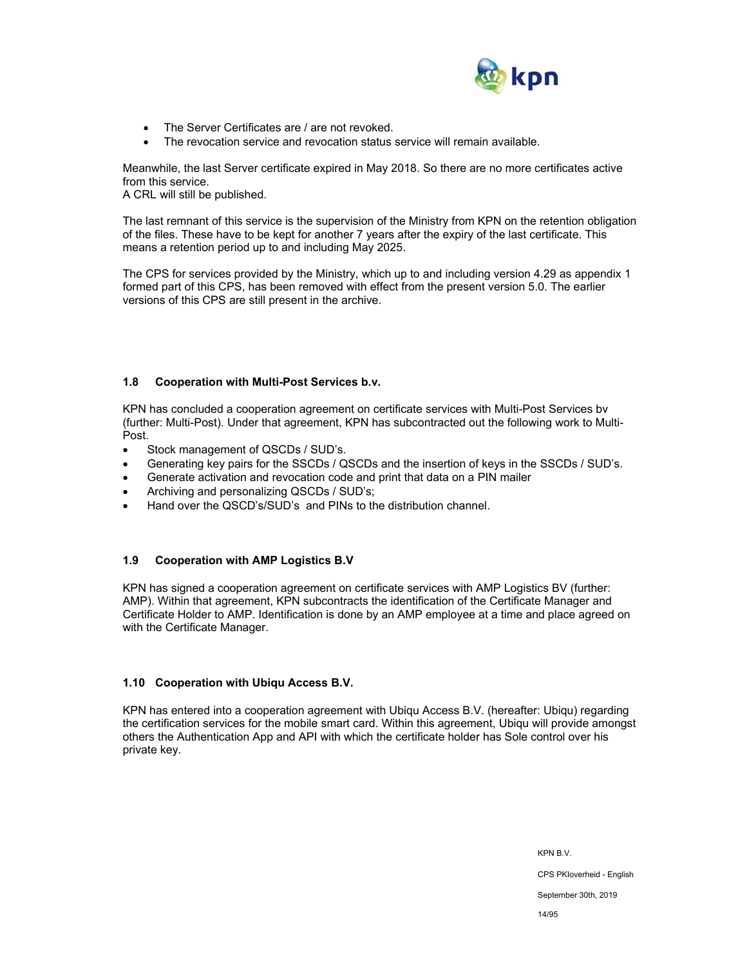

- The Server Certificates are / are not revoked.
- The revocation service and revocation status service will remain available.

Meanwhile, the last Server certificate expired in May 2018. So there are no more certificates active from this service.

A CRL will still be published.

The last remnant of this service is the supervision of the Ministry from KPN on the retention obligation of the files. These have to be kept for another 7 years after the expiry of the last certificate. This means a retention period up to and including May 2025.

The CPS for services provided by the Ministry, which up to and including version 4.29 as appendix 1 formed part of this CPS, has been removed with effect from the present version 5.0. The earlier versions of this CPS are still present in the archive.

#### **1.8 Cooperation with Multi-Post Services b.v.**

KPN has concluded a cooperation agreement on certificate services with Multi-Post Services bv (further: Multi-Post). Under that agreement, KPN has subcontracted out the following work to Multi-Post.

- Stock management of QSCDs / SUD's.
- Generating key pairs for the SSCDs / QSCDs and the insertion of keys in the SSCDs / SUD's.
- Generate activation and revocation code and print that data on a PIN mailer
- Archiving and personalizing QSCDs / SUD's;
- Hand over the QSCD's/SUD's and PINs to the distribution channel.

#### **1.9 Cooperation with AMP Logistics B.V**

KPN has signed a cooperation agreement on certificate services with AMP Logistics BV (further: AMP). Within that agreement, KPN subcontracts the identification of the Certificate Manager and Certificate Holder to AMP. Identification is done by an AMP employee at a time and place agreed on with the Certificate Manager.

#### **1.10 Cooperation with Ubiqu Access B.V.**

KPN has entered into a cooperation agreement with Ubiqu Access B.V. (hereafter: Ubiqu) regarding the certification services for the mobile smart card. Within this agreement, Ubiqu will provide amongst others the Authentication App and API with which the certificate holder has Sole control over his private key.

> KPN B.V. CPS PKIoverheid - English September 30th, 2019 14/95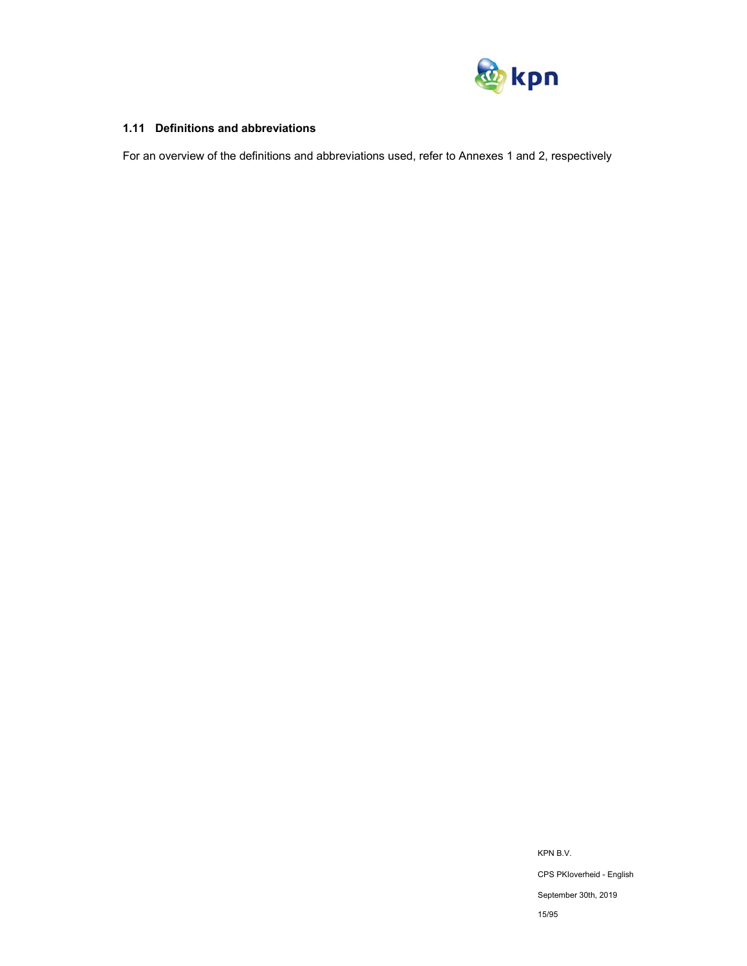

## **1.11 Definitions and abbreviations**

For an overview of the definitions and abbreviations used, refer to Annexes 1 and 2, respectively

KPN B.V. CPS PKIoverheid - English September 30th, 2019 15/95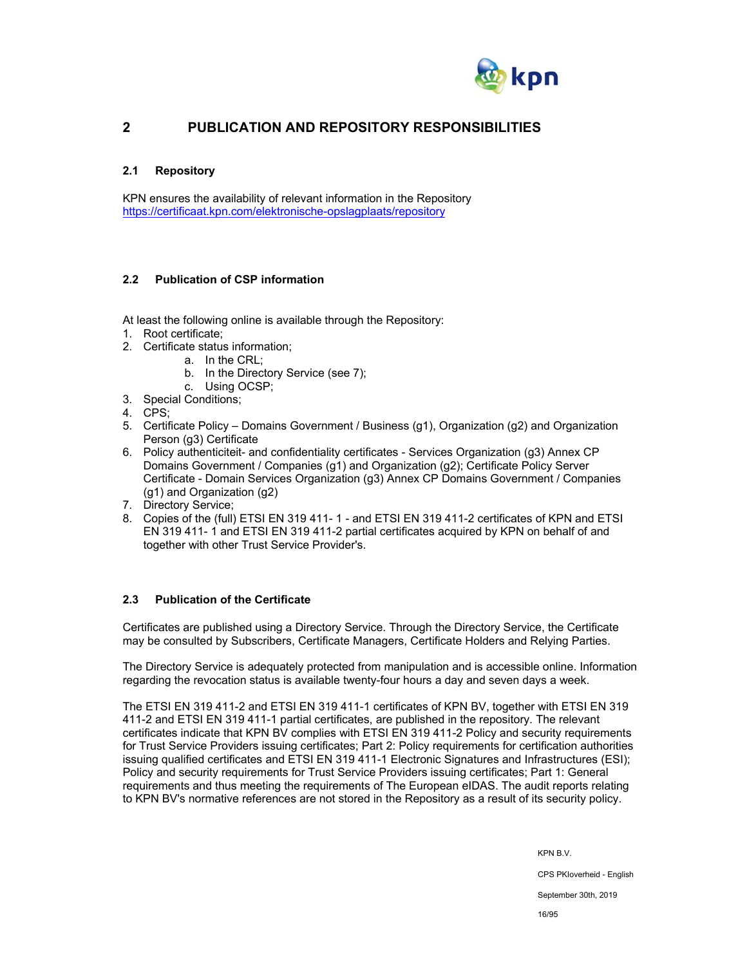

## **2 PUBLICATION AND REPOSITORY RESPONSIBILITIES**

## **2.1 Repository**

KPN ensures the availability of relevant information in the Repository https://certificaat.kpn.com/elektronische-opslagplaats/repository

#### **2.2 Publication of CSP information**

- At least the following online is available through the Repository:
- 1. Root certificate;
- 2. Certificate status information;
	- a. In the CRL;
	- b. In the Directory Service (see 7);
	- c. Using OCSP;
- 3. Special Conditions;
- 4. CPS;
- 5. Certificate Policy Domains Government / Business (g1), Organization (g2) and Organization Person (g3) Certificate
- 6. Policy authenticiteit- and confidentiality certificates Services Organization (g3) Annex CP Domains Government / Companies (g1) and Organization (g2); Certificate Policy Server Certificate - Domain Services Organization (g3) Annex CP Domains Government / Companies (g1) and Organization (g2)
- 7. Directory Service;
- 8. Copies of the (full) ETSI EN 319 411- 1 and ETSI EN 319 411-2 certificates of KPN and ETSI EN 319 411- 1 and ETSI EN 319 411-2 partial certificates acquired by KPN on behalf of and together with other Trust Service Provider's.

## **2.3 Publication of the Certificate**

Certificates are published using a Directory Service. Through the Directory Service, the Certificate may be consulted by Subscribers, Certificate Managers, Certificate Holders and Relying Parties.

The Directory Service is adequately protected from manipulation and is accessible online. Information regarding the revocation status is available twenty-four hours a day and seven days a week.

The ETSI EN 319 411-2 and ETSI EN 319 411-1 certificates of KPN BV, together with ETSI EN 319 411-2 and ETSI EN 319 411-1 partial certificates, are published in the repository. The relevant certificates indicate that KPN BV complies with ETSI EN 319 411-2 Policy and security requirements for Trust Service Providers issuing certificates; Part 2: Policy requirements for certification authorities issuing qualified certificates and ETSI EN 319 411-1 Electronic Signatures and Infrastructures (ESI); Policy and security requirements for Trust Service Providers issuing certificates; Part 1: General requirements and thus meeting the requirements of The European eIDAS. The audit reports relating to KPN BV's normative references are not stored in the Repository as a result of its security policy.

KPN B.V.

CPS PKIoverheid - English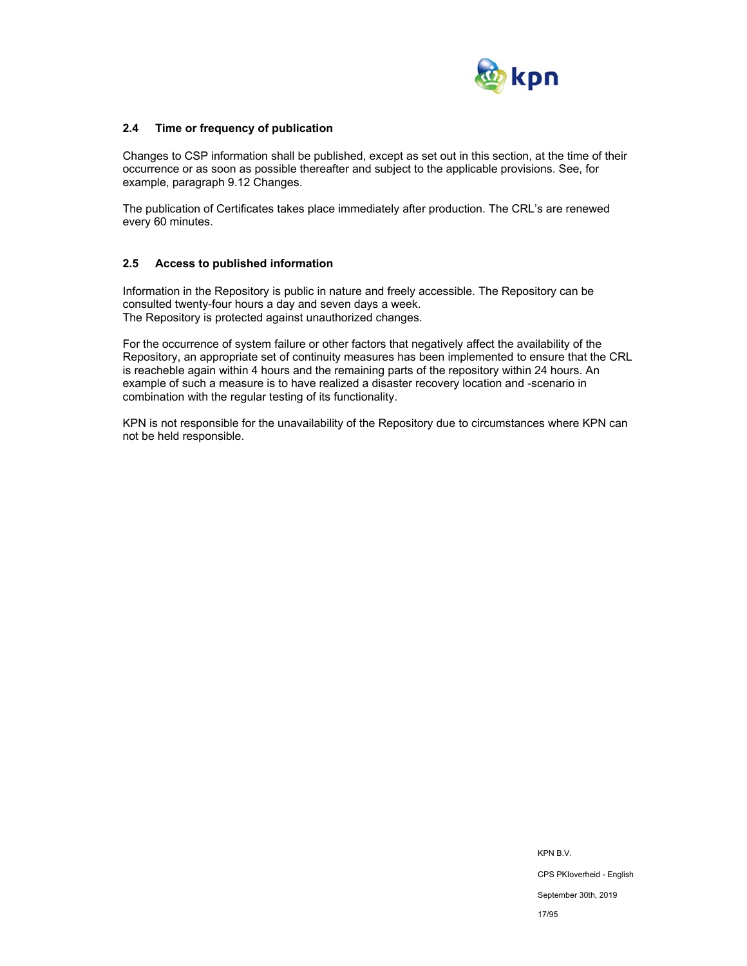

#### **2.4 Time or frequency of publication**

Changes to CSP information shall be published, except as set out in this section, at the time of their occurrence or as soon as possible thereafter and subject to the applicable provisions. See, for example, paragraph 9.12 Changes.

The publication of Certificates takes place immediately after production. The CRL's are renewed every 60 minutes.

#### **2.5 Access to published information**

Information in the Repository is public in nature and freely accessible. The Repository can be consulted twenty-four hours a day and seven days a week. The Repository is protected against unauthorized changes.

For the occurrence of system failure or other factors that negatively affect the availability of the Repository, an appropriate set of continuity measures has been implemented to ensure that the CRL is reacheble again within 4 hours and the remaining parts of the repository within 24 hours. An example of such a measure is to have realized a disaster recovery location and -scenario in combination with the regular testing of its functionality.

KPN is not responsible for the unavailability of the Repository due to circumstances where KPN can not be held responsible.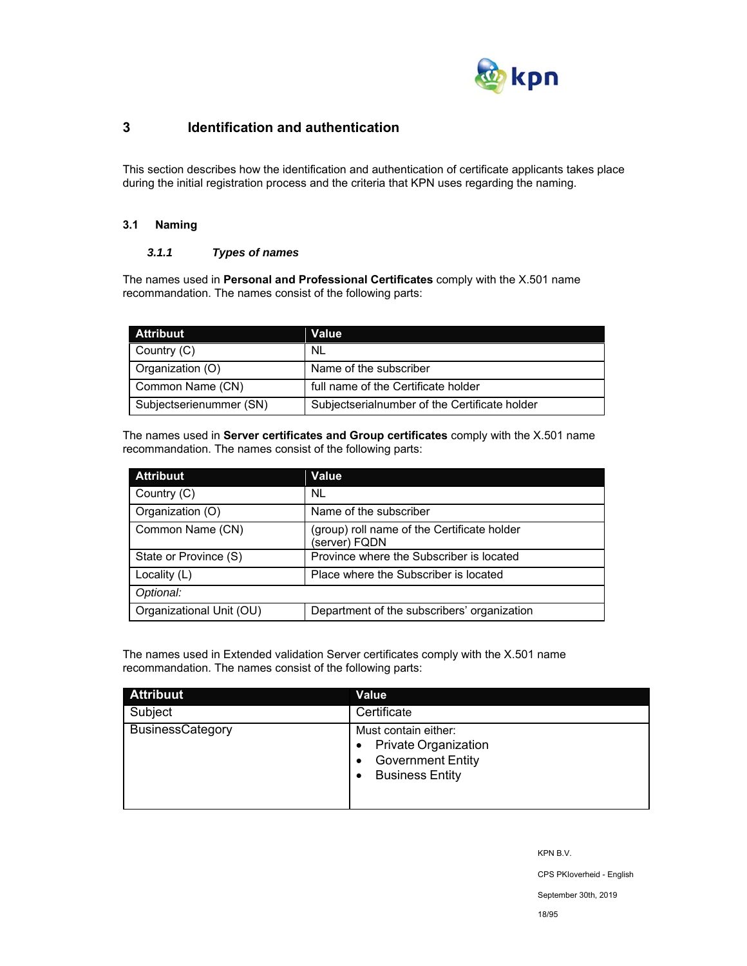

## **3 Identification and authentication**

This section describes how the identification and authentication of certificate applicants takes place during the initial registration process and the criteria that KPN uses regarding the naming.

## **3.1 Naming**

## *3.1.1 Types of names*

The names used in **Personal and Professional Certificates** comply with the X.501 name recommandation. The names consist of the following parts:

| <b>Attribuut</b>        | Value                                         |
|-------------------------|-----------------------------------------------|
| Country (C)             | NL.                                           |
| Organization (O)        | Name of the subscriber                        |
| Common Name (CN)        | full name of the Certificate holder           |
| Subjectserienummer (SN) | Subjectserialnumber of the Certificate holder |

The names used in **Server certificates and Group certificates** comply with the X.501 name recommandation. The names consist of the following parts:

| <b>Attribuut</b>         | Value                                                        |
|--------------------------|--------------------------------------------------------------|
| Country (C)              | NL.                                                          |
| Organization (O)         | Name of the subscriber                                       |
| Common Name (CN)         | (group) roll name of the Certificate holder<br>(server) FQDN |
| State or Province (S)    | Province where the Subscriber is located                     |
| Locality (L)             | Place where the Subscriber is located                        |
| Optional:                |                                                              |
| Organizational Unit (OU) | Department of the subscribers' organization                  |

The names used in Extended validation Server certificates comply with the X.501 name recommandation. The names consist of the following parts:

| <b>Attribuut</b>        | Value                                                                                                     |
|-------------------------|-----------------------------------------------------------------------------------------------------------|
| Subject                 | Certificate                                                                                               |
| <b>BusinessCategory</b> | Must contain either:<br><b>Private Organization</b><br><b>Government Entity</b><br><b>Business Entity</b> |

KPN B.V.

CPS PKIoverheid - English

September 30th, 2019

18/95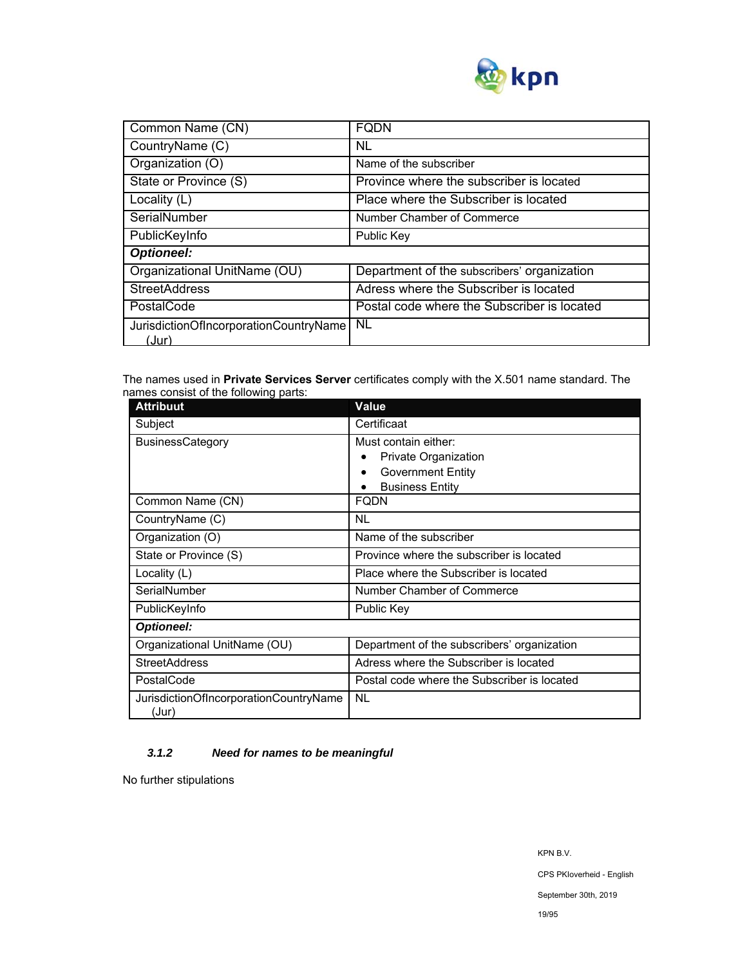

| Common Name (CN)                                | <b>FODN</b>                                 |
|-------------------------------------------------|---------------------------------------------|
| CountryName (C)                                 | NL                                          |
| Organization (O)                                | Name of the subscriber                      |
| State or Province (S)                           | Province where the subscriber is located    |
| Locality (L)                                    | Place where the Subscriber is located       |
| SerialNumber                                    | Number Chamber of Commerce                  |
| PublicKeyInfo                                   | Public Key                                  |
| <b>Optioneel:</b>                               |                                             |
| Organizational UnitName (OU)                    | Department of the subscribers' organization |
| <b>StreetAddress</b>                            | Adress where the Subscriber is located      |
| PostalCode                                      | Postal code where the Subscriber is located |
| JurisdictionOfIncorporationCountryName<br>(Jur) | NL                                          |

The names used in **Private Services Server** certificates comply with the X.501 name standard. The names consist of the following parts:

| <b>Attribuut</b>                                | Value                                       |  |  |
|-------------------------------------------------|---------------------------------------------|--|--|
| Subject                                         | Certificaat                                 |  |  |
| <b>BusinessCategory</b>                         | Must contain either:                        |  |  |
|                                                 | Private Organization                        |  |  |
|                                                 | <b>Government Entity</b>                    |  |  |
|                                                 | <b>Business Entity</b>                      |  |  |
| Common Name (CN)                                | <b>FQDN</b>                                 |  |  |
| CountryName (C)                                 | NL                                          |  |  |
| Organization (O)                                | Name of the subscriber                      |  |  |
| State or Province (S)                           | Province where the subscriber is located    |  |  |
| Locality (L)                                    | Place where the Subscriber is located       |  |  |
| SerialNumber                                    | Number Chamber of Commerce                  |  |  |
| PublicKeyInfo                                   | Public Key                                  |  |  |
| <b>Optioneel:</b>                               |                                             |  |  |
| Organizational UnitName (OU)                    | Department of the subscribers' organization |  |  |
| <b>StreetAddress</b>                            | Adress where the Subscriber is located      |  |  |
| PostalCode                                      | Postal code where the Subscriber is located |  |  |
| JurisdictionOfIncorporationCountryName<br>(Jur) | <b>NL</b>                                   |  |  |

## *3.1.2 Need for names to be meaningful*

No further stipulations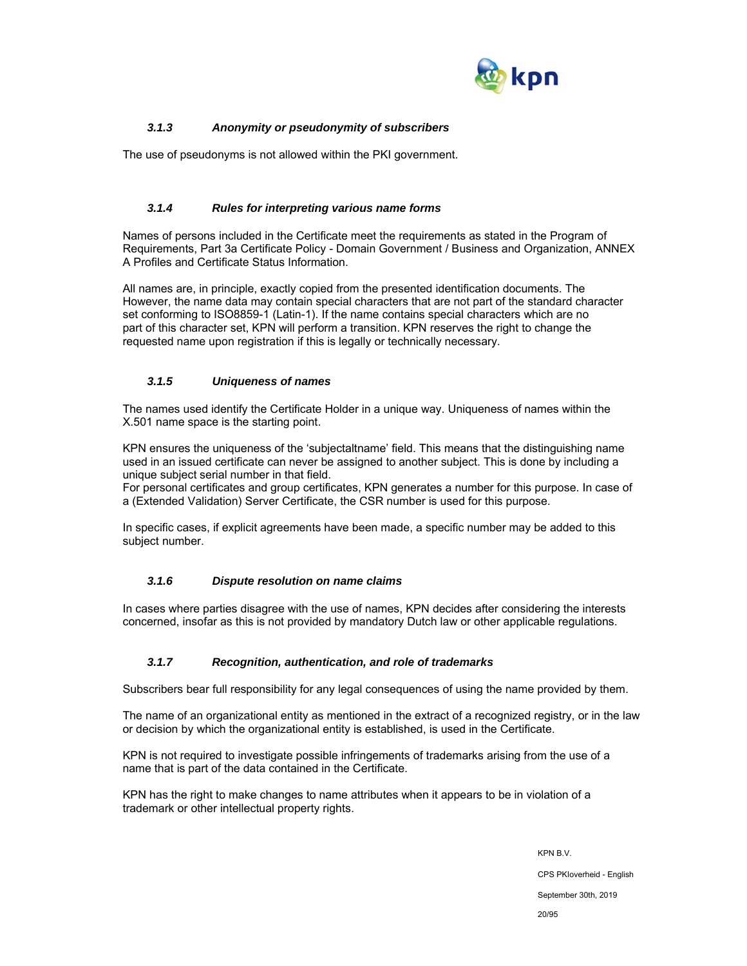

## *3.1.3 Anonymity or pseudonymity of subscribers*

The use of pseudonyms is not allowed within the PKI government.

## *3.1.4 Rules for interpreting various name forms*

Names of persons included in the Certificate meet the requirements as stated in the Program of Requirements, Part 3a Certificate Policy - Domain Government / Business and Organization, ANNEX A Profiles and Certificate Status Information.

All names are, in principle, exactly copied from the presented identification documents. The However, the name data may contain special characters that are not part of the standard character set conforming to ISO8859-1 (Latin-1). If the name contains special characters which are no part of this character set, KPN will perform a transition. KPN reserves the right to change the requested name upon registration if this is legally or technically necessary.

## *3.1.5 Uniqueness of names*

The names used identify the Certificate Holder in a unique way. Uniqueness of names within the X.501 name space is the starting point.

KPN ensures the uniqueness of the 'subjectaltname' field. This means that the distinguishing name used in an issued certificate can never be assigned to another subject. This is done by including a unique subject serial number in that field.

For personal certificates and group certificates, KPN generates a number for this purpose. In case of a (Extended Validation) Server Certificate, the CSR number is used for this purpose.

In specific cases, if explicit agreements have been made, a specific number may be added to this subject number.

## *3.1.6 Dispute resolution on name claims*

In cases where parties disagree with the use of names, KPN decides after considering the interests concerned, insofar as this is not provided by mandatory Dutch law or other applicable regulations.

#### *3.1.7 Recognition, authentication, and role of trademarks*

Subscribers bear full responsibility for any legal consequences of using the name provided by them.

The name of an organizational entity as mentioned in the extract of a recognized registry, or in the law or decision by which the organizational entity is established, is used in the Certificate.

KPN is not required to investigate possible infringements of trademarks arising from the use of a name that is part of the data contained in the Certificate.

KPN has the right to make changes to name attributes when it appears to be in violation of a trademark or other intellectual property rights.

> KPN B.V. CPS PKIoverheid - English September 30th, 2019 20/95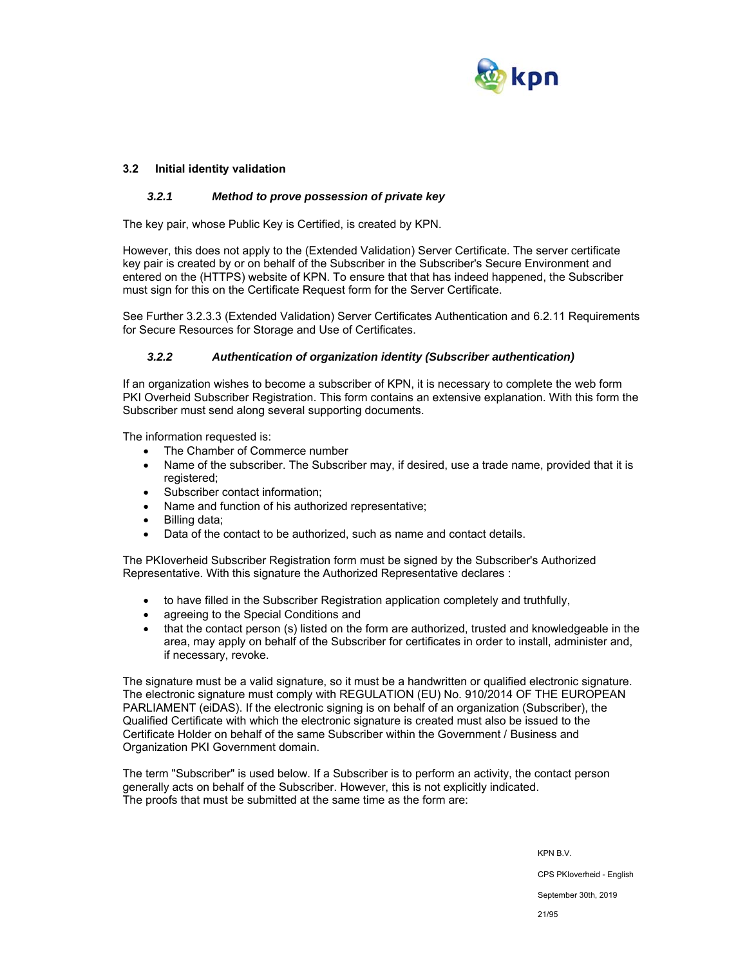

## **3.2 Initial identity validation**

#### *3.2.1 Method to prove possession of private key*

The key pair, whose Public Key is Certified, is created by KPN.

However, this does not apply to the (Extended Validation) Server Certificate. The server certificate key pair is created by or on behalf of the Subscriber in the Subscriber's Secure Environment and entered on the (HTTPS) website of KPN. To ensure that that has indeed happened, the Subscriber must sign for this on the Certificate Request form for the Server Certificate.

See Further 3.2.3.3 (Extended Validation) Server Certificates Authentication and 6.2.11 Requirements for Secure Resources for Storage and Use of Certificates.

#### *3.2.2 Authentication of organization identity (Subscriber authentication)*

If an organization wishes to become a subscriber of KPN, it is necessary to complete the web form PKI Overheid Subscriber Registration. This form contains an extensive explanation. With this form the Subscriber must send along several supporting documents.

The information requested is:

- The Chamber of Commerce number
- Name of the subscriber. The Subscriber may, if desired, use a trade name, provided that it is registered:
- Subscriber contact information;
- Name and function of his authorized representative;
- Billing data;
- Data of the contact to be authorized, such as name and contact details.

The PKIoverheid Subscriber Registration form must be signed by the Subscriber's Authorized Representative. With this signature the Authorized Representative declares :

- to have filled in the Subscriber Registration application completely and truthfully,
- agreeing to the Special Conditions and
- that the contact person (s) listed on the form are authorized, trusted and knowledgeable in the area, may apply on behalf of the Subscriber for certificates in order to install, administer and, if necessary, revoke.

The signature must be a valid signature, so it must be a handwritten or qualified electronic signature. The electronic signature must comply with REGULATION (EU) No. 910/2014 OF THE EUROPEAN PARLIAMENT (eiDAS). If the electronic signing is on behalf of an organization (Subscriber), the Qualified Certificate with which the electronic signature is created must also be issued to the Certificate Holder on behalf of the same Subscriber within the Government / Business and Organization PKI Government domain.

The term "Subscriber" is used below. If a Subscriber is to perform an activity, the contact person generally acts on behalf of the Subscriber. However, this is not explicitly indicated. The proofs that must be submitted at the same time as the form are:

> KPN B.V. CPS PKIoverheid - English September 30th, 2019 21/95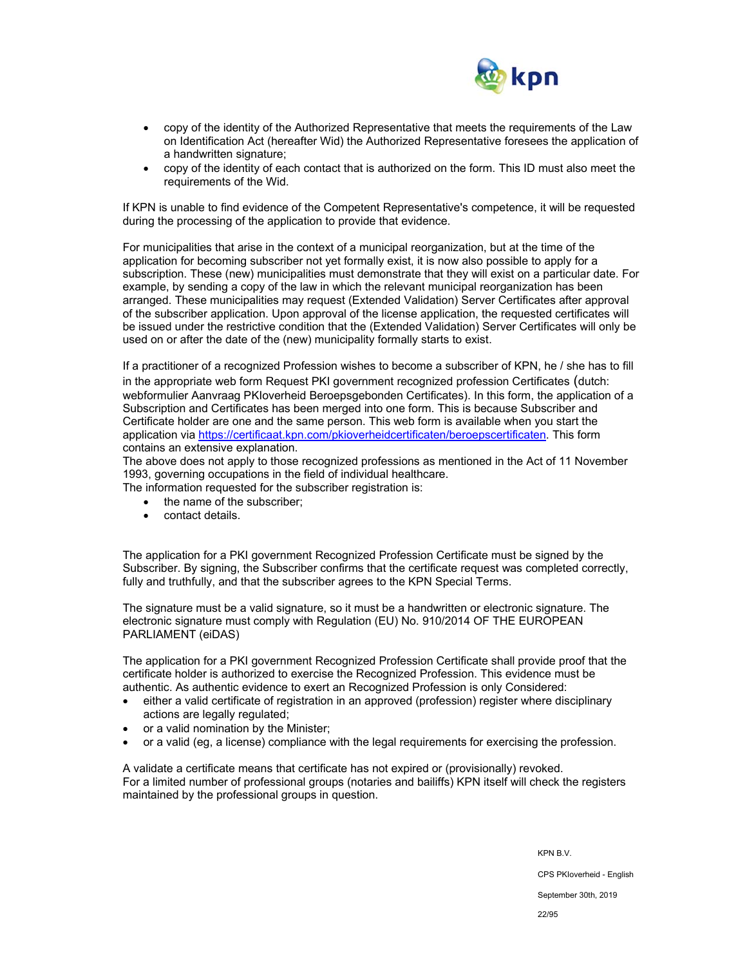

- copy of the identity of the Authorized Representative that meets the requirements of the Law on Identification Act (hereafter Wid) the Authorized Representative foresees the application of a handwritten signature;
- copy of the identity of each contact that is authorized on the form. This ID must also meet the requirements of the Wid.

If KPN is unable to find evidence of the Competent Representative's competence, it will be requested during the processing of the application to provide that evidence.

For municipalities that arise in the context of a municipal reorganization, but at the time of the application for becoming subscriber not yet formally exist, it is now also possible to apply for a subscription. These (new) municipalities must demonstrate that they will exist on a particular date. For example, by sending a copy of the law in which the relevant municipal reorganization has been arranged. These municipalities may request (Extended Validation) Server Certificates after approval of the subscriber application. Upon approval of the license application, the requested certificates will be issued under the restrictive condition that the (Extended Validation) Server Certificates will only be used on or after the date of the (new) municipality formally starts to exist.

If a practitioner of a recognized Profession wishes to become a subscriber of KPN, he / she has to fill in the appropriate web form Request PKI government recognized profession Certificates (dutch: webformulier Aanvraag PKIoverheid Beroepsgebonden Certificates). In this form, the application of a Subscription and Certificates has been merged into one form. This is because Subscriber and Certificate holder are one and the same person. This web form is available when you start the application via https://certificaat.kpn.com/pkioverheidcertificaten/beroepscertificaten. This form contains an extensive explanation.

The above does not apply to those recognized professions as mentioned in the Act of 11 November 1993, governing occupations in the field of individual healthcare.

The information requested for the subscriber registration is:

- the name of the subscriber;
- contact details.

The application for a PKI government Recognized Profession Certificate must be signed by the Subscriber. By signing, the Subscriber confirms that the certificate request was completed correctly, fully and truthfully, and that the subscriber agrees to the KPN Special Terms.

The signature must be a valid signature, so it must be a handwritten or electronic signature. The electronic signature must comply with Regulation (EU) No. 910/2014 OF THE EUROPEAN PARLIAMENT (eiDAS)

The application for a PKI government Recognized Profession Certificate shall provide proof that the certificate holder is authorized to exercise the Recognized Profession. This evidence must be authentic. As authentic evidence to exert an Recognized Profession is only Considered:

- either a valid certificate of registration in an approved (profession) register where disciplinary actions are legally regulated;
- or a valid nomination by the Minister;
- or a valid (eg, a license) compliance with the legal requirements for exercising the profession.

A validate a certificate means that certificate has not expired or (provisionally) revoked. For a limited number of professional groups (notaries and bailiffs) KPN itself will check the registers maintained by the professional groups in question.

KPN B.V.

CPS PKIoverheid - English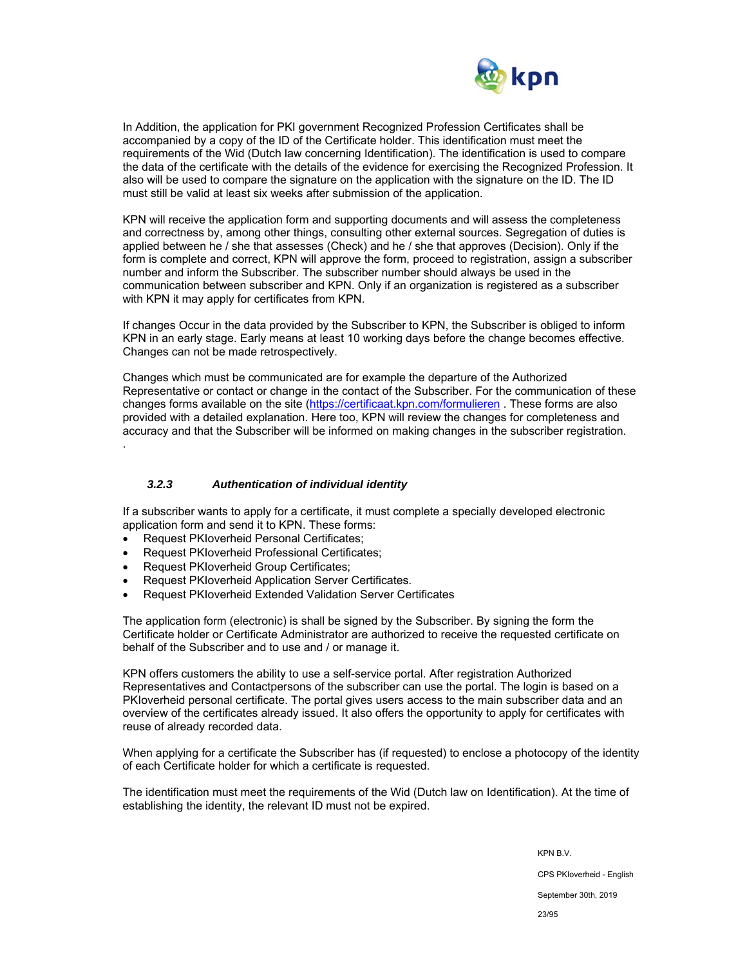

In Addition, the application for PKI government Recognized Profession Certificates shall be accompanied by a copy of the ID of the Certificate holder. This identification must meet the requirements of the Wid (Dutch law concerning Identification). The identification is used to compare the data of the certificate with the details of the evidence for exercising the Recognized Profession. It also will be used to compare the signature on the application with the signature on the ID. The ID must still be valid at least six weeks after submission of the application.

KPN will receive the application form and supporting documents and will assess the completeness and correctness by, among other things, consulting other external sources. Segregation of duties is applied between he / she that assesses (Check) and he / she that approves (Decision). Only if the form is complete and correct, KPN will approve the form, proceed to registration, assign a subscriber number and inform the Subscriber. The subscriber number should always be used in the communication between subscriber and KPN. Only if an organization is registered as a subscriber with KPN it may apply for certificates from KPN.

If changes Occur in the data provided by the Subscriber to KPN, the Subscriber is obliged to inform KPN in an early stage. Early means at least 10 working days before the change becomes effective. Changes can not be made retrospectively.

Changes which must be communicated are for example the departure of the Authorized Representative or contact or change in the contact of the Subscriber. For the communication of these changes forms available on the site (https://certificaat.kpn.com/formulieren . These forms are also provided with a detailed explanation. Here too, KPN will review the changes for completeness and accuracy and that the Subscriber will be informed on making changes in the subscriber registration. .

## *3.2.3 Authentication of individual identity*

If a subscriber wants to apply for a certificate, it must complete a specially developed electronic application form and send it to KPN. These forms:

- Request PKIoverheid Personal Certificates;
- Request PKIoverheid Professional Certificates;
- Request PKIoverheid Group Certificates;
- Request PKIoverheid Application Server Certificates.
- Request PKIoverheid Extended Validation Server Certificates

The application form (electronic) is shall be signed by the Subscriber. By signing the form the Certificate holder or Certificate Administrator are authorized to receive the requested certificate on behalf of the Subscriber and to use and / or manage it.

KPN offers customers the ability to use a self-service portal. After registration Authorized Representatives and Contactpersons of the subscriber can use the portal. The login is based on a PKIoverheid personal certificate. The portal gives users access to the main subscriber data and an overview of the certificates already issued. It also offers the opportunity to apply for certificates with reuse of already recorded data.

When applying for a certificate the Subscriber has (if requested) to enclose a photocopy of the identity of each Certificate holder for which a certificate is requested.

The identification must meet the requirements of the Wid (Dutch law on Identification). At the time of establishing the identity, the relevant ID must not be expired.

> KPN B.V. CPS PKIoverheid - English September 30th, 2019 23/95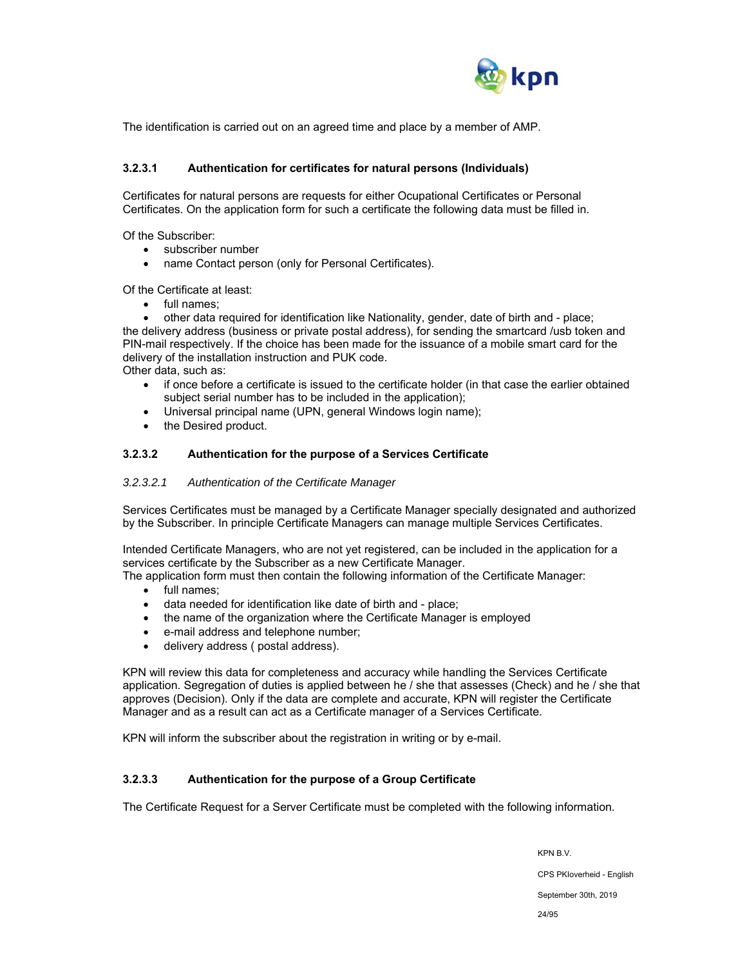

The identification is carried out on an agreed time and place by a member of AMP.

#### **3.2.3.1 Authentication for certificates for natural persons (Individuals)**

Certificates for natural persons are requests for either Ocupational Certificates or Personal Certificates. On the application form for such a certificate the following data must be filled in.

Of the Subscriber:

- subscriber number
- name Contact person (only for Personal Certificates).

Of the Certificate at least:

- full names;
- other data required for identification like Nationality, gender, date of birth and place;

the delivery address (business or private postal address), for sending the smartcard /usb token and PIN-mail respectively. If the choice has been made for the issuance of a mobile smart card for the delivery of the installation instruction and PUK code.

Other data, such as:

- if once before a certificate is issued to the certificate holder (in that case the earlier obtained subject serial number has to be included in the application);
- Universal principal name (UPN, general Windows login name);
- the Desired product.

#### **3.2.3.2 Authentication for the purpose of a Services Certificate**

#### *3.2.3.2.1 Authentication of the Certificate Manager*

Services Certificates must be managed by a Certificate Manager specially designated and authorized by the Subscriber. In principle Certificate Managers can manage multiple Services Certificates.

Intended Certificate Managers, who are not yet registered, can be included in the application for a services certificate by the Subscriber as a new Certificate Manager.

The application form must then contain the following information of the Certificate Manager:

- full names:
- data needed for identification like date of birth and place;
- the name of the organization where the Certificate Manager is employed
- e-mail address and telephone number;
- delivery address ( postal address).

KPN will review this data for completeness and accuracy while handling the Services Certificate application. Segregation of duties is applied between he / she that assesses (Check) and he / she that approves (Decision). Only if the data are complete and accurate, KPN will register the Certificate Manager and as a result can act as a Certificate manager of a Services Certificate.

KPN will inform the subscriber about the registration in writing or by e-mail.

#### **3.2.3.3 Authentication for the purpose of a Group Certificate**

The Certificate Request for a Server Certificate must be completed with the following information.

KPN B.V. CPS PKIoverheid - English September 30th, 2019 24/95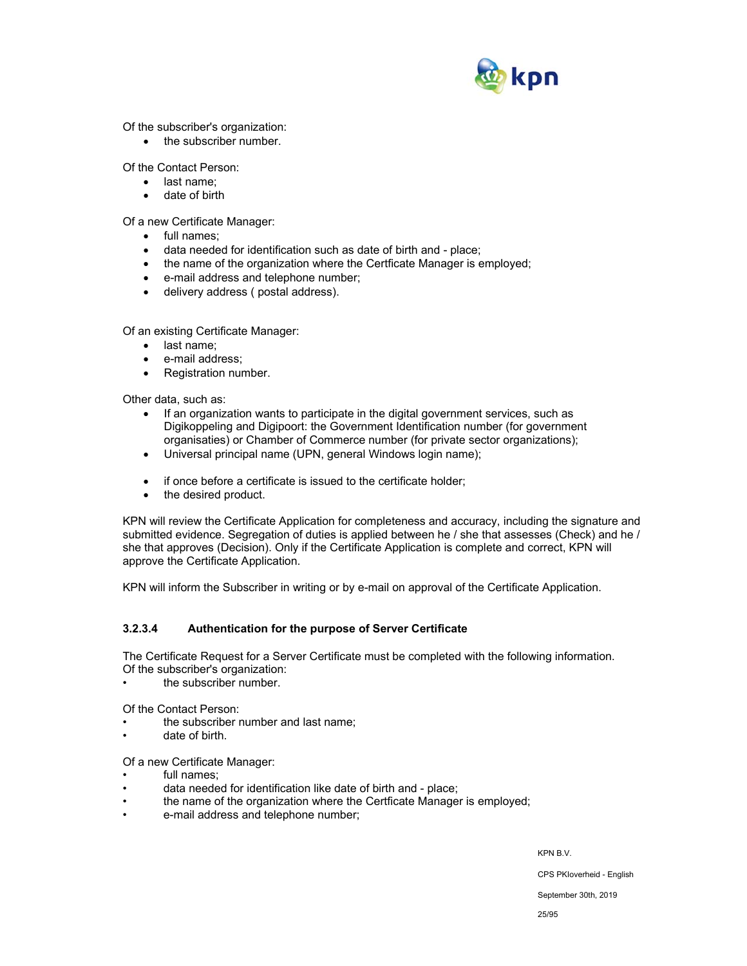

Of the subscriber's organization:

• the subscriber number.

Of the Contact Person:

- last name:
- date of birth

Of a new Certificate Manager:

- full names:
- data needed for identification such as date of birth and place;
- the name of the organization where the Certficate Manager is employed;
- e-mail address and telephone number;
- delivery address ( postal address).

Of an existing Certificate Manager:

- last name:
- e-mail address;
- Registration number.

Other data, such as:

- If an organization wants to participate in the digital government services, such as Digikoppeling and Digipoort: the Government Identification number (for government organisaties) or Chamber of Commerce number (for private sector organizations);
- Universal principal name (UPN, general Windows login name);
- if once before a certificate is issued to the certificate holder;
- the desired product.

KPN will review the Certificate Application for completeness and accuracy, including the signature and submitted evidence. Segregation of duties is applied between he / she that assesses (Check) and he / she that approves (Decision). Only if the Certificate Application is complete and correct, KPN will approve the Certificate Application.

KPN will inform the Subscriber in writing or by e-mail on approval of the Certificate Application.

## **3.2.3.4 Authentication for the purpose of Server Certificate**

The Certificate Request for a Server Certificate must be completed with the following information. Of the subscriber's organization:

the subscriber number.

Of the Contact Person:

- the subscriber number and last name;
- date of birth.

Of a new Certificate Manager:

- full names;
- data needed for identification like date of birth and place;
- the name of the organization where the Certficate Manager is employed;
- e-mail address and telephone number;

KPN B.V.

CPS PKIoverheid - English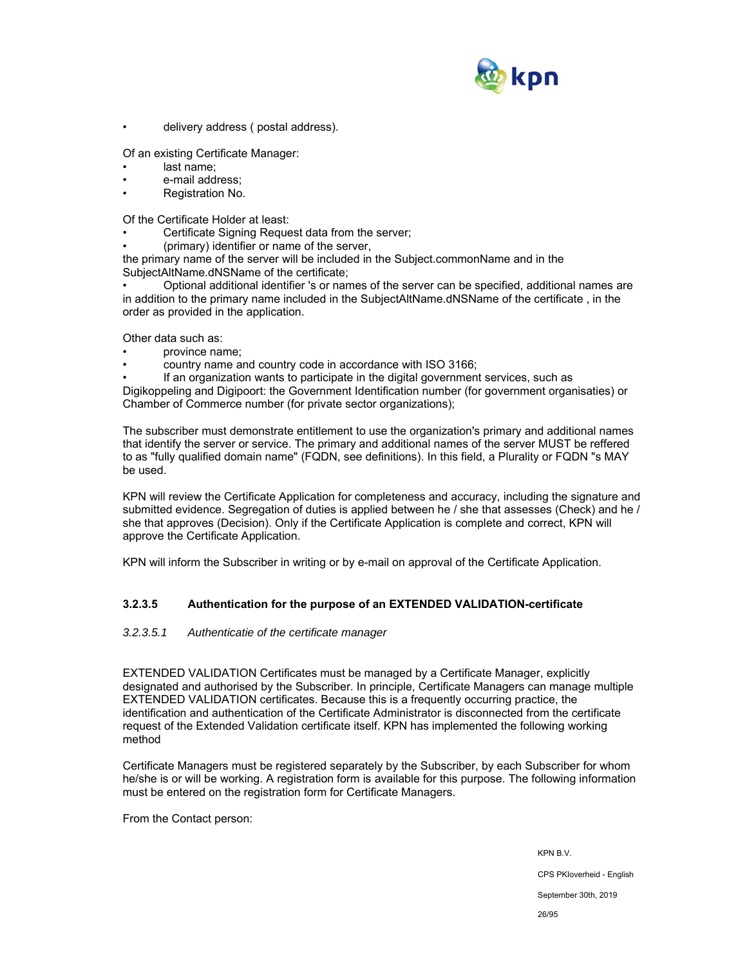

delivery address ( postal address).

Of an existing Certificate Manager:

- last name;
- e-mail address;
- Registration No.

Of the Certificate Holder at least:

- Certificate Signing Request data from the server;
- (primary) identifier or name of the server,

the primary name of the server will be included in the Subject.commonName and in the SubjectAltName.dNSName of the certificate;

• Optional additional identifier 's or names of the server can be specified, additional names are in addition to the primary name included in the SubjectAltName.dNSName of the certificate , in the order as provided in the application.

Other data such as:

- province name;
- country name and country code in accordance with ISO 3166;
- If an organization wants to participate in the digital government services, such as

Digikoppeling and Digipoort: the Government Identification number (for government organisaties) or Chamber of Commerce number (for private sector organizations);

The subscriber must demonstrate entitlement to use the organization's primary and additional names that identify the server or service. The primary and additional names of the server MUST be reffered to as "fully qualified domain name" (FQDN, see definitions). In this field, a Plurality or FQDN "s MAY be used.

KPN will review the Certificate Application for completeness and accuracy, including the signature and submitted evidence. Segregation of duties is applied between he / she that assesses (Check) and he / she that approves (Decision). Only if the Certificate Application is complete and correct, KPN will approve the Certificate Application.

KPN will inform the Subscriber in writing or by e-mail on approval of the Certificate Application.

## **3.2.3.5 Authentication for the purpose of an EXTENDED VALIDATION-certificate**

#### *3.2.3.5.1 Authenticatie of the certificate manager*

EXTENDED VALIDATION Certificates must be managed by a Certificate Manager, explicitly designated and authorised by the Subscriber. In principle, Certificate Managers can manage multiple EXTENDED VALIDATION certificates. Because this is a frequently occurring practice, the identification and authentication of the Certificate Administrator is disconnected from the certificate request of the Extended Validation certificate itself. KPN has implemented the following working method

Certificate Managers must be registered separately by the Subscriber, by each Subscriber for whom he/she is or will be working. A registration form is available for this purpose. The following information must be entered on the registration form for Certificate Managers.

From the Contact person:

KPN B.V. CPS PKIoverheid - English September 30th, 2019 26/95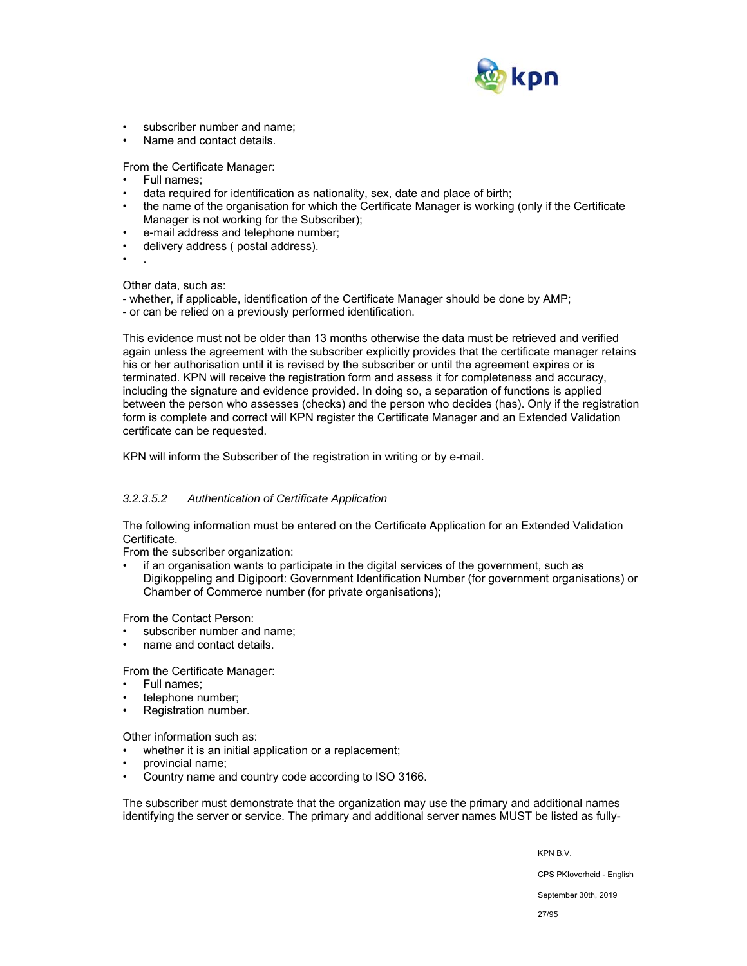

- subscriber number and name:
- Name and contact details.

From the Certificate Manager:

- Full names;
- data required for identification as nationality, sex, date and place of birth;
- the name of the organisation for which the Certificate Manager is working (only if the Certificate Manager is not working for the Subscriber);
- e-mail address and telephone number;
- delivery address ( postal address).
- .

Other data, such as:

- whether, if applicable, identification of the Certificate Manager should be done by AMP; - or can be relied on a previously performed identification.

This evidence must not be older than 13 months otherwise the data must be retrieved and verified again unless the agreement with the subscriber explicitly provides that the certificate manager retains his or her authorisation until it is revised by the subscriber or until the agreement expires or is terminated. KPN will receive the registration form and assess it for completeness and accuracy, including the signature and evidence provided. In doing so, a separation of functions is applied between the person who assesses (checks) and the person who decides (has). Only if the registration form is complete and correct will KPN register the Certificate Manager and an Extended Validation certificate can be requested.

KPN will inform the Subscriber of the registration in writing or by e-mail.

## *3.2.3.5.2 Authentication of Certificate Application*

The following information must be entered on the Certificate Application for an Extended Validation Certificate.

From the subscriber organization:

if an organisation wants to participate in the digital services of the government, such as Digikoppeling and Digipoort: Government Identification Number (for government organisations) or Chamber of Commerce number (for private organisations);

From the Contact Person:

- subscriber number and name;
- name and contact details.

From the Certificate Manager:

- Full names;
- telephone number;
- Registration number.

Other information such as:

- whether it is an initial application or a replacement;
- provincial name;
- Country name and country code according to ISO 3166.

The subscriber must demonstrate that the organization may use the primary and additional names identifying the server or service. The primary and additional server names MUST be listed as fully-

KPN B.V.

CPS PKIoverheid - English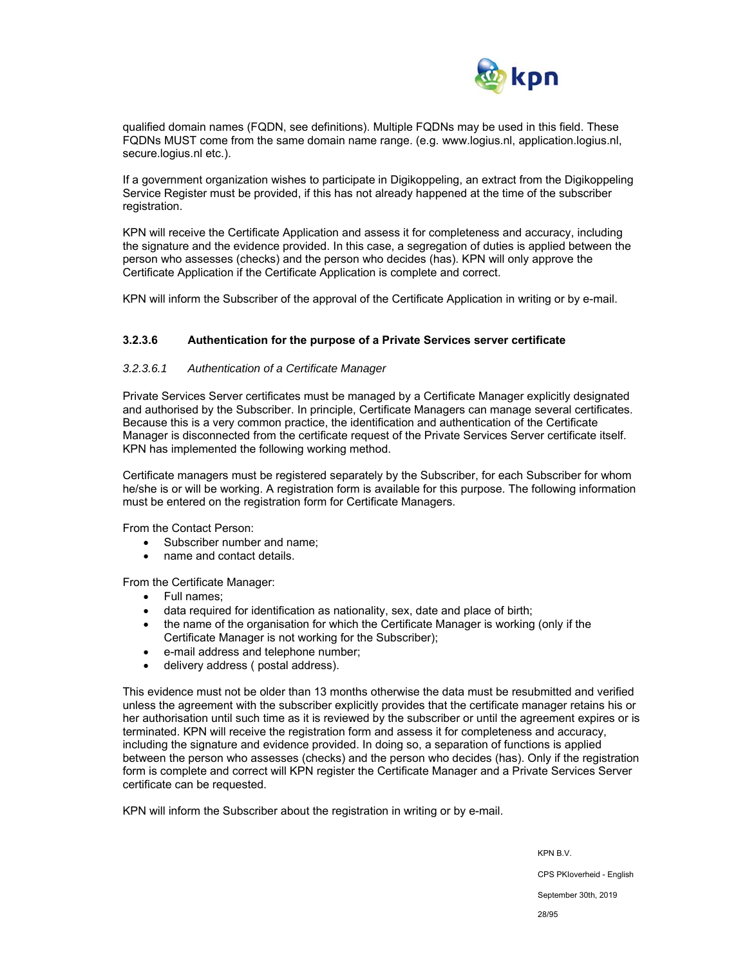

qualified domain names (FQDN, see definitions). Multiple FQDNs may be used in this field. These FQDNs MUST come from the same domain name range. (e.g. www.logius.nl, application.logius.nl, secure.logius.nl etc.).

If a government organization wishes to participate in Digikoppeling, an extract from the Digikoppeling Service Register must be provided, if this has not already happened at the time of the subscriber registration.

KPN will receive the Certificate Application and assess it for completeness and accuracy, including the signature and the evidence provided. In this case, a segregation of duties is applied between the person who assesses (checks) and the person who decides (has). KPN will only approve the Certificate Application if the Certificate Application is complete and correct.

KPN will inform the Subscriber of the approval of the Certificate Application in writing or by e-mail.

## **3.2.3.6 Authentication for the purpose of a Private Services server certificate**

#### *3.2.3.6.1 Authentication of a Certificate Manager*

Private Services Server certificates must be managed by a Certificate Manager explicitly designated and authorised by the Subscriber. In principle, Certificate Managers can manage several certificates. Because this is a very common practice, the identification and authentication of the Certificate Manager is disconnected from the certificate request of the Private Services Server certificate itself. KPN has implemented the following working method.

Certificate managers must be registered separately by the Subscriber, for each Subscriber for whom he/she is or will be working. A registration form is available for this purpose. The following information must be entered on the registration form for Certificate Managers.

From the Contact Person:

- Subscriber number and name:
- name and contact details.

From the Certificate Manager:

- Full names:
- data required for identification as nationality, sex, date and place of birth;
- the name of the organisation for which the Certificate Manager is working (only if the Certificate Manager is not working for the Subscriber);
- e-mail address and telephone number;
- delivery address ( postal address).

This evidence must not be older than 13 months otherwise the data must be resubmitted and verified unless the agreement with the subscriber explicitly provides that the certificate manager retains his or her authorisation until such time as it is reviewed by the subscriber or until the agreement expires or is terminated. KPN will receive the registration form and assess it for completeness and accuracy, including the signature and evidence provided. In doing so, a separation of functions is applied between the person who assesses (checks) and the person who decides (has). Only if the registration form is complete and correct will KPN register the Certificate Manager and a Private Services Server certificate can be requested.

KPN will inform the Subscriber about the registration in writing or by e-mail.

KPN B.V. CPS PKIoverheid - English September 30th, 2019 28/95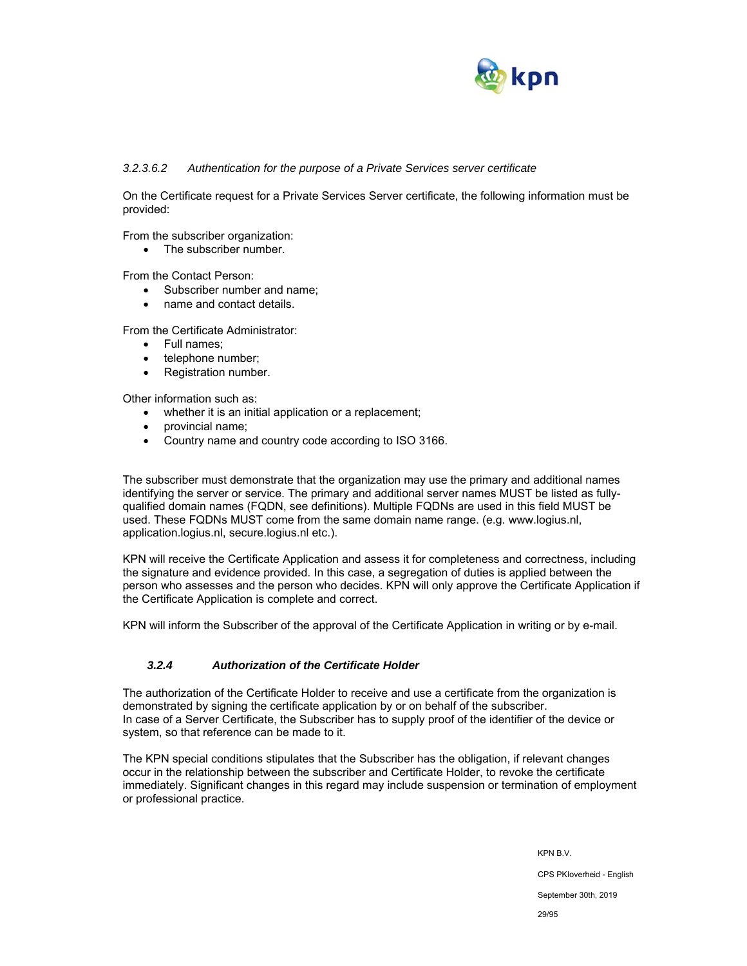

#### *3.2.3.6.2 Authentication for the purpose of a Private Services server certificate*

On the Certificate request for a Private Services Server certificate, the following information must be provided:

From the subscriber organization:

• The subscriber number.

From the Contact Person:

- Subscriber number and name;
- name and contact details.

From the Certificate Administrator:

- Full names;
- telephone number;
- Registration number.

Other information such as:

- whether it is an initial application or a replacement;
- provincial name;
- Country name and country code according to ISO 3166.

The subscriber must demonstrate that the organization may use the primary and additional names identifying the server or service. The primary and additional server names MUST be listed as fullyqualified domain names (FQDN, see definitions). Multiple FQDNs are used in this field MUST be used. These FQDNs MUST come from the same domain name range. (e.g. www.logius.nl, application.logius.nl, secure.logius.nl etc.).

KPN will receive the Certificate Application and assess it for completeness and correctness, including the signature and evidence provided. In this case, a segregation of duties is applied between the person who assesses and the person who decides. KPN will only approve the Certificate Application if the Certificate Application is complete and correct.

KPN will inform the Subscriber of the approval of the Certificate Application in writing or by e-mail.

## *3.2.4 Authorization of the Certificate Holder*

The authorization of the Certificate Holder to receive and use a certificate from the organization is demonstrated by signing the certificate application by or on behalf of the subscriber. In case of a Server Certificate, the Subscriber has to supply proof of the identifier of the device or system, so that reference can be made to it.

The KPN special conditions stipulates that the Subscriber has the obligation, if relevant changes occur in the relationship between the subscriber and Certificate Holder, to revoke the certificate immediately. Significant changes in this regard may include suspension or termination of employment or professional practice.

> KPN B.V. CPS PKIoverheid - English September 30th, 2019 29/95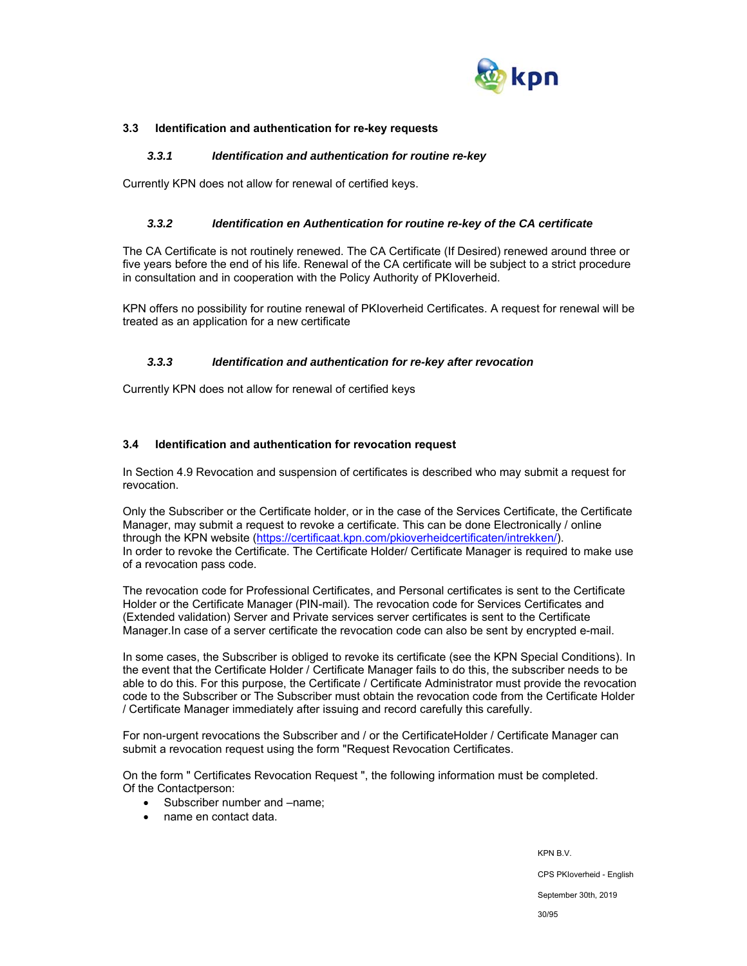

#### **3.3 Identification and authentication for re-key requests**

#### *3.3.1 Identification and authentication for routine re-key*

Currently KPN does not allow for renewal of certified keys.

#### *3.3.2 Identification en Authentication for routine re-key of the CA certificate*

The CA Certificate is not routinely renewed. The CA Certificate (If Desired) renewed around three or five years before the end of his life. Renewal of the CA certificate will be subject to a strict procedure in consultation and in cooperation with the Policy Authority of PKIoverheid.

KPN offers no possibility for routine renewal of PKIoverheid Certificates. A request for renewal will be treated as an application for a new certificate

#### *3.3.3 Identification and authentication for re-key after revocation*

Currently KPN does not allow for renewal of certified keys

#### **3.4 Identification and authentication for revocation request**

In Section 4.9 Revocation and suspension of certificates is described who may submit a request for revocation.

Only the Subscriber or the Certificate holder, or in the case of the Services Certificate, the Certificate Manager, may submit a request to revoke a certificate. This can be done Electronically / online through the KPN website (https://certificaat.kpn.com/pkioverheidcertificaten/intrekken/). In order to revoke the Certificate. The Certificate Holder/ Certificate Manager is required to make use of a revocation pass code.

The revocation code for Professional Certificates, and Personal certificates is sent to the Certificate Holder or the Certificate Manager (PIN-mail). The revocation code for Services Certificates and (Extended validation) Server and Private services server certificates is sent to the Certificate Manager.In case of a server certificate the revocation code can also be sent by encrypted e-mail.

In some cases, the Subscriber is obliged to revoke its certificate (see the KPN Special Conditions). In the event that the Certificate Holder / Certificate Manager fails to do this, the subscriber needs to be able to do this. For this purpose, the Certificate / Certificate Administrator must provide the revocation code to the Subscriber or The Subscriber must obtain the revocation code from the Certificate Holder / Certificate Manager immediately after issuing and record carefully this carefully.

For non-urgent revocations the Subscriber and / or the CertificateHolder / Certificate Manager can submit a revocation request using the form "Request Revocation Certificates.

On the form " Certificates Revocation Request ", the following information must be completed. Of the Contactperson:

- Subscriber number and  $-$ name:
- name en contact data.

KPN B.V. CPS PKIoverheid - English September 30th, 2019 30/95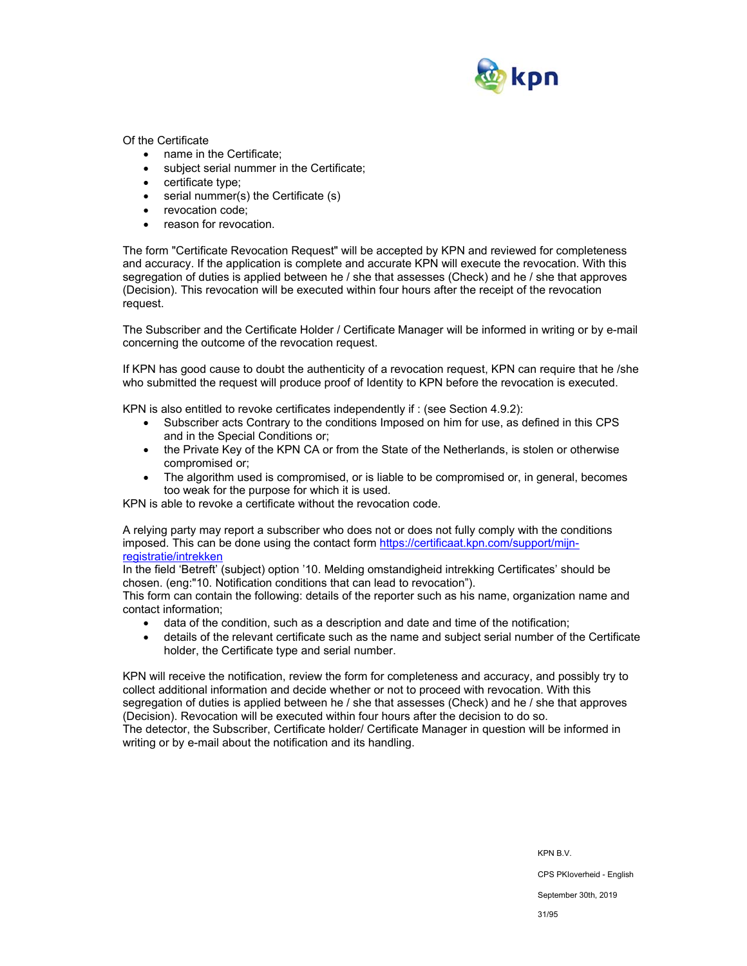

Of the Certificate

- name in the Certificate;
- subject serial nummer in the Certificate;
- certificate type;
- serial nummer(s) the Certificate (s)
- revocation code;
- reason for revocation.

The form "Certificate Revocation Request" will be accepted by KPN and reviewed for completeness and accuracy. If the application is complete and accurate KPN will execute the revocation. With this segregation of duties is applied between he / she that assesses (Check) and he / she that approves (Decision). This revocation will be executed within four hours after the receipt of the revocation request.

The Subscriber and the Certificate Holder / Certificate Manager will be informed in writing or by e-mail concerning the outcome of the revocation request.

If KPN has good cause to doubt the authenticity of a revocation request, KPN can require that he /she who submitted the request will produce proof of Identity to KPN before the revocation is executed.

KPN is also entitled to revoke certificates independently if : (see Section 4.9.2):

- Subscriber acts Contrary to the conditions Imposed on him for use, as defined in this CPS and in the Special Conditions or;
- the Private Key of the KPN CA or from the State of the Netherlands, is stolen or otherwise compromised or;
- The algorithm used is compromised, or is liable to be compromised or, in general, becomes too weak for the purpose for which it is used.

KPN is able to revoke a certificate without the revocation code.

A relying party may report a subscriber who does not or does not fully comply with the conditions imposed. This can be done using the contact form https://certificaat.kpn.com/support/mijnregistratie/intrekken

In the field 'Betreft' (subject) option '10. Melding omstandigheid intrekking Certificates' should be chosen. (eng:"10. Notification conditions that can lead to revocation").

This form can contain the following: details of the reporter such as his name, organization name and contact information;

- data of the condition, such as a description and date and time of the notification;
- details of the relevant certificate such as the name and subject serial number of the Certificate holder, the Certificate type and serial number.

KPN will receive the notification, review the form for completeness and accuracy, and possibly try to collect additional information and decide whether or not to proceed with revocation. With this segregation of duties is applied between he / she that assesses (Check) and he / she that approves (Decision). Revocation will be executed within four hours after the decision to do so. The detector, the Subscriber, Certificate holder/ Certificate Manager in question will be informed in writing or by e-mail about the notification and its handling.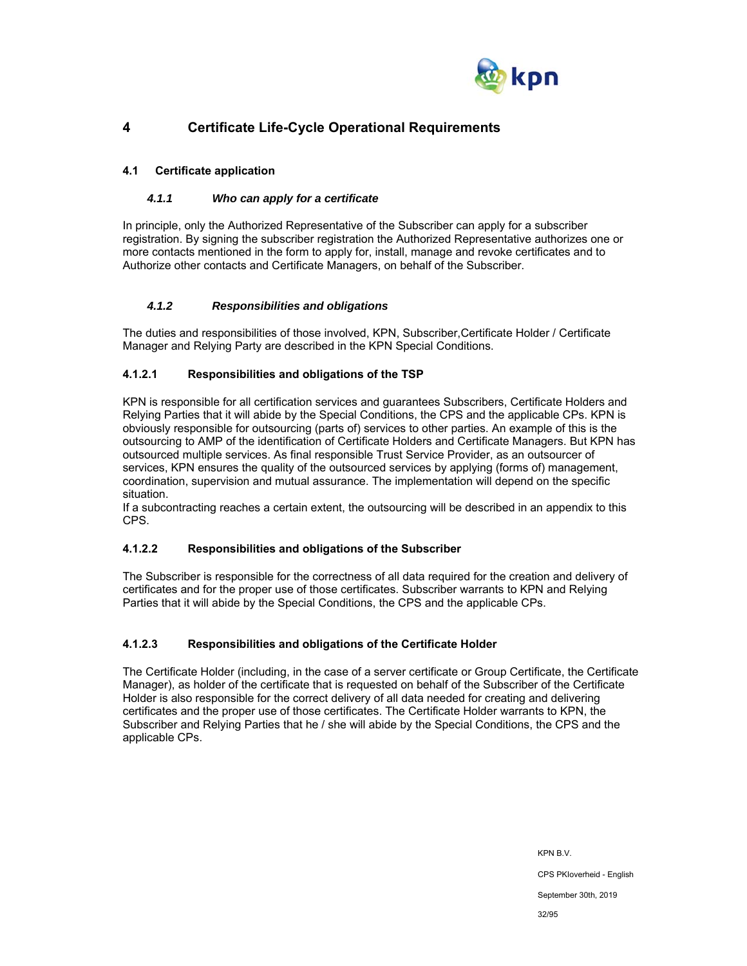

## **4 Certificate Life-Cycle Operational Requirements**

## **4.1 Certificate application**

## *4.1.1 Who can apply for a certificate*

In principle, only the Authorized Representative of the Subscriber can apply for a subscriber registration. By signing the subscriber registration the Authorized Representative authorizes one or more contacts mentioned in the form to apply for, install, manage and revoke certificates and to Authorize other contacts and Certificate Managers, on behalf of the Subscriber.

## *4.1.2 Responsibilities and obligations*

The duties and responsibilities of those involved, KPN, Subscriber,Certificate Holder / Certificate Manager and Relying Party are described in the KPN Special Conditions.

## **4.1.2.1 Responsibilities and obligations of the TSP**

KPN is responsible for all certification services and guarantees Subscribers, Certificate Holders and Relying Parties that it will abide by the Special Conditions, the CPS and the applicable CPs. KPN is obviously responsible for outsourcing (parts of) services to other parties. An example of this is the outsourcing to AMP of the identification of Certificate Holders and Certificate Managers. But KPN has outsourced multiple services. As final responsible Trust Service Provider, as an outsourcer of services, KPN ensures the quality of the outsourced services by applying (forms of) management, coordination, supervision and mutual assurance. The implementation will depend on the specific situation.

If a subcontracting reaches a certain extent, the outsourcing will be described in an appendix to this CPS.

## **4.1.2.2 Responsibilities and obligations of the Subscriber**

The Subscriber is responsible for the correctness of all data required for the creation and delivery of certificates and for the proper use of those certificates. Subscriber warrants to KPN and Relying Parties that it will abide by the Special Conditions, the CPS and the applicable CPs.

## **4.1.2.3 Responsibilities and obligations of the Certificate Holder**

The Certificate Holder (including, in the case of a server certificate or Group Certificate, the Certificate Manager), as holder of the certificate that is requested on behalf of the Subscriber of the Certificate Holder is also responsible for the correct delivery of all data needed for creating and delivering certificates and the proper use of those certificates. The Certificate Holder warrants to KPN, the Subscriber and Relying Parties that he / she will abide by the Special Conditions, the CPS and the applicable CPs.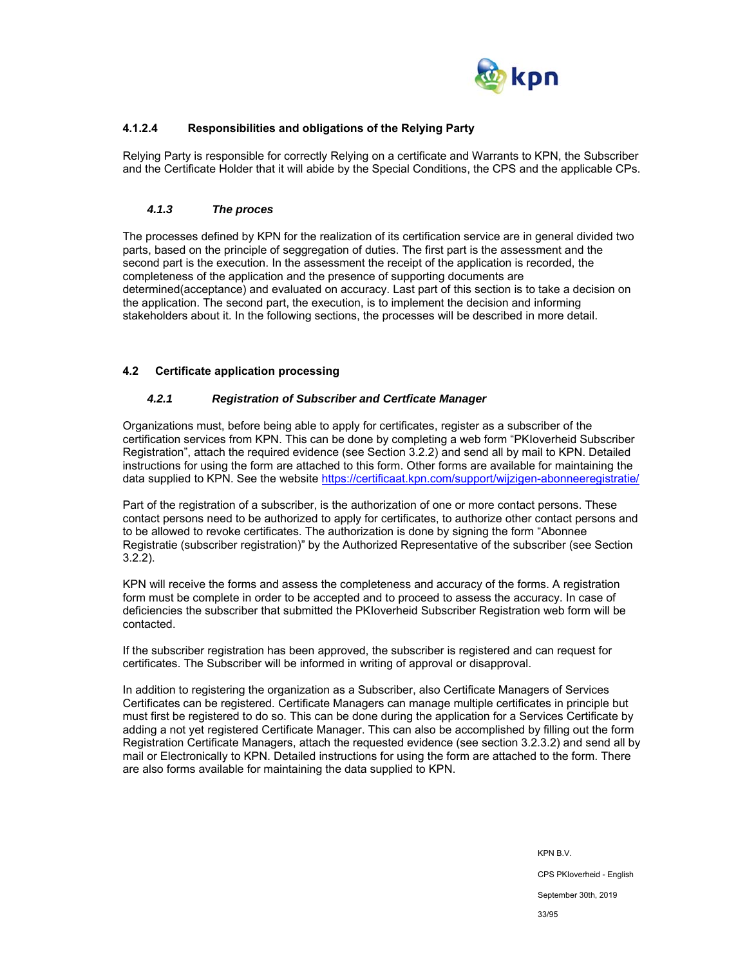

## **4.1.2.4 Responsibilities and obligations of the Relying Party**

Relying Party is responsible for correctly Relying on a certificate and Warrants to KPN, the Subscriber and the Certificate Holder that it will abide by the Special Conditions, the CPS and the applicable CPs.

#### *4.1.3 The proces*

The processes defined by KPN for the realization of its certification service are in general divided two parts, based on the principle of seggregation of duties. The first part is the assessment and the second part is the execution. In the assessment the receipt of the application is recorded, the completeness of the application and the presence of supporting documents are determined(acceptance) and evaluated on accuracy. Last part of this section is to take a decision on the application. The second part, the execution, is to implement the decision and informing stakeholders about it. In the following sections, the processes will be described in more detail.

#### **4.2 Certificate application processing**

#### *4.2.1 Registration of Subscriber and Certficate Manager*

Organizations must, before being able to apply for certificates, register as a subscriber of the certification services from KPN. This can be done by completing a web form "PKIoverheid Subscriber Registration", attach the required evidence (see Section 3.2.2) and send all by mail to KPN. Detailed instructions for using the form are attached to this form. Other forms are available for maintaining the data supplied to KPN. See the website https://certificaat.kpn.com/support/wijzigen-abonneeregistratie/

Part of the registration of a subscriber, is the authorization of one or more contact persons. These contact persons need to be authorized to apply for certificates, to authorize other contact persons and to be allowed to revoke certificates. The authorization is done by signing the form "Abonnee Registratie (subscriber registration)" by the Authorized Representative of the subscriber (see Section 3.2.2).

KPN will receive the forms and assess the completeness and accuracy of the forms. A registration form must be complete in order to be accepted and to proceed to assess the accuracy. In case of deficiencies the subscriber that submitted the PKIoverheid Subscriber Registration web form will be contacted.

If the subscriber registration has been approved, the subscriber is registered and can request for certificates. The Subscriber will be informed in writing of approval or disapproval.

In addition to registering the organization as a Subscriber, also Certificate Managers of Services Certificates can be registered. Certificate Managers can manage multiple certificates in principle but must first be registered to do so. This can be done during the application for a Services Certificate by adding a not yet registered Certificate Manager. This can also be accomplished by filling out the form Registration Certificate Managers, attach the requested evidence (see section 3.2.3.2) and send all by mail or Electronically to KPN. Detailed instructions for using the form are attached to the form. There are also forms available for maintaining the data supplied to KPN.

> KPN B.V. CPS PKIoverheid - English September 30th, 2019 33/95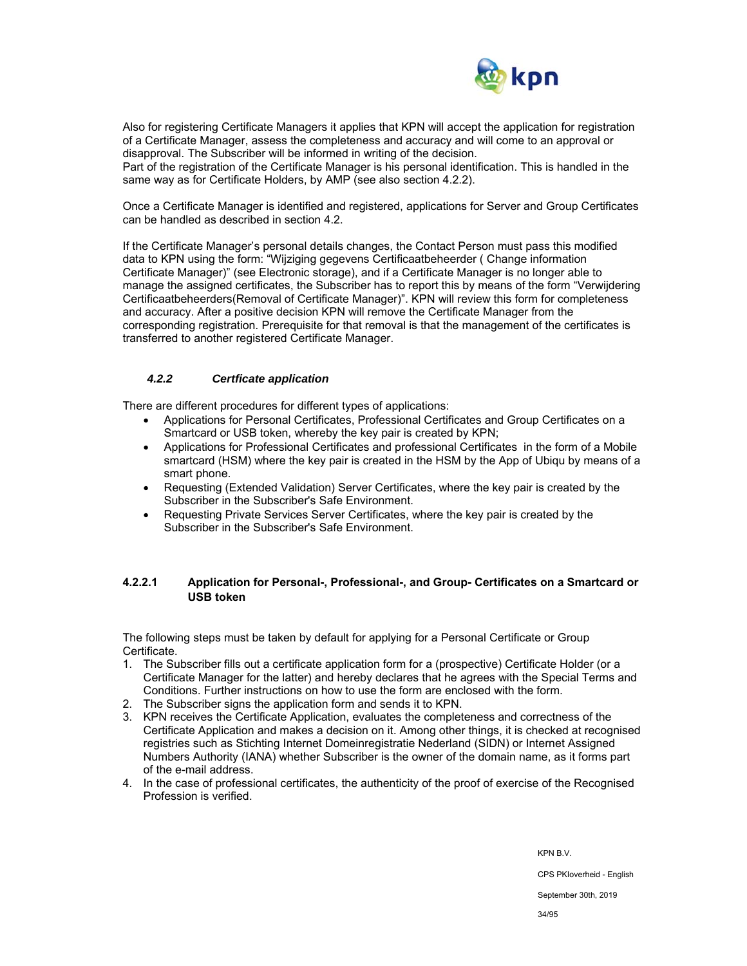

Also for registering Certificate Managers it applies that KPN will accept the application for registration of a Certificate Manager, assess the completeness and accuracy and will come to an approval or disapproval. The Subscriber will be informed in writing of the decision.

Part of the registration of the Certificate Manager is his personal identification. This is handled in the same way as for Certificate Holders, by AMP (see also section 4.2.2).

Once a Certificate Manager is identified and registered, applications for Server and Group Certificates can be handled as described in section 4.2.

If the Certificate Manager's personal details changes, the Contact Person must pass this modified data to KPN using the form: "Wijziging gegevens Certificaatbeheerder ( Change information Certificate Manager)" (see Electronic storage), and if a Certificate Manager is no longer able to manage the assigned certificates, the Subscriber has to report this by means of the form "Verwijdering Certificaatbeheerders(Removal of Certificate Manager)". KPN will review this form for completeness and accuracy. After a positive decision KPN will remove the Certificate Manager from the corresponding registration. Prerequisite for that removal is that the management of the certificates is transferred to another registered Certificate Manager.

#### *4.2.2 Certficate application*

There are different procedures for different types of applications:

- Applications for Personal Certificates, Professional Certificates and Group Certificates on a Smartcard or USB token, whereby the key pair is created by KPN;
- Applications for Professional Certificates and professional Certificates in the form of a Mobile smartcard (HSM) where the key pair is created in the HSM by the App of Ubiqu by means of a smart phone.
- Requesting (Extended Validation) Server Certificates, where the key pair is created by the Subscriber in the Subscriber's Safe Environment.
- Requesting Private Services Server Certificates, where the key pair is created by the Subscriber in the Subscriber's Safe Environment.

## **4.2.2.1 Application for Personal-, Professional-, and Group- Certificates on a Smartcard or USB token**

The following steps must be taken by default for applying for a Personal Certificate or Group Certificate.

- 1. The Subscriber fills out a certificate application form for a (prospective) Certificate Holder (or a Certificate Manager for the latter) and hereby declares that he agrees with the Special Terms and Conditions. Further instructions on how to use the form are enclosed with the form.
- 2. The Subscriber signs the application form and sends it to KPN.
- 3. KPN receives the Certificate Application, evaluates the completeness and correctness of the Certificate Application and makes a decision on it. Among other things, it is checked at recognised registries such as Stichting Internet Domeinregistratie Nederland (SIDN) or Internet Assigned Numbers Authority (IANA) whether Subscriber is the owner of the domain name, as it forms part of the e-mail address.
- 4. In the case of professional certificates, the authenticity of the proof of exercise of the Recognised Profession is verified.

KPN B.V.

CPS PKIoverheid - English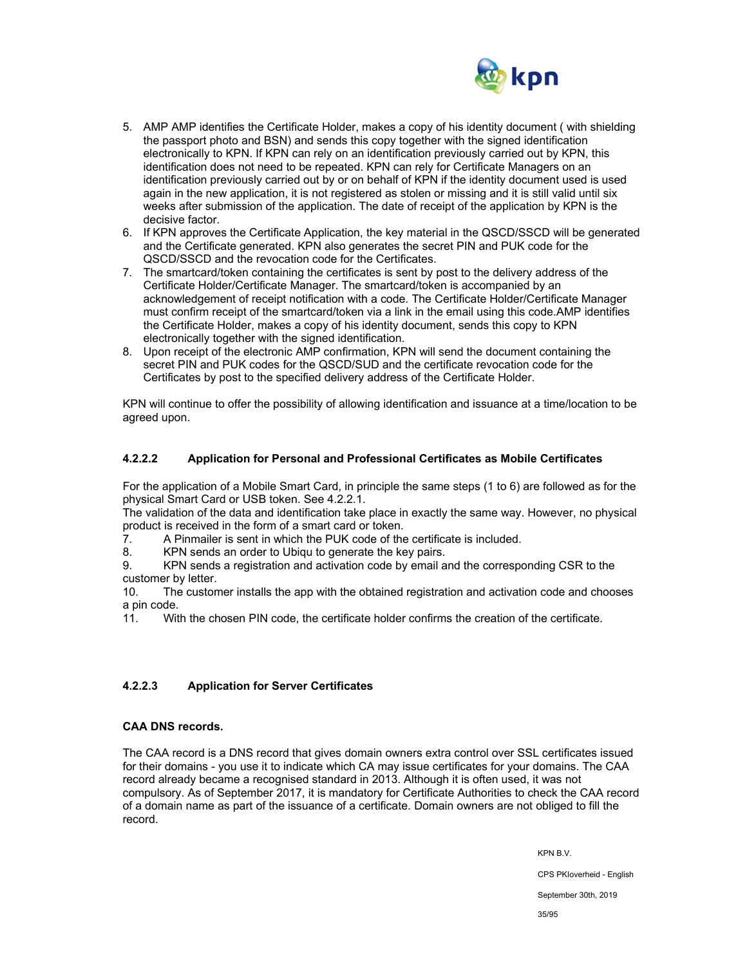

- 5. AMP AMP identifies the Certificate Holder, makes a copy of his identity document ( with shielding the passport photo and BSN) and sends this copy together with the signed identification electronically to KPN. If KPN can rely on an identification previously carried out by KPN, this identification does not need to be repeated. KPN can rely for Certificate Managers on an identification previously carried out by or on behalf of KPN if the identity document used is used again in the new application, it is not registered as stolen or missing and it is still valid until six weeks after submission of the application. The date of receipt of the application by KPN is the decisive factor.
- 6. If KPN approves the Certificate Application, the key material in the QSCD/SSCD will be generated and the Certificate generated. KPN also generates the secret PIN and PUK code for the QSCD/SSCD and the revocation code for the Certificates.
- 7. The smartcard/token containing the certificates is sent by post to the delivery address of the Certificate Holder/Certificate Manager. The smartcard/token is accompanied by an acknowledgement of receipt notification with a code. The Certificate Holder/Certificate Manager must confirm receipt of the smartcard/token via a link in the email using this code.AMP identifies the Certificate Holder, makes a copy of his identity document, sends this copy to KPN electronically together with the signed identification.
- 8. Upon receipt of the electronic AMP confirmation, KPN will send the document containing the secret PIN and PUK codes for the QSCD/SUD and the certificate revocation code for the Certificates by post to the specified delivery address of the Certificate Holder.

KPN will continue to offer the possibility of allowing identification and issuance at a time/location to be agreed upon.

## **4.2.2.2 Application for Personal and Professional Certificates as Mobile Certificates**

For the application of a Mobile Smart Card, in principle the same steps (1 to 6) are followed as for the physical Smart Card or USB token. See 4.2.2.1.

The validation of the data and identification take place in exactly the same way. However, no physical product is received in the form of a smart card or token.

7. A Pinmailer is sent in which the PUK code of the certificate is included.

8. KPN sends an order to Ubiqu to generate the key pairs.

9. KPN sends a registration and activation code by email and the corresponding CSR to the customer by letter.

10. The customer installs the app with the obtained registration and activation code and chooses a pin code.

11. With the chosen PIN code, the certificate holder confirms the creation of the certificate.

## **4.2.2.3 Application for Server Certificates**

## **CAA DNS records.**

The CAA record is a DNS record that gives domain owners extra control over SSL certificates issued for their domains - you use it to indicate which CA may issue certificates for your domains. The CAA record already became a recognised standard in 2013. Although it is often used, it was not compulsory. As of September 2017, it is mandatory for Certificate Authorities to check the CAA record of a domain name as part of the issuance of a certificate. Domain owners are not obliged to fill the record.

KPN B.V.

CPS PKIoverheid - English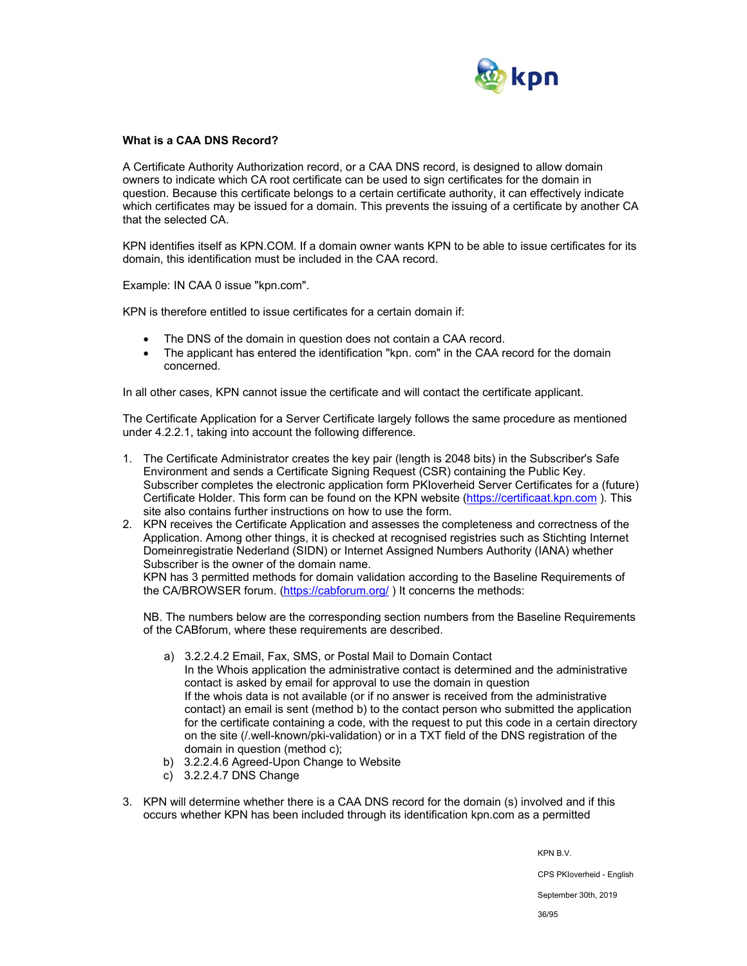

#### **What is a CAA DNS Record?**

A Certificate Authority Authorization record, or a CAA DNS record, is designed to allow domain owners to indicate which CA root certificate can be used to sign certificates for the domain in question. Because this certificate belongs to a certain certificate authority, it can effectively indicate which certificates may be issued for a domain. This prevents the issuing of a certificate by another CA that the selected CA.

KPN identifies itself as KPN.COM. If a domain owner wants KPN to be able to issue certificates for its domain, this identification must be included in the CAA record.

Example: IN CAA 0 issue "kpn.com".

KPN is therefore entitled to issue certificates for a certain domain if:

- The DNS of the domain in question does not contain a CAA record.
- The applicant has entered the identification "kpn. com" in the CAA record for the domain concerned.

In all other cases, KPN cannot issue the certificate and will contact the certificate applicant.

The Certificate Application for a Server Certificate largely follows the same procedure as mentioned under 4.2.2.1, taking into account the following difference.

- 1. The Certificate Administrator creates the key pair (length is 2048 bits) in the Subscriber's Safe Environment and sends a Certificate Signing Request (CSR) containing the Public Key. Subscriber completes the electronic application form PKIoverheid Server Certificates for a (future) Certificate Holder. This form can be found on the KPN website (https://certificaat.kpn.com ). This site also contains further instructions on how to use the form.
- 2. KPN receives the Certificate Application and assesses the completeness and correctness of the Application. Among other things, it is checked at recognised registries such as Stichting Internet Domeinregistratie Nederland (SIDN) or Internet Assigned Numbers Authority (IANA) whether Subscriber is the owner of the domain name.

KPN has 3 permitted methods for domain validation according to the Baseline Requirements of the CA/BROWSER forum. (https://cabforum.org/) It concerns the methods:

NB. The numbers below are the corresponding section numbers from the Baseline Requirements of the CABforum, where these requirements are described.

- a) 3.2.2.4.2 Email, Fax, SMS, or Postal Mail to Domain Contact
- In the Whois application the administrative contact is determined and the administrative contact is asked by email for approval to use the domain in question If the whois data is not available (or if no answer is received from the administrative contact) an email is sent (method b) to the contact person who submitted the application for the certificate containing a code, with the request to put this code in a certain directory on the site (/.well-known/pki-validation) or in a TXT field of the DNS registration of the domain in question (method c);
- b) 3.2.2.4.6 Agreed-Upon Change to Website
- c) 3.2.2.4.7 DNS Change
- 3. KPN will determine whether there is a CAA DNS record for the domain (s) involved and if this occurs whether KPN has been included through its identification kpn.com as a permitted

KPN B.V.

CPS PKIoverheid - English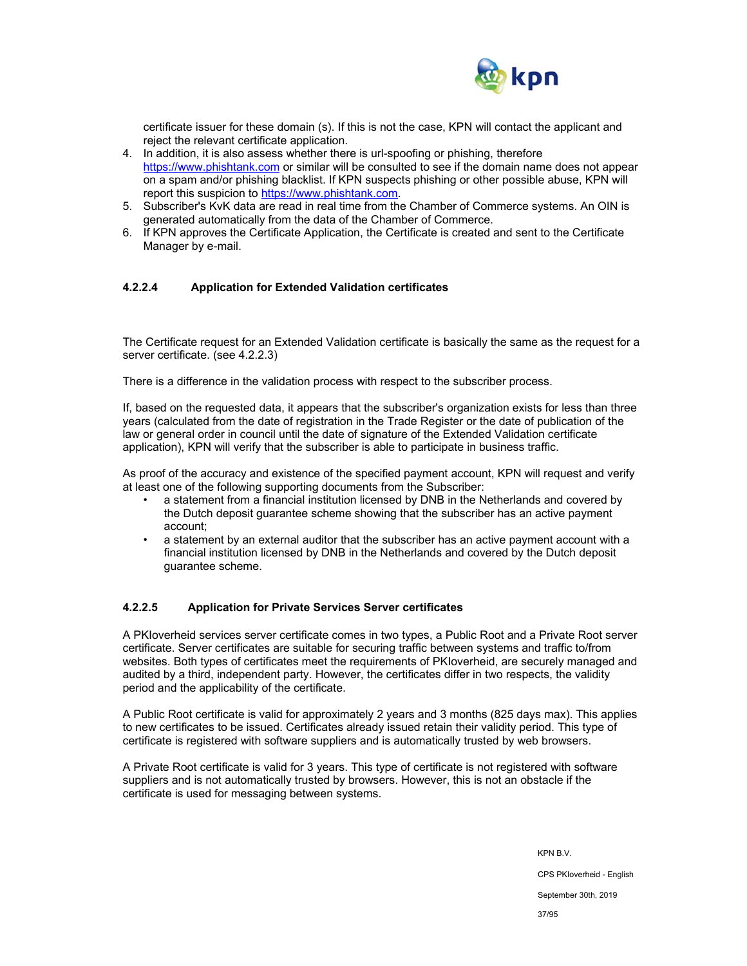

certificate issuer for these domain (s). If this is not the case, KPN will contact the applicant and reject the relevant certificate application.

- 4. In addition, it is also assess whether there is url-spoofing or phishing, therefore https://www.phishtank.com or similar will be consulted to see if the domain name does not appear on a spam and/or phishing blacklist. If KPN suspects phishing or other possible abuse, KPN will report this suspicion to https://www.phishtank.com.
- 5. Subscriber's KvK data are read in real time from the Chamber of Commerce systems. An OIN is generated automatically from the data of the Chamber of Commerce.
- 6. If KPN approves the Certificate Application, the Certificate is created and sent to the Certificate Manager by e-mail.

#### **4.2.2.4 Application for Extended Validation certificates**

The Certificate request for an Extended Validation certificate is basically the same as the request for a server certificate. (see 4.2.2.3)

There is a difference in the validation process with respect to the subscriber process.

If, based on the requested data, it appears that the subscriber's organization exists for less than three years (calculated from the date of registration in the Trade Register or the date of publication of the law or general order in council until the date of signature of the Extended Validation certificate application), KPN will verify that the subscriber is able to participate in business traffic.

As proof of the accuracy and existence of the specified payment account, KPN will request and verify at least one of the following supporting documents from the Subscriber:

- a statement from a financial institution licensed by DNB in the Netherlands and covered by the Dutch deposit guarantee scheme showing that the subscriber has an active payment account;
- a statement by an external auditor that the subscriber has an active payment account with a financial institution licensed by DNB in the Netherlands and covered by the Dutch deposit guarantee scheme.

#### **4.2.2.5 Application for Private Services Server certificates**

A PKIoverheid services server certificate comes in two types, a Public Root and a Private Root server certificate. Server certificates are suitable for securing traffic between systems and traffic to/from websites. Both types of certificates meet the requirements of PKIoverheid, are securely managed and audited by a third, independent party. However, the certificates differ in two respects, the validity period and the applicability of the certificate.

A Public Root certificate is valid for approximately 2 years and 3 months (825 days max). This applies to new certificates to be issued. Certificates already issued retain their validity period. This type of certificate is registered with software suppliers and is automatically trusted by web browsers.

A Private Root certificate is valid for 3 years. This type of certificate is not registered with software suppliers and is not automatically trusted by browsers. However, this is not an obstacle if the certificate is used for messaging between systems.

> KPN B.V. CPS PKIoverheid - English September 30th, 2019 37/95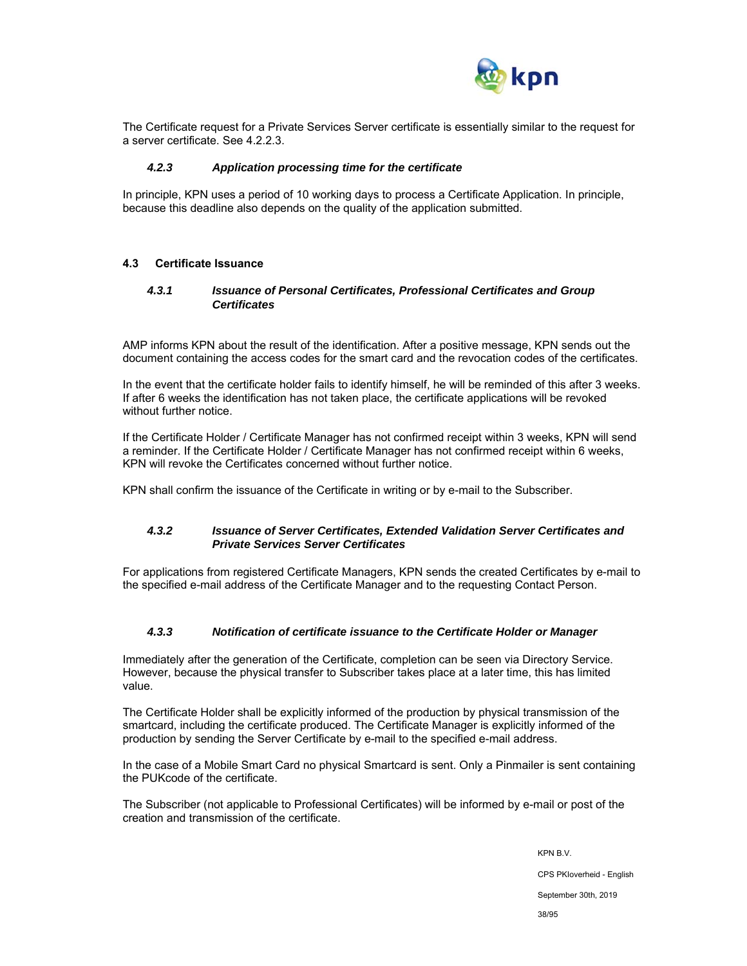

The Certificate request for a Private Services Server certificate is essentially similar to the request for a server certificate. See 4.2.2.3.

#### *4.2.3 Application processing time for the certificate*

In principle, KPN uses a period of 10 working days to process a Certificate Application. In principle, because this deadline also depends on the quality of the application submitted.

#### **4.3 Certificate Issuance**

#### *4.3.1 Issuance of Personal Certificates, Professional Certificates and Group Certificates*

AMP informs KPN about the result of the identification. After a positive message, KPN sends out the document containing the access codes for the smart card and the revocation codes of the certificates.

In the event that the certificate holder fails to identify himself, he will be reminded of this after 3 weeks. If after 6 weeks the identification has not taken place, the certificate applications will be revoked without further notice.

If the Certificate Holder / Certificate Manager has not confirmed receipt within 3 weeks, KPN will send a reminder. If the Certificate Holder / Certificate Manager has not confirmed receipt within 6 weeks, KPN will revoke the Certificates concerned without further notice.

KPN shall confirm the issuance of the Certificate in writing or by e-mail to the Subscriber.

#### *4.3.2 Issuance of Server Certificates, Extended Validation Server Certificates and Private Services Server Certificates*

For applications from registered Certificate Managers, KPN sends the created Certificates by e-mail to the specified e-mail address of the Certificate Manager and to the requesting Contact Person.

#### *4.3.3 Notification of certificate issuance to the Certificate Holder or Manager*

Immediately after the generation of the Certificate, completion can be seen via Directory Service. However, because the physical transfer to Subscriber takes place at a later time, this has limited value.

The Certificate Holder shall be explicitly informed of the production by physical transmission of the smartcard, including the certificate produced. The Certificate Manager is explicitly informed of the production by sending the Server Certificate by e-mail to the specified e-mail address.

In the case of a Mobile Smart Card no physical Smartcard is sent. Only a Pinmailer is sent containing the PUKcode of the certificate.

The Subscriber (not applicable to Professional Certificates) will be informed by e-mail or post of the creation and transmission of the certificate.

> KPN B.V. CPS PKIoverheid - English September 30th, 2019 38/95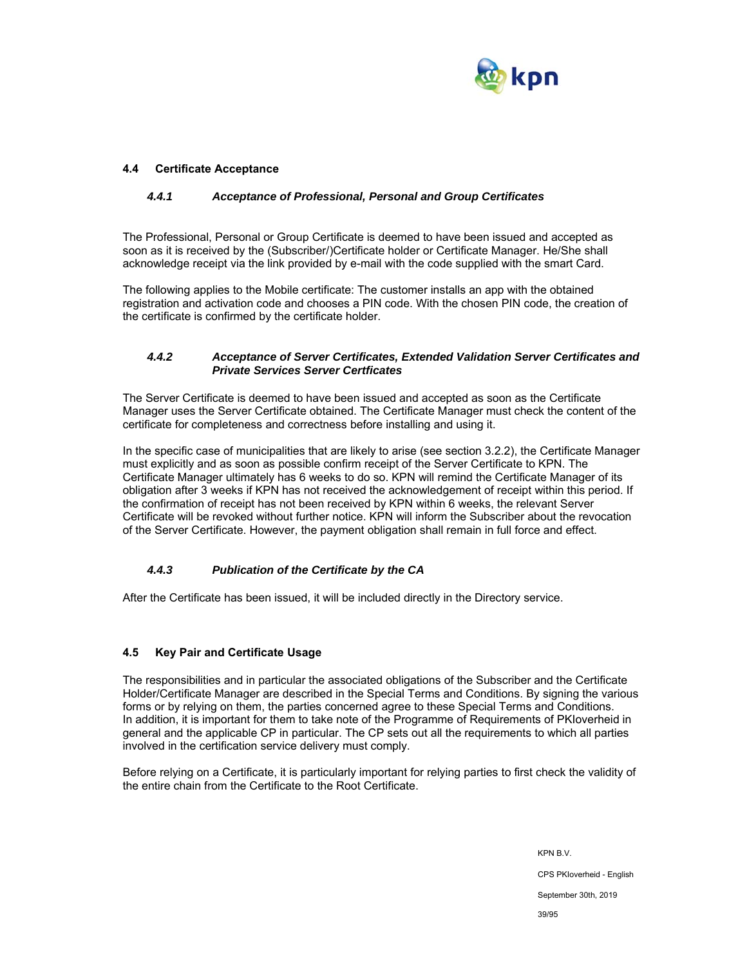

## **4.4 Certificate Acceptance**

#### *4.4.1 Acceptance of Professional, Personal and Group Certificates*

The Professional, Personal or Group Certificate is deemed to have been issued and accepted as soon as it is received by the (Subscriber/)Certificate holder or Certificate Manager. He/She shall acknowledge receipt via the link provided by e-mail with the code supplied with the smart Card.

The following applies to the Mobile certificate: The customer installs an app with the obtained registration and activation code and chooses a PIN code. With the chosen PIN code, the creation of the certificate is confirmed by the certificate holder.

## *4.4.2 Acceptance of Server Certificates, Extended Validation Server Certificates and Private Services Server Certficates*

The Server Certificate is deemed to have been issued and accepted as soon as the Certificate Manager uses the Server Certificate obtained. The Certificate Manager must check the content of the certificate for completeness and correctness before installing and using it.

In the specific case of municipalities that are likely to arise (see section 3.2.2), the Certificate Manager must explicitly and as soon as possible confirm receipt of the Server Certificate to KPN. The Certificate Manager ultimately has 6 weeks to do so. KPN will remind the Certificate Manager of its obligation after 3 weeks if KPN has not received the acknowledgement of receipt within this period. If the confirmation of receipt has not been received by KPN within 6 weeks, the relevant Server Certificate will be revoked without further notice. KPN will inform the Subscriber about the revocation of the Server Certificate. However, the payment obligation shall remain in full force and effect.

## *4.4.3 Publication of the Certificate by the CA*

After the Certificate has been issued, it will be included directly in the Directory service.

## **4.5 Key Pair and Certificate Usage**

The responsibilities and in particular the associated obligations of the Subscriber and the Certificate Holder/Certificate Manager are described in the Special Terms and Conditions. By signing the various forms or by relying on them, the parties concerned agree to these Special Terms and Conditions. In addition, it is important for them to take note of the Programme of Requirements of PKIoverheid in general and the applicable CP in particular. The CP sets out all the requirements to which all parties involved in the certification service delivery must comply.

Before relying on a Certificate, it is particularly important for relying parties to first check the validity of the entire chain from the Certificate to the Root Certificate.

> KPN B.V. CPS PKIoverheid - English September 30th, 2019 39/95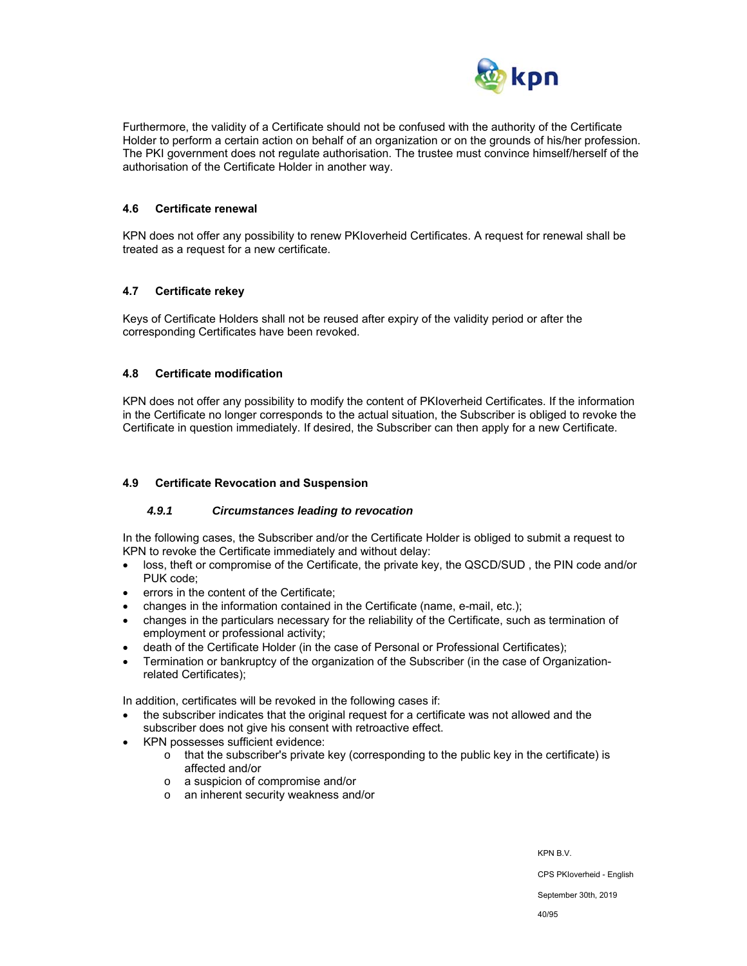

Furthermore, the validity of a Certificate should not be confused with the authority of the Certificate Holder to perform a certain action on behalf of an organization or on the grounds of his/her profession. The PKI government does not regulate authorisation. The trustee must convince himself/herself of the authorisation of the Certificate Holder in another way.

#### **4.6 Certificate renewal**

KPN does not offer any possibility to renew PKIoverheid Certificates. A request for renewal shall be treated as a request for a new certificate.

#### **4.7 Certificate rekey**

Keys of Certificate Holders shall not be reused after expiry of the validity period or after the corresponding Certificates have been revoked.

#### **4.8 Certificate modification**

KPN does not offer any possibility to modify the content of PKIoverheid Certificates. If the information in the Certificate no longer corresponds to the actual situation, the Subscriber is obliged to revoke the Certificate in question immediately. If desired, the Subscriber can then apply for a new Certificate.

#### **4.9 Certificate Revocation and Suspension**

#### *4.9.1 Circumstances leading to revocation*

In the following cases, the Subscriber and/or the Certificate Holder is obliged to submit a request to KPN to revoke the Certificate immediately and without delay:

- loss, theft or compromise of the Certificate, the private key, the QSCD/SUD , the PIN code and/or PUK code;
- errors in the content of the Certificate;
- changes in the information contained in the Certificate (name, e-mail, etc.);
- changes in the particulars necessary for the reliability of the Certificate, such as termination of employment or professional activity;
- death of the Certificate Holder (in the case of Personal or Professional Certificates);
- Termination or bankruptcy of the organization of the Subscriber (in the case of Organizationrelated Certificates);

In addition, certificates will be revoked in the following cases if:

- the subscriber indicates that the original request for a certificate was not allowed and the subscriber does not give his consent with retroactive effect.
- KPN possesses sufficient evidence:
	- $\circ$  that the subscriber's private key (corresponding to the public key in the certificate) is affected and/or
	- o a suspicion of compromise and/or
	- o an inherent security weakness and/or

KPN B.V.

CPS PKIoverheid - English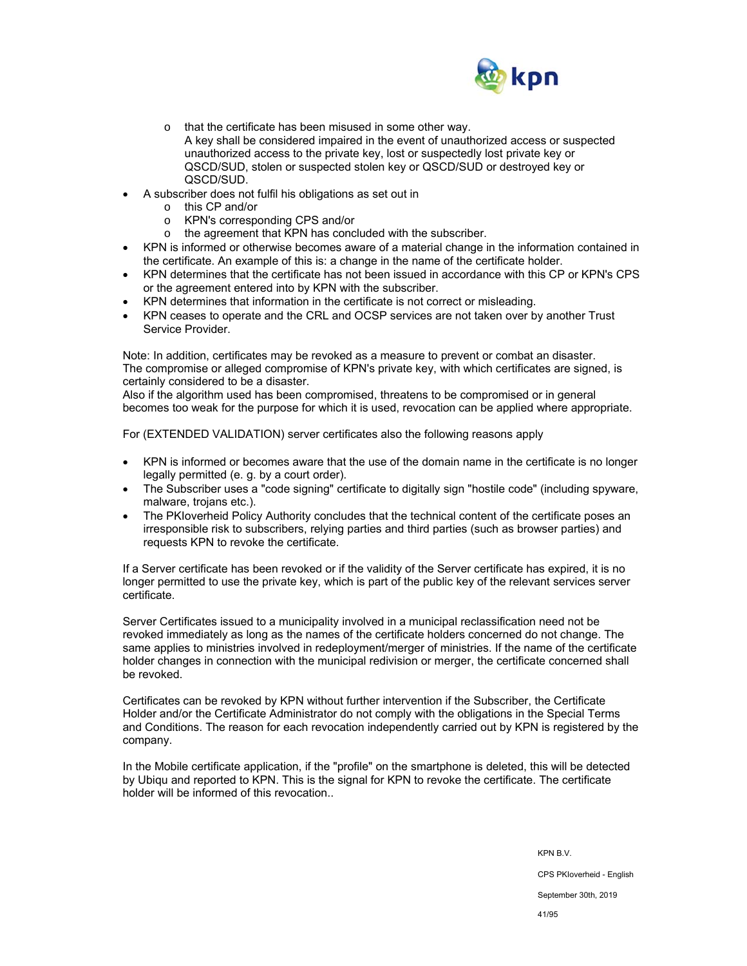

o that the certificate has been misused in some other way.

A key shall be considered impaired in the event of unauthorized access or suspected unauthorized access to the private key, lost or suspectedly lost private key or QSCD/SUD, stolen or suspected stolen key or QSCD/SUD or destroyed key or QSCD/SUD.

- A subscriber does not fulfil his obligations as set out in
	- o this CP and/or
	- o KPN's corresponding CPS and/or
	- o the agreement that KPN has concluded with the subscriber.
- KPN is informed or otherwise becomes aware of a material change in the information contained in the certificate. An example of this is: a change in the name of the certificate holder.
- KPN determines that the certificate has not been issued in accordance with this CP or KPN's CPS or the agreement entered into by KPN with the subscriber.
- KPN determines that information in the certificate is not correct or misleading.
- KPN ceases to operate and the CRL and OCSP services are not taken over by another Trust Service Provider.

Note: In addition, certificates may be revoked as a measure to prevent or combat an disaster. The compromise or alleged compromise of KPN's private key, with which certificates are signed, is certainly considered to be a disaster.

Also if the algorithm used has been compromised, threatens to be compromised or in general becomes too weak for the purpose for which it is used, revocation can be applied where appropriate.

For (EXTENDED VALIDATION) server certificates also the following reasons apply

- KPN is informed or becomes aware that the use of the domain name in the certificate is no longer legally permitted (e. g. by a court order).
- The Subscriber uses a "code signing" certificate to digitally sign "hostile code" (including spyware, malware, trojans etc.).
- The PKIoverheid Policy Authority concludes that the technical content of the certificate poses an irresponsible risk to subscribers, relying parties and third parties (such as browser parties) and requests KPN to revoke the certificate.

If a Server certificate has been revoked or if the validity of the Server certificate has expired, it is no longer permitted to use the private key, which is part of the public key of the relevant services server certificate.

Server Certificates issued to a municipality involved in a municipal reclassification need not be revoked immediately as long as the names of the certificate holders concerned do not change. The same applies to ministries involved in redeployment/merger of ministries. If the name of the certificate holder changes in connection with the municipal redivision or merger, the certificate concerned shall be revoked.

Certificates can be revoked by KPN without further intervention if the Subscriber, the Certificate Holder and/or the Certificate Administrator do not comply with the obligations in the Special Terms and Conditions. The reason for each revocation independently carried out by KPN is registered by the company.

In the Mobile certificate application, if the "profile" on the smartphone is deleted, this will be detected by Ubiqu and reported to KPN. This is the signal for KPN to revoke the certificate. The certificate holder will be informed of this revocation..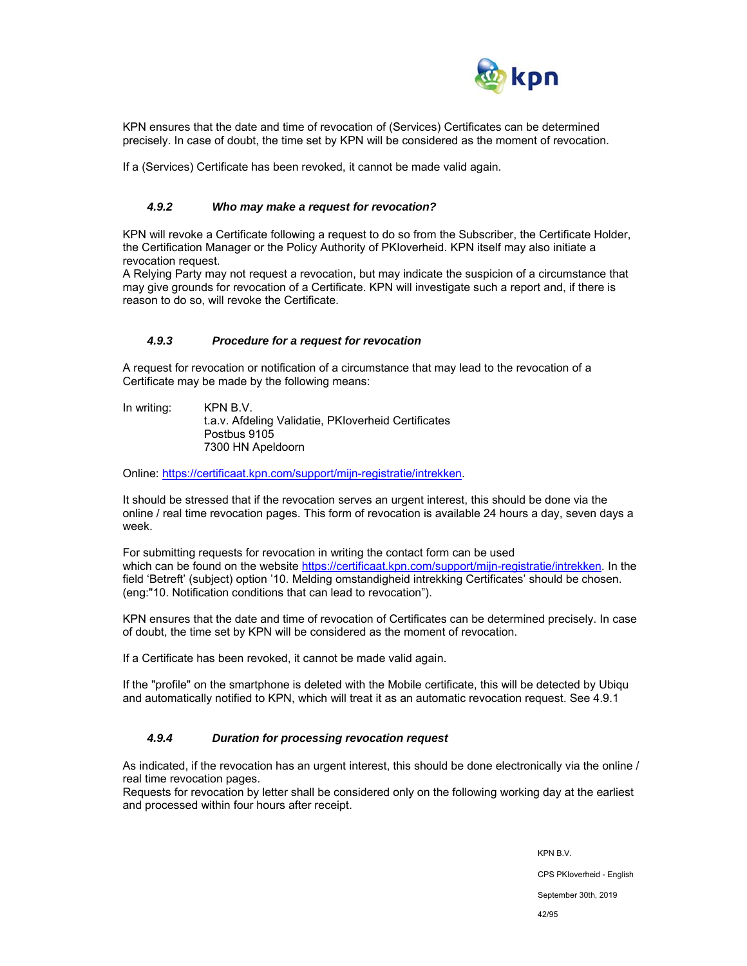

KPN ensures that the date and time of revocation of (Services) Certificates can be determined precisely. In case of doubt, the time set by KPN will be considered as the moment of revocation.

If a (Services) Certificate has been revoked, it cannot be made valid again.

#### *4.9.2 Who may make a request for revocation?*

KPN will revoke a Certificate following a request to do so from the Subscriber, the Certificate Holder, the Certification Manager or the Policy Authority of PKIoverheid. KPN itself may also initiate a revocation request.

A Relying Party may not request a revocation, but may indicate the suspicion of a circumstance that may give grounds for revocation of a Certificate. KPN will investigate such a report and, if there is reason to do so, will revoke the Certificate.

#### *4.9.3 Procedure for a request for revocation*

A request for revocation or notification of a circumstance that may lead to the revocation of a Certificate may be made by the following means:

In writing: KPN B.V. t.a.v. Afdeling Validatie, PKIoverheid Certificates Postbus 9105 7300 HN Apeldoorn

Online: https://certificaat.kpn.com/support/mijn-registratie/intrekken.

It should be stressed that if the revocation serves an urgent interest, this should be done via the online / real time revocation pages. This form of revocation is available 24 hours a day, seven days a week.

For submitting requests for revocation in writing the contact form can be used which can be found on the website https://certificaat.kpn.com/support/mijn-registratie/intrekken. In the field 'Betreft' (subject) option '10. Melding omstandigheid intrekking Certificates' should be chosen. (eng:"10. Notification conditions that can lead to revocation").

KPN ensures that the date and time of revocation of Certificates can be determined precisely. In case of doubt, the time set by KPN will be considered as the moment of revocation.

If a Certificate has been revoked, it cannot be made valid again.

If the "profile" on the smartphone is deleted with the Mobile certificate, this will be detected by Ubiqu and automatically notified to KPN, which will treat it as an automatic revocation request. See 4.9.1

#### *4.9.4 Duration for processing revocation request*

As indicated, if the revocation has an urgent interest, this should be done electronically via the online / real time revocation pages.

Requests for revocation by letter shall be considered only on the following working day at the earliest and processed within four hours after receipt.

> KPN B.V. CPS PKIoverheid - English September 30th, 2019 42/95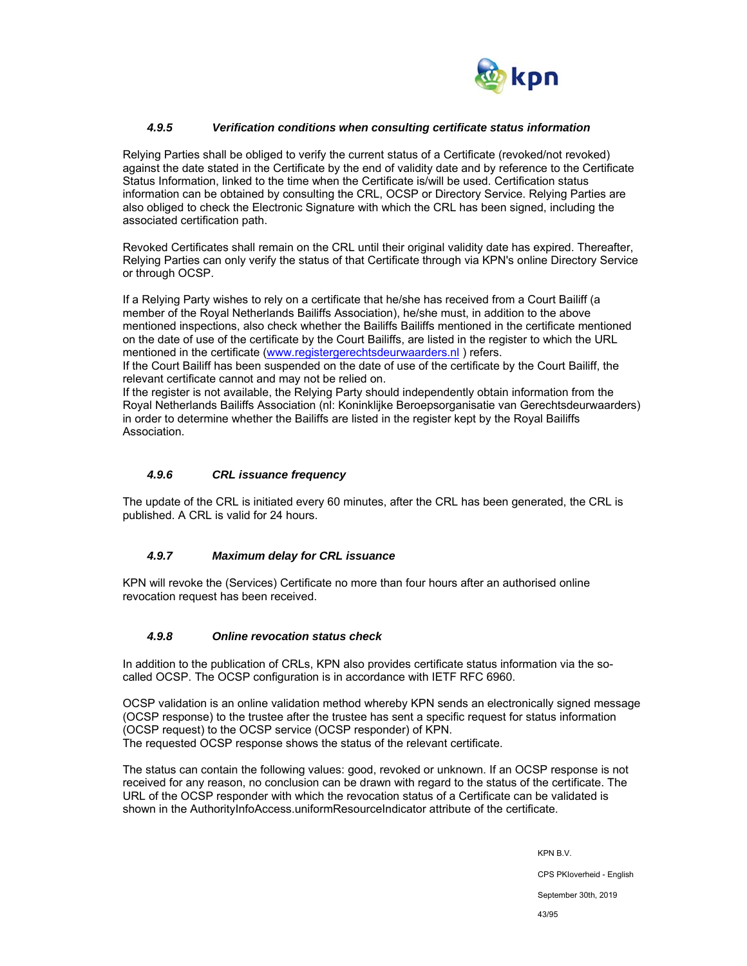

## *4.9.5 Verification conditions when consulting certificate status information*

Relying Parties shall be obliged to verify the current status of a Certificate (revoked/not revoked) against the date stated in the Certificate by the end of validity date and by reference to the Certificate Status Information, linked to the time when the Certificate is/will be used. Certification status information can be obtained by consulting the CRL, OCSP or Directory Service. Relying Parties are also obliged to check the Electronic Signature with which the CRL has been signed, including the associated certification path.

Revoked Certificates shall remain on the CRL until their original validity date has expired. Thereafter, Relying Parties can only verify the status of that Certificate through via KPN's online Directory Service or through OCSP.

If a Relying Party wishes to rely on a certificate that he/she has received from a Court Bailiff (a member of the Royal Netherlands Bailiffs Association), he/she must, in addition to the above mentioned inspections, also check whether the Bailiffs Bailiffs mentioned in the certificate mentioned on the date of use of the certificate by the Court Bailiffs, are listed in the register to which the URL mentioned in the certificate (www.registergerechtsdeurwaarders.nl) refers.

If the Court Bailiff has been suspended on the date of use of the certificate by the Court Bailiff, the relevant certificate cannot and may not be relied on.

If the register is not available, the Relying Party should independently obtain information from the Royal Netherlands Bailiffs Association (nl: Koninklijke Beroepsorganisatie van Gerechtsdeurwaarders) in order to determine whether the Bailiffs are listed in the register kept by the Royal Bailiffs Association.

#### *4.9.6 CRL issuance frequency*

The update of the CRL is initiated every 60 minutes, after the CRL has been generated, the CRL is published. A CRL is valid for 24 hours.

## *4.9.7 Maximum delay for CRL issuance*

KPN will revoke the (Services) Certificate no more than four hours after an authorised online revocation request has been received.

#### *4.9.8 Online revocation status check*

In addition to the publication of CRLs, KPN also provides certificate status information via the socalled OCSP. The OCSP configuration is in accordance with IETF RFC 6960.

OCSP validation is an online validation method whereby KPN sends an electronically signed message (OCSP response) to the trustee after the trustee has sent a specific request for status information (OCSP request) to the OCSP service (OCSP responder) of KPN. The requested OCSP response shows the status of the relevant certificate.

The status can contain the following values: good, revoked or unknown. If an OCSP response is not received for any reason, no conclusion can be drawn with regard to the status of the certificate. The URL of the OCSP responder with which the revocation status of a Certificate can be validated is shown in the AuthorityInfoAccess.uniformResourceIndicator attribute of the certificate.

> KPN B.V. CPS PKIoverheid - English September 30th, 2019 43/95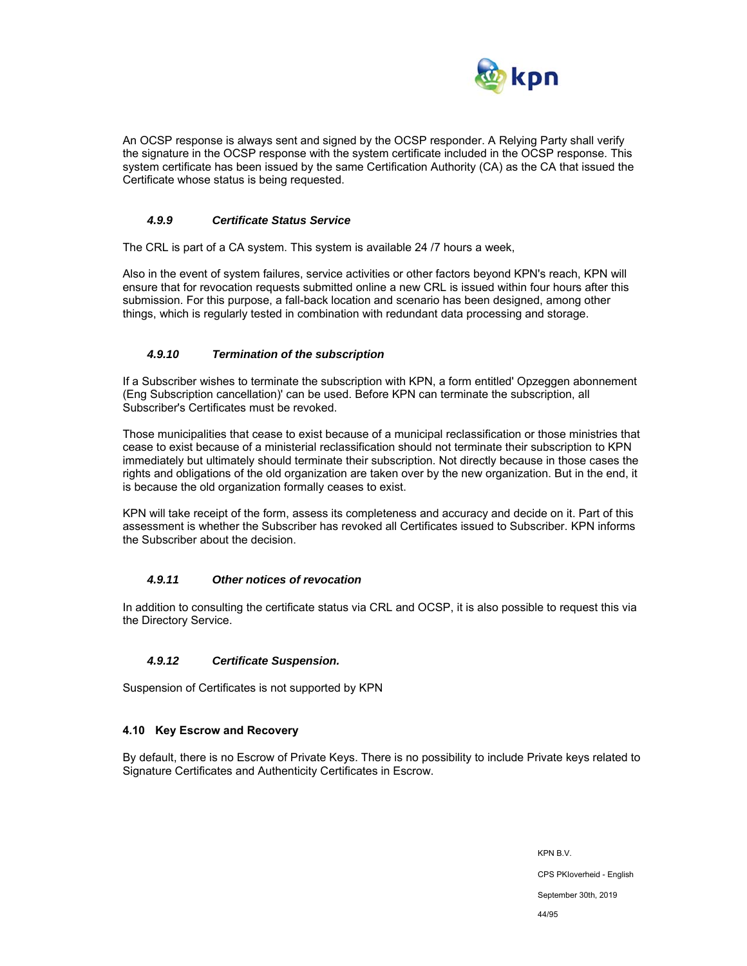

An OCSP response is always sent and signed by the OCSP responder. A Relying Party shall verify the signature in the OCSP response with the system certificate included in the OCSP response. This system certificate has been issued by the same Certification Authority (CA) as the CA that issued the Certificate whose status is being requested.

#### *4.9.9 Certificate Status Service*

The CRL is part of a CA system. This system is available 24 /7 hours a week,

Also in the event of system failures, service activities or other factors beyond KPN's reach, KPN will ensure that for revocation requests submitted online a new CRL is issued within four hours after this submission. For this purpose, a fall-back location and scenario has been designed, among other things, which is regularly tested in combination with redundant data processing and storage.

#### *4.9.10 Termination of the subscription*

If a Subscriber wishes to terminate the subscription with KPN, a form entitled' Opzeggen abonnement (Eng Subscription cancellation)' can be used. Before KPN can terminate the subscription, all Subscriber's Certificates must be revoked.

Those municipalities that cease to exist because of a municipal reclassification or those ministries that cease to exist because of a ministerial reclassification should not terminate their subscription to KPN immediately but ultimately should terminate their subscription. Not directly because in those cases the rights and obligations of the old organization are taken over by the new organization. But in the end, it is because the old organization formally ceases to exist.

KPN will take receipt of the form, assess its completeness and accuracy and decide on it. Part of this assessment is whether the Subscriber has revoked all Certificates issued to Subscriber. KPN informs the Subscriber about the decision.

## *4.9.11 Other notices of revocation*

In addition to consulting the certificate status via CRL and OCSP, it is also possible to request this via the Directory Service.

#### *4.9.12 Certificate Suspension.*

Suspension of Certificates is not supported by KPN

#### **4.10 Key Escrow and Recovery**

By default, there is no Escrow of Private Keys. There is no possibility to include Private keys related to Signature Certificates and Authenticity Certificates in Escrow.

> KPN B.V. CPS PKIoverheid - English September 30th, 2019 44/95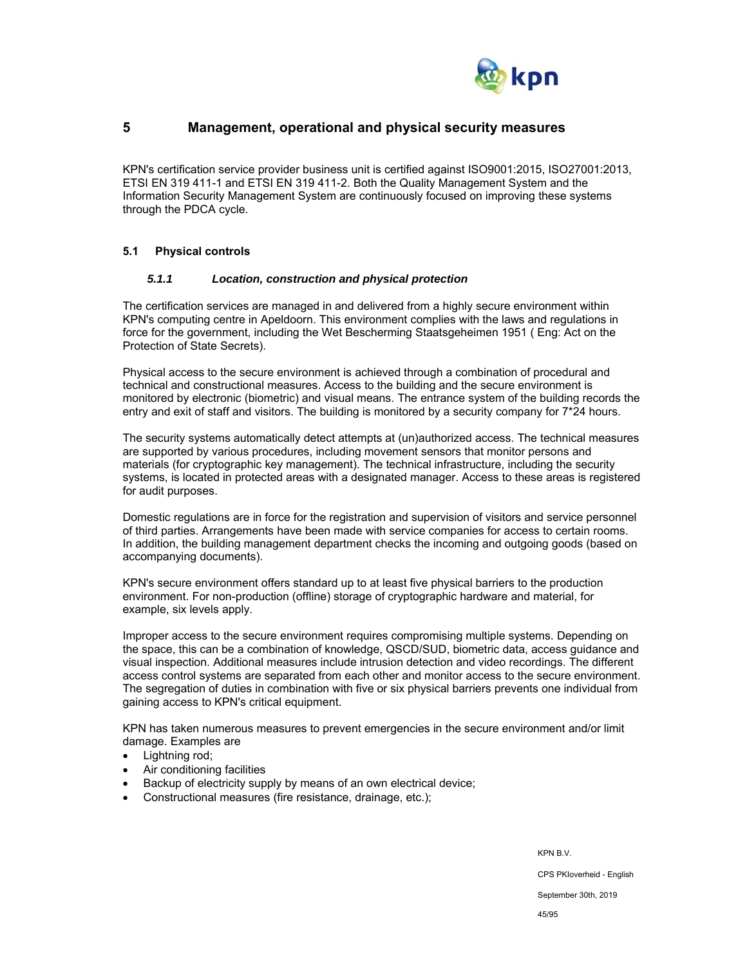

# **5 Management, operational and physical security measures**

KPN's certification service provider business unit is certified against ISO9001:2015, ISO27001:2013, ETSI EN 319 411-1 and ETSI EN 319 411-2. Both the Quality Management System and the Information Security Management System are continuously focused on improving these systems through the PDCA cycle.

#### **5.1 Physical controls**

#### *5.1.1 Location, construction and physical protection*

The certification services are managed in and delivered from a highly secure environment within KPN's computing centre in Apeldoorn. This environment complies with the laws and regulations in force for the government, including the Wet Bescherming Staatsgeheimen 1951 ( Eng: Act on the Protection of State Secrets).

Physical access to the secure environment is achieved through a combination of procedural and technical and constructional measures. Access to the building and the secure environment is monitored by electronic (biometric) and visual means. The entrance system of the building records the entry and exit of staff and visitors. The building is monitored by a security company for 7\*24 hours.

The security systems automatically detect attempts at (un)authorized access. The technical measures are supported by various procedures, including movement sensors that monitor persons and materials (for cryptographic key management). The technical infrastructure, including the security systems, is located in protected areas with a designated manager. Access to these areas is registered for audit purposes.

Domestic regulations are in force for the registration and supervision of visitors and service personnel of third parties. Arrangements have been made with service companies for access to certain rooms. In addition, the building management department checks the incoming and outgoing goods (based on accompanying documents).

KPN's secure environment offers standard up to at least five physical barriers to the production environment. For non-production (offline) storage of cryptographic hardware and material, for example, six levels apply.

Improper access to the secure environment requires compromising multiple systems. Depending on the space, this can be a combination of knowledge, QSCD/SUD, biometric data, access guidance and visual inspection. Additional measures include intrusion detection and video recordings. The different access control systems are separated from each other and monitor access to the secure environment. The segregation of duties in combination with five or six physical barriers prevents one individual from gaining access to KPN's critical equipment.

KPN has taken numerous measures to prevent emergencies in the secure environment and/or limit damage. Examples are

- Lightning rod;
- Air conditioning facilities
- Backup of electricity supply by means of an own electrical device;
- Constructional measures (fire resistance, drainage, etc.);

KPN B.V.

CPS PKIoverheid - English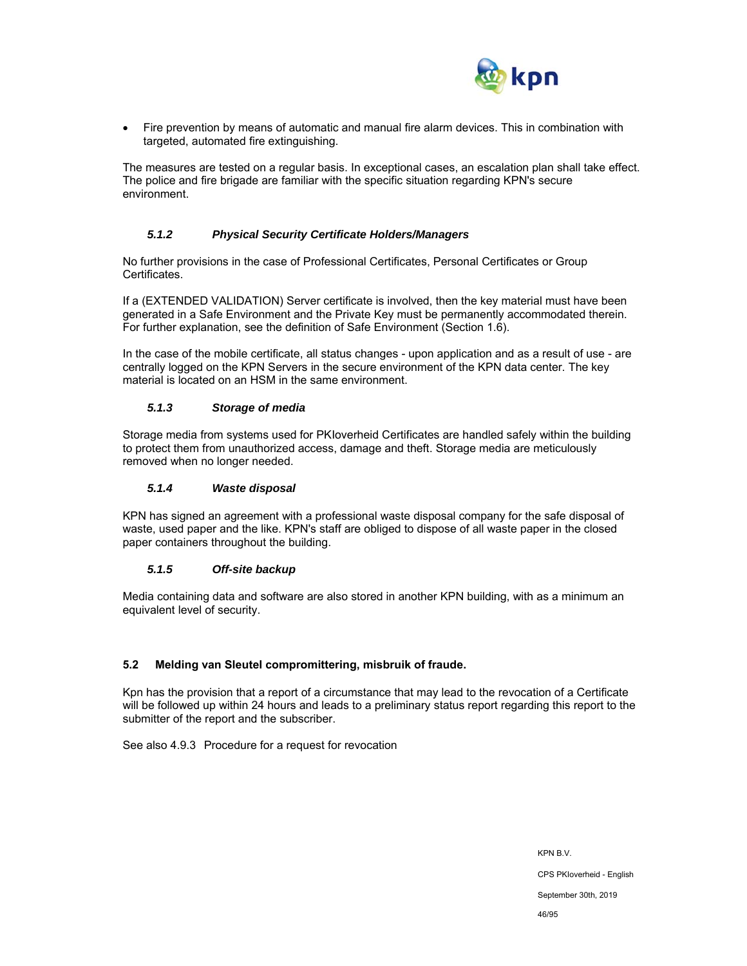

 Fire prevention by means of automatic and manual fire alarm devices. This in combination with targeted, automated fire extinguishing.

The measures are tested on a regular basis. In exceptional cases, an escalation plan shall take effect. The police and fire brigade are familiar with the specific situation regarding KPN's secure environment.

## *5.1.2 Physical Security Certificate Holders/Managers*

No further provisions in the case of Professional Certificates, Personal Certificates or Group Certificates.

If a (EXTENDED VALIDATION) Server certificate is involved, then the key material must have been generated in a Safe Environment and the Private Key must be permanently accommodated therein. For further explanation, see the definition of Safe Environment (Section 1.6).

In the case of the mobile certificate, all status changes - upon application and as a result of use - are centrally logged on the KPN Servers in the secure environment of the KPN data center. The key material is located on an HSM in the same environment.

## *5.1.3 Storage of media*

Storage media from systems used for PKIoverheid Certificates are handled safely within the building to protect them from unauthorized access, damage and theft. Storage media are meticulously removed when no longer needed.

#### *5.1.4 Waste disposal*

KPN has signed an agreement with a professional waste disposal company for the safe disposal of waste, used paper and the like. KPN's staff are obliged to dispose of all waste paper in the closed paper containers throughout the building.

## *5.1.5 Off-site backup*

Media containing data and software are also stored in another KPN building, with as a minimum an equivalent level of security.

## **5.2 Melding van Sleutel compromittering, misbruik of fraude.**

Kpn has the provision that a report of a circumstance that may lead to the revocation of a Certificate will be followed up within 24 hours and leads to a preliminary status report regarding this report to the submitter of the report and the subscriber.

See also 4.9.3 Procedure for a request for revocation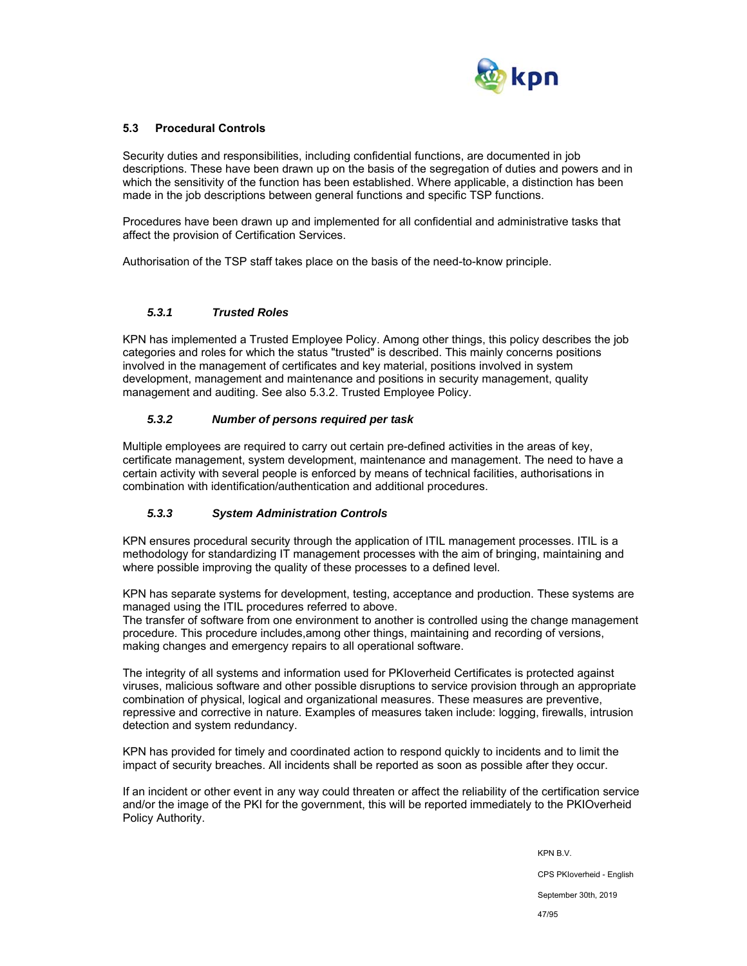

## **5.3 Procedural Controls**

Security duties and responsibilities, including confidential functions, are documented in job descriptions. These have been drawn up on the basis of the segregation of duties and powers and in which the sensitivity of the function has been established. Where applicable, a distinction has been made in the job descriptions between general functions and specific TSP functions.

Procedures have been drawn up and implemented for all confidential and administrative tasks that affect the provision of Certification Services.

Authorisation of the TSP staff takes place on the basis of the need-to-know principle.

#### *5.3.1 Trusted Roles*

KPN has implemented a Trusted Employee Policy. Among other things, this policy describes the job categories and roles for which the status "trusted" is described. This mainly concerns positions involved in the management of certificates and key material, positions involved in system development, management and maintenance and positions in security management, quality management and auditing. See also 5.3.2. Trusted Employee Policy.

## *5.3.2 Number of persons required per task*

Multiple employees are required to carry out certain pre-defined activities in the areas of key, certificate management, system development, maintenance and management. The need to have a certain activity with several people is enforced by means of technical facilities, authorisations in combination with identification/authentication and additional procedures.

## *5.3.3 System Administration Controls*

KPN ensures procedural security through the application of ITIL management processes. ITIL is a methodology for standardizing IT management processes with the aim of bringing, maintaining and where possible improving the quality of these processes to a defined level.

KPN has separate systems for development, testing, acceptance and production. These systems are managed using the ITIL procedures referred to above.

The transfer of software from one environment to another is controlled using the change management procedure. This procedure includes,among other things, maintaining and recording of versions, making changes and emergency repairs to all operational software.

The integrity of all systems and information used for PKIoverheid Certificates is protected against viruses, malicious software and other possible disruptions to service provision through an appropriate combination of physical, logical and organizational measures. These measures are preventive, repressive and corrective in nature. Examples of measures taken include: logging, firewalls, intrusion detection and system redundancy.

KPN has provided for timely and coordinated action to respond quickly to incidents and to limit the impact of security breaches. All incidents shall be reported as soon as possible after they occur.

If an incident or other event in any way could threaten or affect the reliability of the certification service and/or the image of the PKI for the government, this will be reported immediately to the PKIOverheid Policy Authority.

> KPN B.V. CPS PKIoverheid - English September 30th, 2019 47/95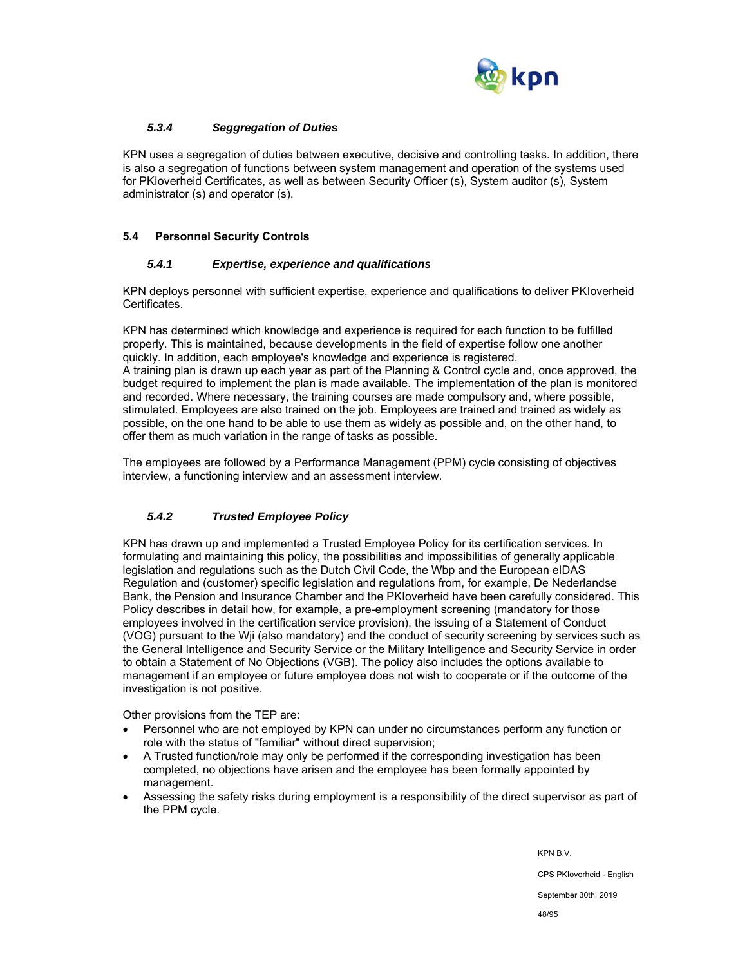

## *5.3.4 Seggregation of Duties*

KPN uses a segregation of duties between executive, decisive and controlling tasks. In addition, there is also a segregation of functions between system management and operation of the systems used for PKIoverheid Certificates, as well as between Security Officer (s), System auditor (s), System administrator (s) and operator (s).

## **5.4 Personnel Security Controls**

#### *5.4.1 Expertise, experience and qualifications*

KPN deploys personnel with sufficient expertise, experience and qualifications to deliver PKIoverheid Certificates.

KPN has determined which knowledge and experience is required for each function to be fulfilled properly. This is maintained, because developments in the field of expertise follow one another quickly. In addition, each employee's knowledge and experience is registered. A training plan is drawn up each year as part of the Planning & Control cycle and, once approved, the budget required to implement the plan is made available. The implementation of the plan is monitored and recorded. Where necessary, the training courses are made compulsory and, where possible, stimulated. Employees are also trained on the job. Employees are trained and trained as widely as possible, on the one hand to be able to use them as widely as possible and, on the other hand, to offer them as much variation in the range of tasks as possible.

The employees are followed by a Performance Management (PPM) cycle consisting of objectives interview, a functioning interview and an assessment interview.

## *5.4.2 Trusted Employee Policy*

KPN has drawn up and implemented a Trusted Employee Policy for its certification services. In formulating and maintaining this policy, the possibilities and impossibilities of generally applicable legislation and regulations such as the Dutch Civil Code, the Wbp and the European eIDAS Regulation and (customer) specific legislation and regulations from, for example, De Nederlandse Bank, the Pension and Insurance Chamber and the PKIoverheid have been carefully considered. This Policy describes in detail how, for example, a pre-employment screening (mandatory for those employees involved in the certification service provision), the issuing of a Statement of Conduct (VOG) pursuant to the Wji (also mandatory) and the conduct of security screening by services such as the General Intelligence and Security Service or the Military Intelligence and Security Service in order to obtain a Statement of No Objections (VGB). The policy also includes the options available to management if an employee or future employee does not wish to cooperate or if the outcome of the investigation is not positive.

Other provisions from the TEP are:

- Personnel who are not employed by KPN can under no circumstances perform any function or role with the status of "familiar" without direct supervision;
- A Trusted function/role may only be performed if the corresponding investigation has been completed, no objections have arisen and the employee has been formally appointed by management.
- Assessing the safety risks during employment is a responsibility of the direct supervisor as part of the PPM cycle.

KPN B.V. CPS PKIoverheid - English September 30th, 2019 48/95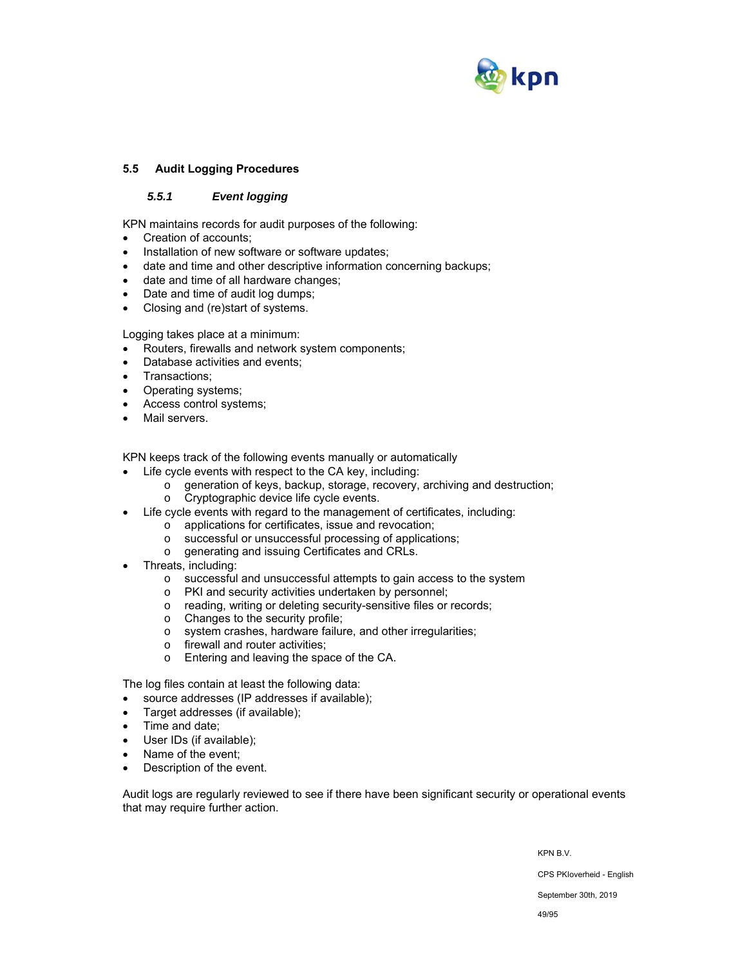

## **5.5 Audit Logging Procedures**

## *5.5.1 Event logging*

KPN maintains records for audit purposes of the following:

- Creation of accounts;
- Installation of new software or software updates;
- date and time and other descriptive information concerning backups;
- date and time of all hardware changes;
- Date and time of audit log dumps;
- Closing and (re)start of systems.

Logging takes place at a minimum:

- Routers, firewalls and network system components;
- Database activities and events;
- Transactions;
- Operating systems;
- Access control systems;
- Mail servers.

KPN keeps track of the following events manually or automatically

- Life cycle events with respect to the CA key, including:
	- $\circ$  generation of keys, backup, storage, recovery, archiving and destruction;
	- o Cryptographic device life cycle events.
- Life cycle events with regard to the management of certificates, including:
	- o applications for certificates, issue and revocation;
	- o successful or unsuccessful processing of applications;
	- o generating and issuing Certificates and CRLs.
- Threats, including:
	- o successful and unsuccessful attempts to gain access to the system
	- o PKI and security activities undertaken by personnel;
	- o reading, writing or deleting security-sensitive files or records;
	- o Changes to the security profile;
	- o system crashes, hardware failure, and other irregularities;
	- o firewall and router activities;
	- o Entering and leaving the space of the CA.

The log files contain at least the following data:

- source addresses (IP addresses if available);
- Target addresses (if available);
- Time and date;
- User IDs (if available);
- Name of the event;
- Description of the event.

Audit logs are regularly reviewed to see if there have been significant security or operational events that may require further action.

KPN B.V.

CPS PKIoverheid - English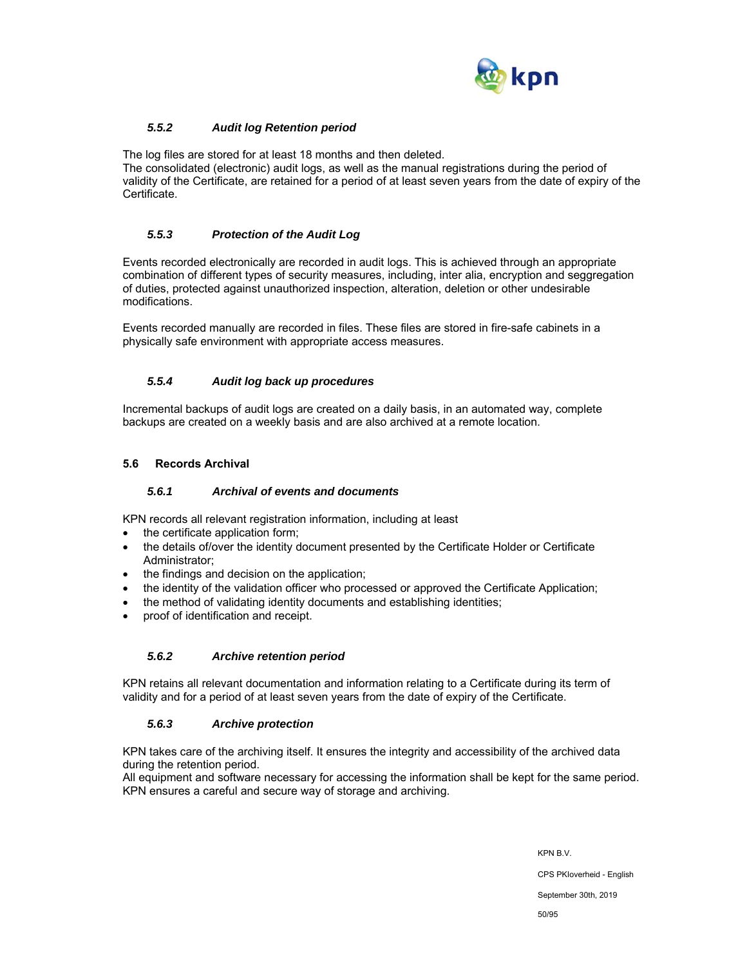

## *5.5.2 Audit log Retention period*

The log files are stored for at least 18 months and then deleted. The consolidated (electronic) audit logs, as well as the manual registrations during the period of validity of the Certificate, are retained for a period of at least seven years from the date of expiry of the Certificate.

## *5.5.3 Protection of the Audit Log*

Events recorded electronically are recorded in audit logs. This is achieved through an appropriate combination of different types of security measures, including, inter alia, encryption and seggregation of duties, protected against unauthorized inspection, alteration, deletion or other undesirable modifications.

Events recorded manually are recorded in files. These files are stored in fire-safe cabinets in a physically safe environment with appropriate access measures.

#### *5.5.4 Audit log back up procedures*

Incremental backups of audit logs are created on a daily basis, in an automated way, complete backups are created on a weekly basis and are also archived at a remote location.

#### **5.6 Records Archival**

#### *5.6.1 Archival of events and documents*

KPN records all relevant registration information, including at least

- the certificate application form;
- the details of/over the identity document presented by the Certificate Holder or Certificate Administrator;
- the findings and decision on the application;
- the identity of the validation officer who processed or approved the Certificate Application;
- the method of validating identity documents and establishing identities;
- proof of identification and receipt.

#### *5.6.2 Archive retention period*

KPN retains all relevant documentation and information relating to a Certificate during its term of validity and for a period of at least seven years from the date of expiry of the Certificate.

## *5.6.3 Archive protection*

KPN takes care of the archiving itself. It ensures the integrity and accessibility of the archived data during the retention period.

All equipment and software necessary for accessing the information shall be kept for the same period. KPN ensures a careful and secure way of storage and archiving.

> KPN B.V. CPS PKIoverheid - English

September 30th, 2019

50/95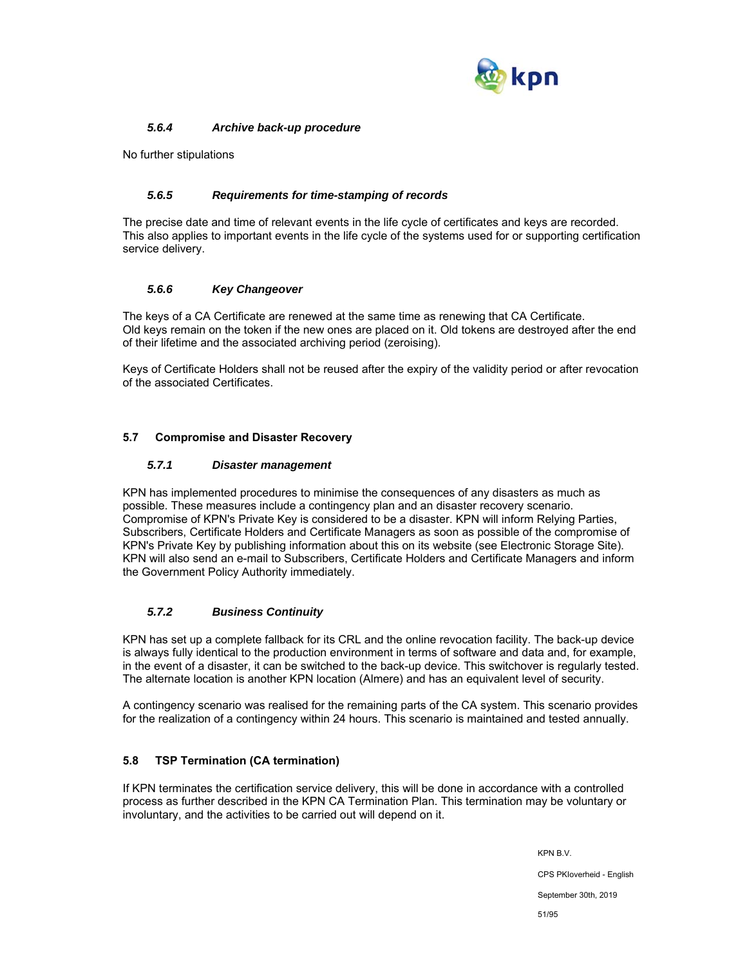

## *5.6.4 Archive back-up procedure*

No further stipulations

## *5.6.5 Requirements for time-stamping of records*

The precise date and time of relevant events in the life cycle of certificates and keys are recorded. This also applies to important events in the life cycle of the systems used for or supporting certification service delivery.

## *5.6.6 Key Changeover*

The keys of a CA Certificate are renewed at the same time as renewing that CA Certificate. Old keys remain on the token if the new ones are placed on it. Old tokens are destroyed after the end of their lifetime and the associated archiving period (zeroising).

Keys of Certificate Holders shall not be reused after the expiry of the validity period or after revocation of the associated Certificates.

## **5.7 Compromise and Disaster Recovery**

#### *5.7.1 Disaster management*

KPN has implemented procedures to minimise the consequences of any disasters as much as possible. These measures include a contingency plan and an disaster recovery scenario. Compromise of KPN's Private Key is considered to be a disaster. KPN will inform Relying Parties, Subscribers, Certificate Holders and Certificate Managers as soon as possible of the compromise of KPN's Private Key by publishing information about this on its website (see Electronic Storage Site). KPN will also send an e-mail to Subscribers, Certificate Holders and Certificate Managers and inform the Government Policy Authority immediately.

## *5.7.2 Business Continuity*

KPN has set up a complete fallback for its CRL and the online revocation facility. The back-up device is always fully identical to the production environment in terms of software and data and, for example, in the event of a disaster, it can be switched to the back-up device. This switchover is regularly tested. The alternate location is another KPN location (Almere) and has an equivalent level of security.

A contingency scenario was realised for the remaining parts of the CA system. This scenario provides for the realization of a contingency within 24 hours. This scenario is maintained and tested annually.

## **5.8 TSP Termination (CA termination)**

If KPN terminates the certification service delivery, this will be done in accordance with a controlled process as further described in the KPN CA Termination Plan. This termination may be voluntary or involuntary, and the activities to be carried out will depend on it.

> KPN B.V. CPS PKIoverheid - English September 30th, 2019 51/95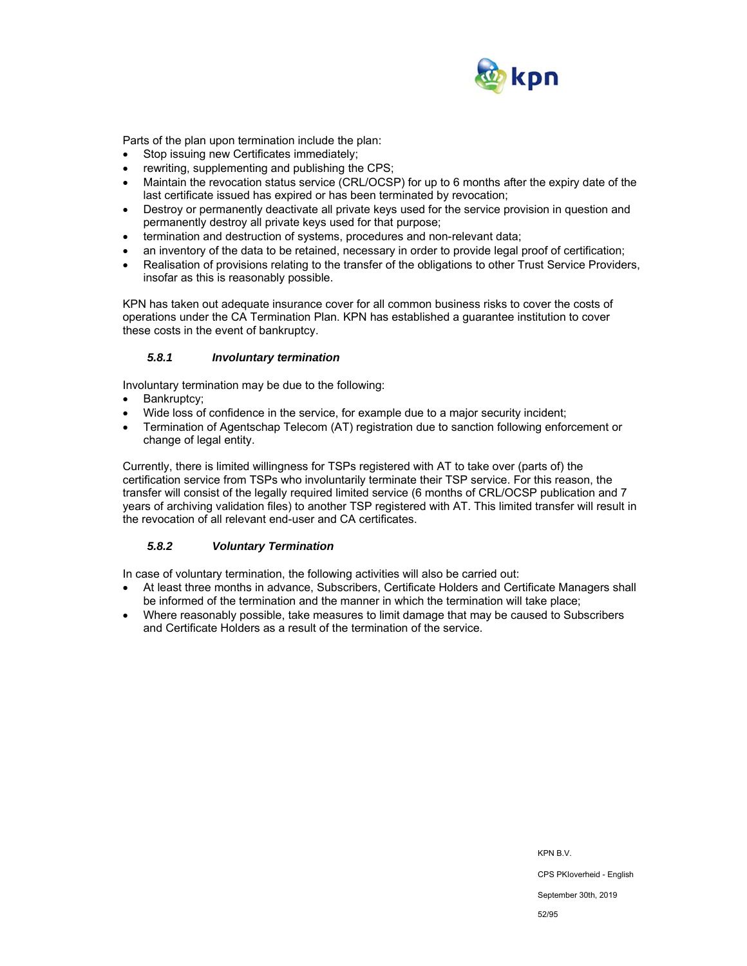

Parts of the plan upon termination include the plan:

- Stop issuing new Certificates immediately;
- rewriting, supplementing and publishing the CPS;
- Maintain the revocation status service (CRL/OCSP) for up to 6 months after the expiry date of the last certificate issued has expired or has been terminated by revocation;
- Destroy or permanently deactivate all private keys used for the service provision in question and permanently destroy all private keys used for that purpose;
- termination and destruction of systems, procedures and non-relevant data;
- an inventory of the data to be retained, necessary in order to provide legal proof of certification;
- Realisation of provisions relating to the transfer of the obligations to other Trust Service Providers, insofar as this is reasonably possible.

KPN has taken out adequate insurance cover for all common business risks to cover the costs of operations under the CA Termination Plan. KPN has established a guarantee institution to cover these costs in the event of bankruptcy.

#### *5.8.1 Involuntary termination*

Involuntary termination may be due to the following:

- Bankruptcy;
- Wide loss of confidence in the service, for example due to a major security incident;
- Termination of Agentschap Telecom (AT) registration due to sanction following enforcement or change of legal entity.

Currently, there is limited willingness for TSPs registered with AT to take over (parts of) the certification service from TSPs who involuntarily terminate their TSP service. For this reason, the transfer will consist of the legally required limited service (6 months of CRL/OCSP publication and 7 years of archiving validation files) to another TSP registered with AT. This limited transfer will result in the revocation of all relevant end-user and CA certificates.

## *5.8.2 Voluntary Termination*

In case of voluntary termination, the following activities will also be carried out:

- At least three months in advance, Subscribers, Certificate Holders and Certificate Managers shall be informed of the termination and the manner in which the termination will take place;
- Where reasonably possible, take measures to limit damage that may be caused to Subscribers and Certificate Holders as a result of the termination of the service.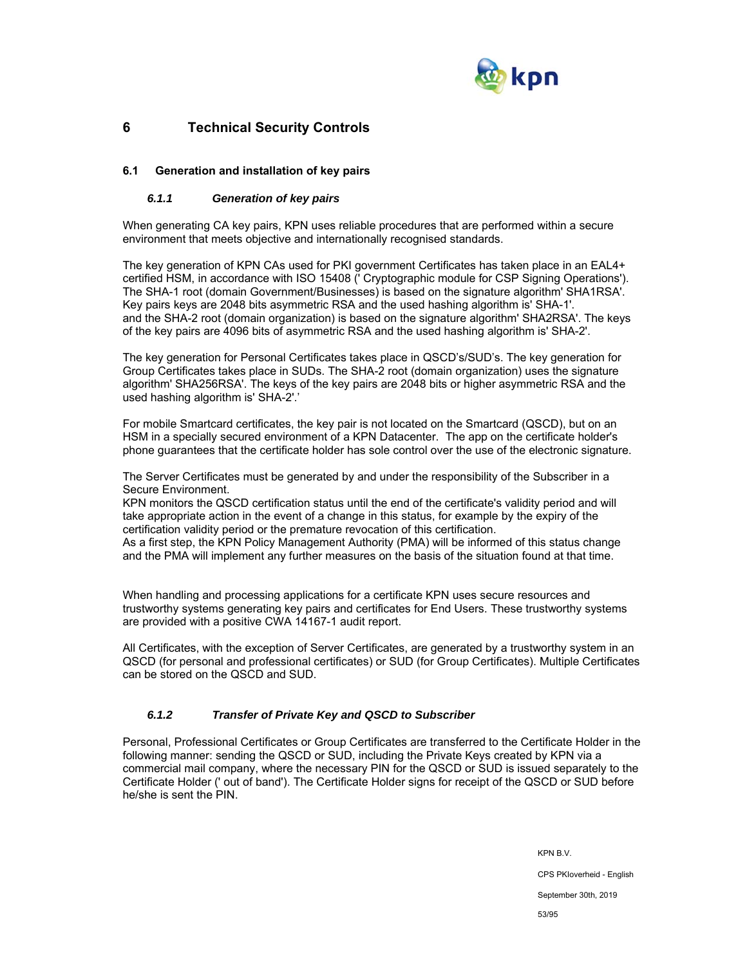

# **6 Technical Security Controls**

## **6.1 Generation and installation of key pairs**

## *6.1.1 Generation of key pairs*

When generating CA key pairs, KPN uses reliable procedures that are performed within a secure environment that meets objective and internationally recognised standards.

The key generation of KPN CAs used for PKI government Certificates has taken place in an EAL4+ certified HSM, in accordance with ISO 15408 (' Cryptographic module for CSP Signing Operations'). The SHA-1 root (domain Government/Businesses) is based on the signature algorithm' SHA1RSA'. Key pairs keys are 2048 bits asymmetric RSA and the used hashing algorithm is' SHA-1'. and the SHA-2 root (domain organization) is based on the signature algorithm' SHA2RSA'. The keys of the key pairs are 4096 bits of asymmetric RSA and the used hashing algorithm is' SHA-2'.

The key generation for Personal Certificates takes place in QSCD's/SUD's. The key generation for Group Certificates takes place in SUDs. The SHA-2 root (domain organization) uses the signature algorithm' SHA256RSA'. The keys of the key pairs are 2048 bits or higher asymmetric RSA and the used hashing algorithm is' SHA-2'.'

For mobile Smartcard certificates, the key pair is not located on the Smartcard (QSCD), but on an HSM in a specially secured environment of a KPN Datacenter. The app on the certificate holder's phone guarantees that the certificate holder has sole control over the use of the electronic signature.

The Server Certificates must be generated by and under the responsibility of the Subscriber in a Secure Environment.

KPN monitors the QSCD certification status until the end of the certificate's validity period and will take appropriate action in the event of a change in this status, for example by the expiry of the certification validity period or the premature revocation of this certification.

As a first step, the KPN Policy Management Authority (PMA) will be informed of this status change and the PMA will implement any further measures on the basis of the situation found at that time.

When handling and processing applications for a certificate KPN uses secure resources and trustworthy systems generating key pairs and certificates for End Users. These trustworthy systems are provided with a positive CWA 14167-1 audit report.

All Certificates, with the exception of Server Certificates, are generated by a trustworthy system in an QSCD (for personal and professional certificates) or SUD (for Group Certificates). Multiple Certificates can be stored on the QSCD and SUD.

## *6.1.2 Transfer of Private Key and QSCD to Subscriber*

Personal, Professional Certificates or Group Certificates are transferred to the Certificate Holder in the following manner: sending the QSCD or SUD, including the Private Keys created by KPN via a commercial mail company, where the necessary PIN for the QSCD or SUD is issued separately to the Certificate Holder (' out of band'). The Certificate Holder signs for receipt of the QSCD or SUD before he/she is sent the PIN.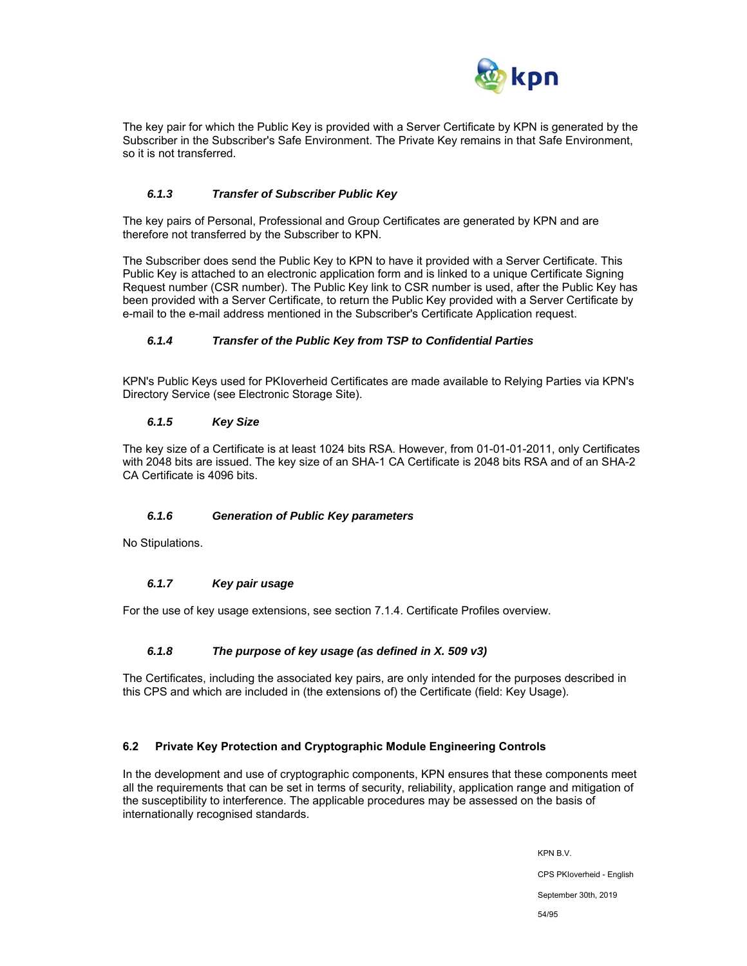

The key pair for which the Public Key is provided with a Server Certificate by KPN is generated by the Subscriber in the Subscriber's Safe Environment. The Private Key remains in that Safe Environment, so it is not transferred.

## *6.1.3 Transfer of Subscriber Public Key*

The key pairs of Personal, Professional and Group Certificates are generated by KPN and are therefore not transferred by the Subscriber to KPN.

The Subscriber does send the Public Key to KPN to have it provided with a Server Certificate. This Public Key is attached to an electronic application form and is linked to a unique Certificate Signing Request number (CSR number). The Public Key link to CSR number is used, after the Public Key has been provided with a Server Certificate, to return the Public Key provided with a Server Certificate by e-mail to the e-mail address mentioned in the Subscriber's Certificate Application request.

## *6.1.4 Transfer of the Public Key from TSP to Confidential Parties*

KPN's Public Keys used for PKIoverheid Certificates are made available to Relying Parties via KPN's Directory Service (see Electronic Storage Site).

#### *6.1.5 Key Size*

The key size of a Certificate is at least 1024 bits RSA. However, from 01-01-01-2011, only Certificates with 2048 bits are issued. The key size of an SHA-1 CA Certificate is 2048 bits RSA and of an SHA-2 CA Certificate is 4096 bits.

## *6.1.6 Generation of Public Key parameters*

No Stipulations.

## *6.1.7 Key pair usage*

For the use of key usage extensions, see section 7.1.4. Certificate Profiles overview.

## *6.1.8 The purpose of key usage (as defined in X. 509 v3)*

The Certificates, including the associated key pairs, are only intended for the purposes described in this CPS and which are included in (the extensions of) the Certificate (field: Key Usage).

## **6.2 Private Key Protection and Cryptographic Module Engineering Controls**

In the development and use of cryptographic components, KPN ensures that these components meet all the requirements that can be set in terms of security, reliability, application range and mitigation of the susceptibility to interference. The applicable procedures may be assessed on the basis of internationally recognised standards.

> KPN B.V. CPS PKIoverheid - English September 30th, 2019 54/95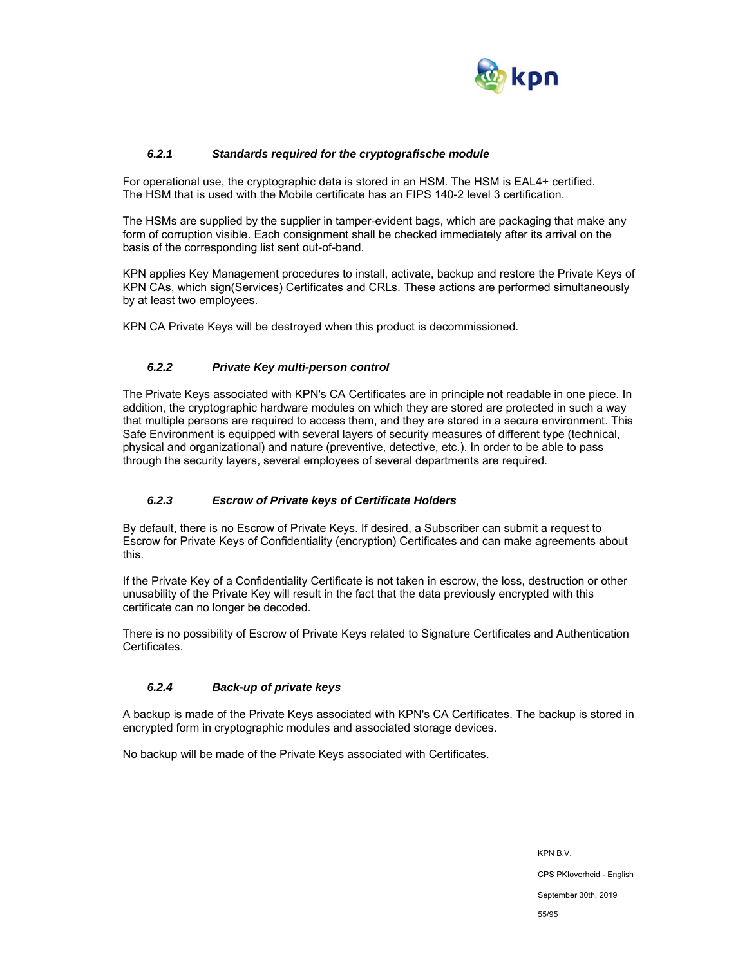

## *6.2.1 Standards required for the cryptografische module*

For operational use, the cryptographic data is stored in an HSM. The HSM is EAL4+ certified. The HSM that is used with the Mobile certificate has an FIPS 140-2 level 3 certification.

The HSMs are supplied by the supplier in tamper-evident bags, which are packaging that make any form of corruption visible. Each consignment shall be checked immediately after its arrival on the basis of the corresponding list sent out-of-band.

KPN applies Key Management procedures to install, activate, backup and restore the Private Keys of KPN CAs, which sign(Services) Certificates and CRLs. These actions are performed simultaneously by at least two employees.

KPN CA Private Keys will be destroyed when this product is decommissioned.

## *6.2.2 Private Key multi-person control*

The Private Keys associated with KPN's CA Certificates are in principle not readable in one piece. In addition, the cryptographic hardware modules on which they are stored are protected in such a way that multiple persons are required to access them, and they are stored in a secure environment. This Safe Environment is equipped with several layers of security measures of different type (technical, physical and organizational) and nature (preventive, detective, etc.). In order to be able to pass through the security layers, several employees of several departments are required.

## *6.2.3 Escrow of Private keys of Certificate Holders*

By default, there is no Escrow of Private Keys. If desired, a Subscriber can submit a request to Escrow for Private Keys of Confidentiality (encryption) Certificates and can make agreements about this.

If the Private Key of a Confidentiality Certificate is not taken in escrow, the loss, destruction or other unusability of the Private Key will result in the fact that the data previously encrypted with this certificate can no longer be decoded.

There is no possibility of Escrow of Private Keys related to Signature Certificates and Authentication Certificates.

## *6.2.4 Back-up of private keys*

A backup is made of the Private Keys associated with KPN's CA Certificates. The backup is stored in encrypted form in cryptographic modules and associated storage devices.

No backup will be made of the Private Keys associated with Certificates.

KPN B.V. CPS PKIoverheid - English September 30th, 2019 55/95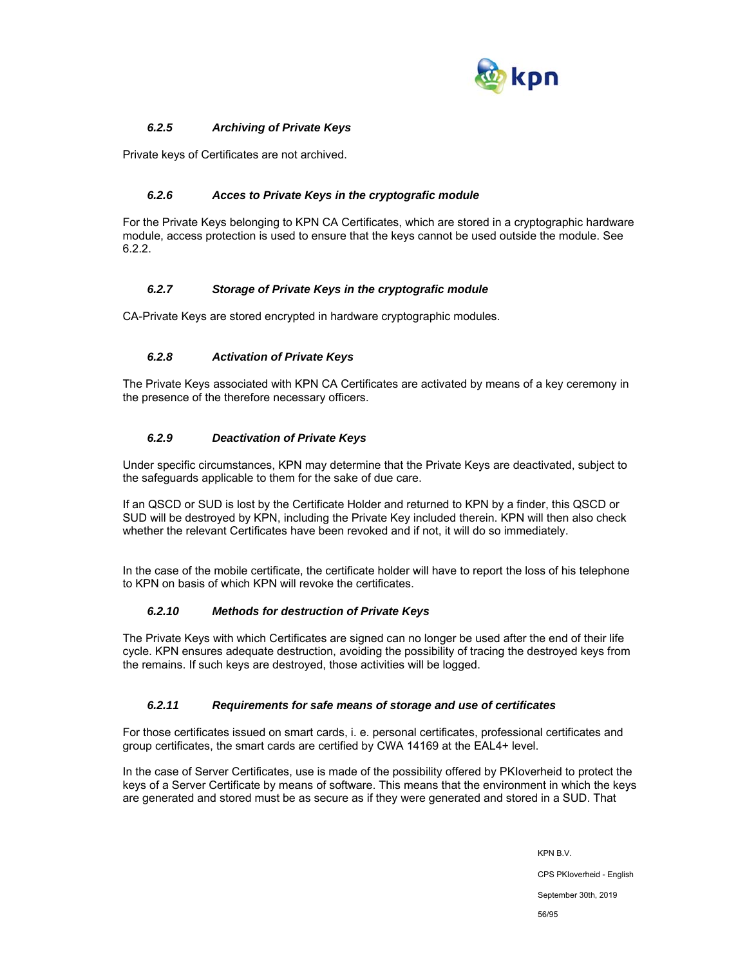

# *6.2.5 Archiving of Private Keys*

Private keys of Certificates are not archived.

## *6.2.6 Acces to Private Keys in the cryptografic module*

For the Private Keys belonging to KPN CA Certificates, which are stored in a cryptographic hardware module, access protection is used to ensure that the keys cannot be used outside the module. See 6.2.2.

## *6.2.7 Storage of Private Keys in the cryptografic module*

CA-Private Keys are stored encrypted in hardware cryptographic modules.

## *6.2.8 Activation of Private Keys*

The Private Keys associated with KPN CA Certificates are activated by means of a key ceremony in the presence of the therefore necessary officers.

## *6.2.9 Deactivation of Private Keys*

Under specific circumstances, KPN may determine that the Private Keys are deactivated, subject to the safeguards applicable to them for the sake of due care.

If an QSCD or SUD is lost by the Certificate Holder and returned to KPN by a finder, this QSCD or SUD will be destroyed by KPN, including the Private Key included therein. KPN will then also check whether the relevant Certificates have been revoked and if not, it will do so immediately.

In the case of the mobile certificate, the certificate holder will have to report the loss of his telephone to KPN on basis of which KPN will revoke the certificates.

## *6.2.10 Methods for destruction of Private Keys*

The Private Keys with which Certificates are signed can no longer be used after the end of their life cycle. KPN ensures adequate destruction, avoiding the possibility of tracing the destroyed keys from the remains. If such keys are destroyed, those activities will be logged.

## *6.2.11 Requirements for safe means of storage and use of certificates*

For those certificates issued on smart cards, i. e. personal certificates, professional certificates and group certificates, the smart cards are certified by CWA 14169 at the EAL4+ level.

In the case of Server Certificates, use is made of the possibility offered by PKIoverheid to protect the keys of a Server Certificate by means of software. This means that the environment in which the keys are generated and stored must be as secure as if they were generated and stored in a SUD. That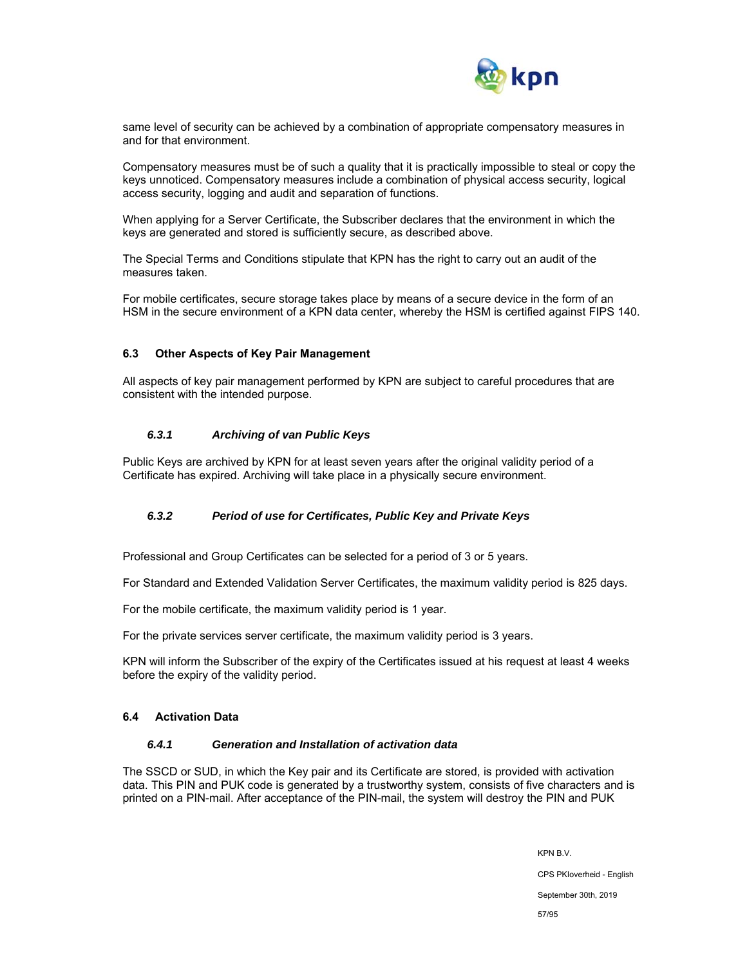

same level of security can be achieved by a combination of appropriate compensatory measures in and for that environment.

Compensatory measures must be of such a quality that it is practically impossible to steal or copy the keys unnoticed. Compensatory measures include a combination of physical access security, logical access security, logging and audit and separation of functions.

When applying for a Server Certificate, the Subscriber declares that the environment in which the keys are generated and stored is sufficiently secure, as described above.

The Special Terms and Conditions stipulate that KPN has the right to carry out an audit of the measures taken.

For mobile certificates, secure storage takes place by means of a secure device in the form of an HSM in the secure environment of a KPN data center, whereby the HSM is certified against FIPS 140.

#### **6.3 Other Aspects of Key Pair Management**

All aspects of key pair management performed by KPN are subject to careful procedures that are consistent with the intended purpose.

#### *6.3.1 Archiving of van Public Keys*

Public Keys are archived by KPN for at least seven years after the original validity period of a Certificate has expired. Archiving will take place in a physically secure environment.

## *6.3.2 Period of use for Certificates, Public Key and Private Keys*

Professional and Group Certificates can be selected for a period of 3 or 5 years.

For Standard and Extended Validation Server Certificates, the maximum validity period is 825 days.

For the mobile certificate, the maximum validity period is 1 year.

For the private services server certificate, the maximum validity period is 3 years.

KPN will inform the Subscriber of the expiry of the Certificates issued at his request at least 4 weeks before the expiry of the validity period.

#### **6.4 Activation Data**

#### *6.4.1 Generation and Installation of activation data*

The SSCD or SUD, in which the Key pair and its Certificate are stored, is provided with activation data. This PIN and PUK code is generated by a trustworthy system, consists of five characters and is printed on a PIN-mail. After acceptance of the PIN-mail, the system will destroy the PIN and PUK

> KPN B.V. CPS PKIoverheid - English September 30th, 2019 57/95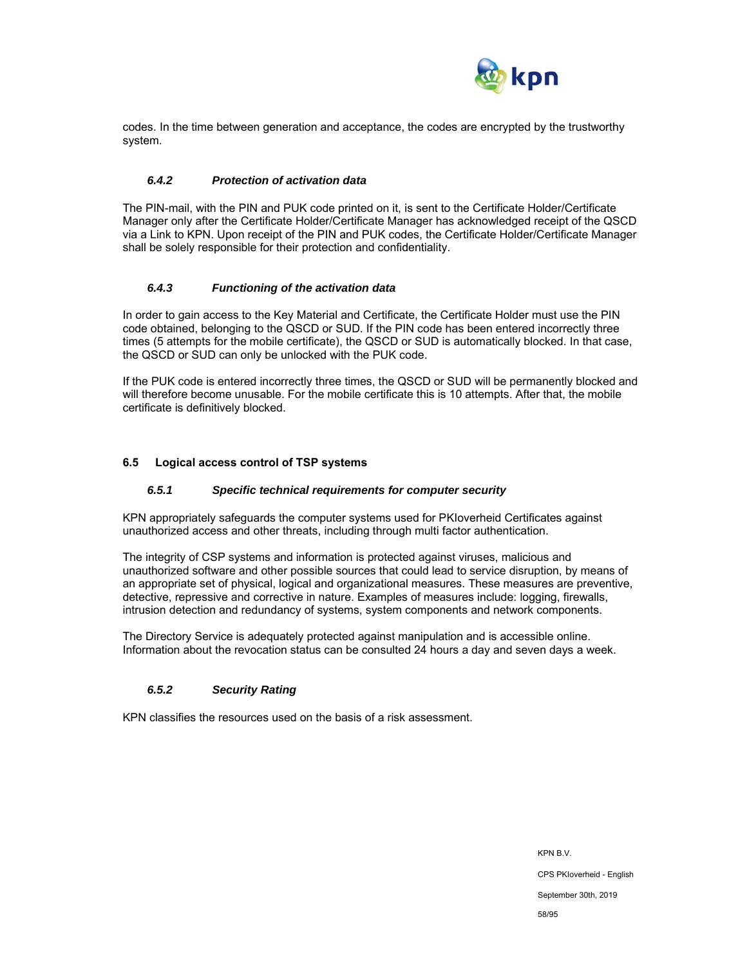

codes. In the time between generation and acceptance, the codes are encrypted by the trustworthy system.

#### *6.4.2 Protection of activation data*

The PIN-mail, with the PIN and PUK code printed on it, is sent to the Certificate Holder/Certificate Manager only after the Certificate Holder/Certificate Manager has acknowledged receipt of the QSCD via a Link to KPN. Upon receipt of the PIN and PUK codes, the Certificate Holder/Certificate Manager shall be solely responsible for their protection and confidentiality.

#### *6.4.3 Functioning of the activation data*

In order to gain access to the Key Material and Certificate, the Certificate Holder must use the PIN code obtained, belonging to the QSCD or SUD. If the PIN code has been entered incorrectly three times (5 attempts for the mobile certificate), the QSCD or SUD is automatically blocked. In that case, the QSCD or SUD can only be unlocked with the PUK code.

If the PUK code is entered incorrectly three times, the QSCD or SUD will be permanently blocked and will therefore become unusable. For the mobile certificate this is 10 attempts. After that, the mobile certificate is definitively blocked.

#### **6.5 Logical access control of TSP systems**

#### *6.5.1 Specific technical requirements for computer security*

KPN appropriately safeguards the computer systems used for PKIoverheid Certificates against unauthorized access and other threats, including through multi factor authentication.

The integrity of CSP systems and information is protected against viruses, malicious and unauthorized software and other possible sources that could lead to service disruption, by means of an appropriate set of physical, logical and organizational measures. These measures are preventive, detective, repressive and corrective in nature. Examples of measures include: logging, firewalls, intrusion detection and redundancy of systems, system components and network components.

The Directory Service is adequately protected against manipulation and is accessible online. Information about the revocation status can be consulted 24 hours a day and seven days a week.

## *6.5.2 Security Rating*

KPN classifies the resources used on the basis of a risk assessment.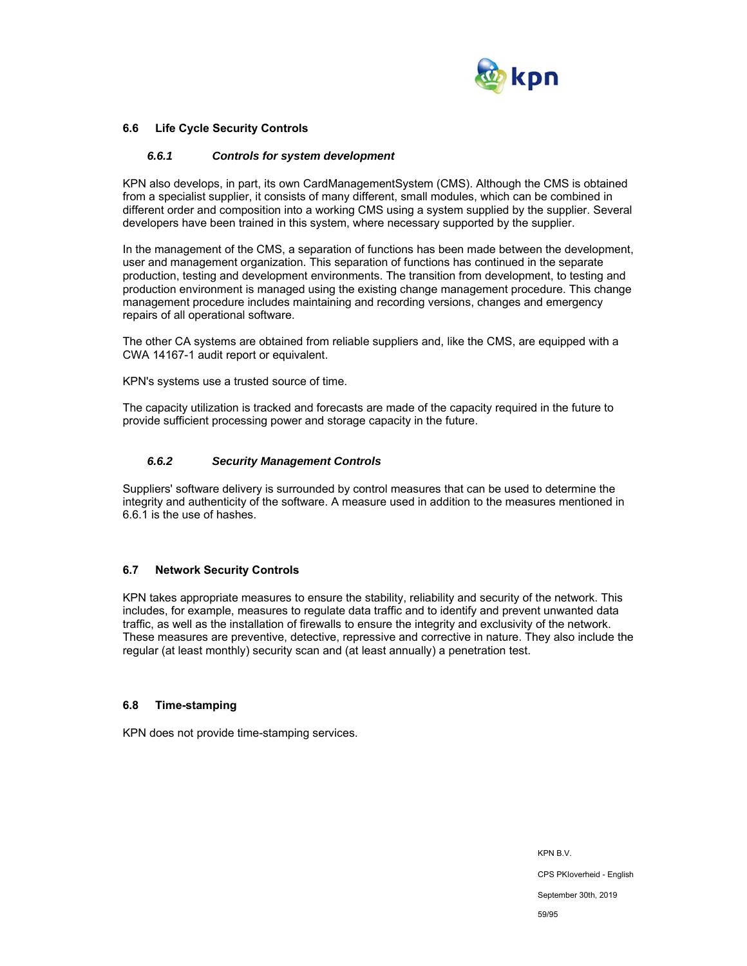

## **6.6 Life Cycle Security Controls**

#### *6.6.1 Controls for system development*

KPN also develops, in part, its own CardManagementSystem (CMS). Although the CMS is obtained from a specialist supplier, it consists of many different, small modules, which can be combined in different order and composition into a working CMS using a system supplied by the supplier. Several developers have been trained in this system, where necessary supported by the supplier.

In the management of the CMS, a separation of functions has been made between the development, user and management organization. This separation of functions has continued in the separate production, testing and development environments. The transition from development, to testing and production environment is managed using the existing change management procedure. This change management procedure includes maintaining and recording versions, changes and emergency repairs of all operational software.

The other CA systems are obtained from reliable suppliers and, like the CMS, are equipped with a CWA 14167-1 audit report or equivalent.

KPN's systems use a trusted source of time.

The capacity utilization is tracked and forecasts are made of the capacity required in the future to provide sufficient processing power and storage capacity in the future.

#### *6.6.2 Security Management Controls*

Suppliers' software delivery is surrounded by control measures that can be used to determine the integrity and authenticity of the software. A measure used in addition to the measures mentioned in 6.6.1 is the use of hashes.

#### **6.7 Network Security Controls**

KPN takes appropriate measures to ensure the stability, reliability and security of the network. This includes, for example, measures to regulate data traffic and to identify and prevent unwanted data traffic, as well as the installation of firewalls to ensure the integrity and exclusivity of the network. These measures are preventive, detective, repressive and corrective in nature. They also include the regular (at least monthly) security scan and (at least annually) a penetration test.

#### **6.8 Time-stamping**

KPN does not provide time-stamping services.

KPN B.V. CPS PKIoverheid - English September 30th, 2019 59/95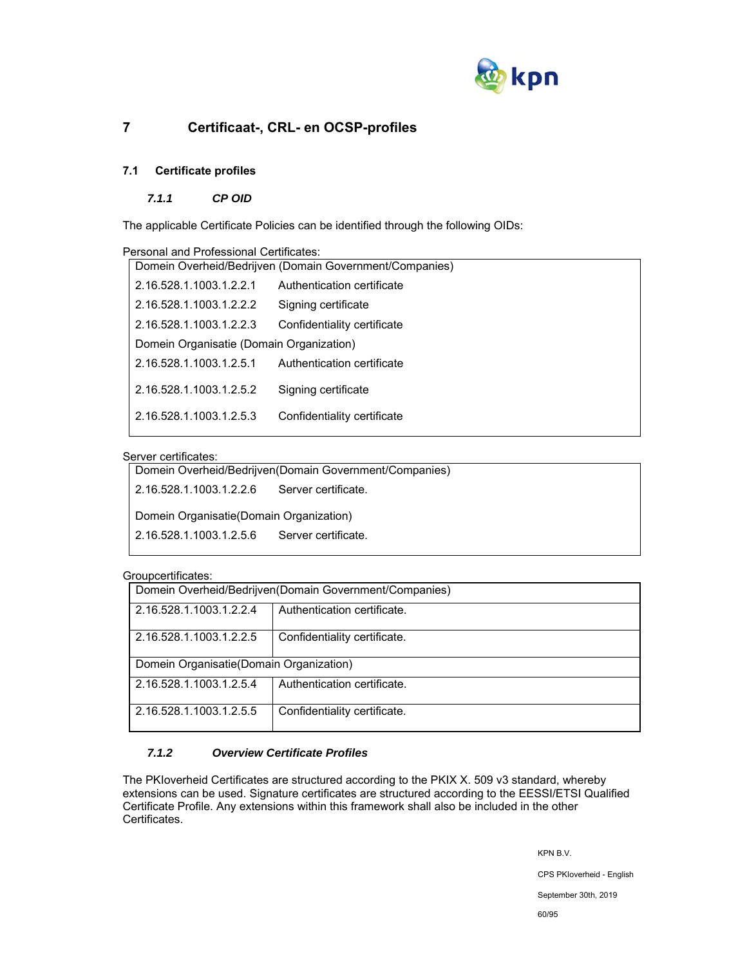

# **7 Certificaat-, CRL- en OCSP-profiles**

## **7.1 Certificate profiles**

## *7.1.1 CP OID*

The applicable Certificate Policies can be identified through the following OIDs:

| Personal and Professional Certificates:                 |  |  |
|---------------------------------------------------------|--|--|
| Domein Overheid/Bedrijven (Domain Government/Companies) |  |  |
| Authentication certificate                              |  |  |
| Signing certificate                                     |  |  |
| Confidentiality certificate                             |  |  |
| Domein Organisatie (Domain Organization)                |  |  |
| Authentication certificate                              |  |  |
| Signing certificate                                     |  |  |
| Confidentiality certificate                             |  |  |
|                                                         |  |  |

## Server certificates:

| Domein Overheid/Bedrijven (Domain Government/Companies) |  |  |  |
|---------------------------------------------------------|--|--|--|
| 2.16.528.1.1003.1.2.2.6<br>Server certificate.          |  |  |  |
| Domein Organisatie (Domain Organization)                |  |  |  |
| 2.16.528.1.1003.1.2.5.6<br>Server certificate.          |  |  |  |
|                                                         |  |  |  |

#### Groupcertificates:

| Domein Overheid/Bedrijven(Domain Government/Companies)  |  |  |  |  |
|---------------------------------------------------------|--|--|--|--|
| Authentication certificate.<br>2.16.528.1.1003.1.2.2.4  |  |  |  |  |
| Confidentiality certificate.<br>2.16.528.1.1003.1.2.2.5 |  |  |  |  |
| Domein Organisatie(Domain Organization)                 |  |  |  |  |
| 2.16.528.1.1003.1.2.5.4<br>Authentication certificate.  |  |  |  |  |
| Confidentiality certificate.<br>2.16.528.1.1003.1.2.5.5 |  |  |  |  |

# *7.1.2 Overview Certificate Profiles*

The PKIoverheid Certificates are structured according to the PKIX X. 509 v3 standard, whereby extensions can be used. Signature certificates are structured according to the EESSI/ETSI Qualified Certificate Profile. Any extensions within this framework shall also be included in the other Certificates.

> KPN B.V. CPS PKIoverheid - English September 30th, 2019 60/95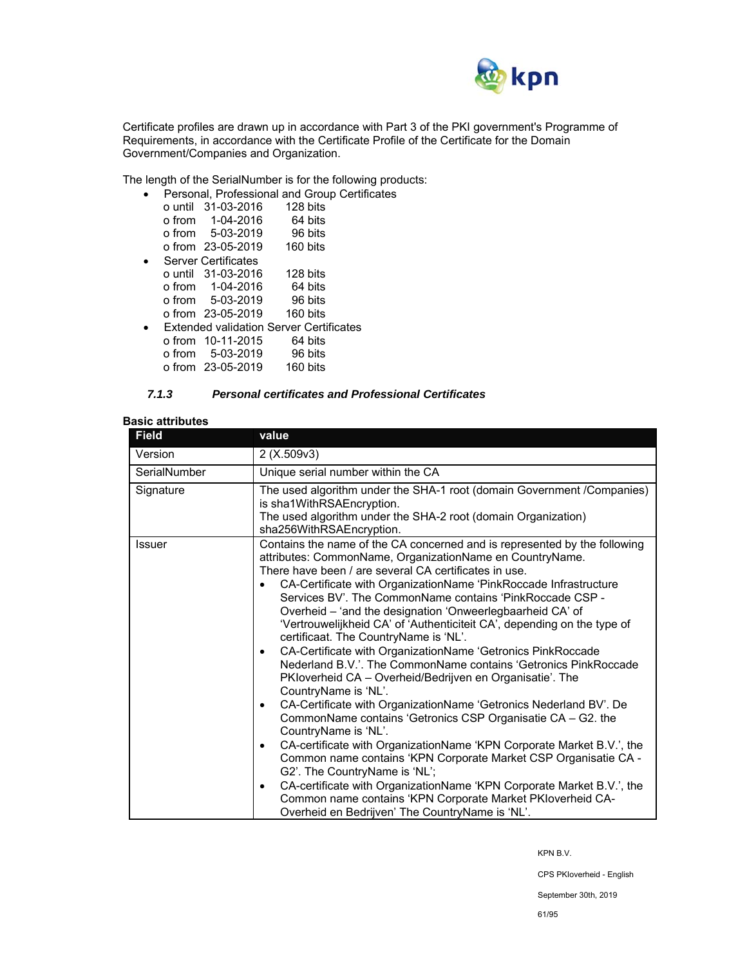

Certificate profiles are drawn up in accordance with Part 3 of the PKI government's Programme of Requirements, in accordance with the Certificate Profile of the Certificate for the Domain Government/Companies and Organization.

The length of the SerialNumber is for the following products:

|  | Personal, Professional and Group Certificates  |          |         |  |
|--|------------------------------------------------|----------|---------|--|
|  | o until 31-03-2016                             | 128 bits |         |  |
|  | o from 1-04-2016                               |          | 64 bits |  |
|  | o from 5-03-2019                               |          | 96 bits |  |
|  | o from 23-05-2019                              | 160 bits |         |  |
|  | <b>Server Certificates</b>                     |          |         |  |
|  | o until 31-03-2016                             | 128 bits |         |  |
|  | o from 1-04-2016                               |          | 64 bits |  |
|  | o from 5-03-2019                               |          | 96 bits |  |
|  | o from 23-05-2019                              | 160 bits |         |  |
|  | <b>Extended validation Server Certificates</b> |          |         |  |
|  | $o from 10-11-2015$                            |          | 64 bits |  |
|  | o from 5-03-2019                               |          | 96 bits |  |
|  | o from 23-05-2019                              | 160 bits |         |  |

## *7.1.3 Personal certificates and Professional Certificates*

## **Basic attributes**

| <b>Field</b>  | value                                                                                                                                                                                                                                                                                                                                                                                                                                                                                                                                                                                                                                                                                                                                                                                                                                                                                                                                                                                                                                                                                                                                                                                                                                                                                                                |  |  |
|---------------|----------------------------------------------------------------------------------------------------------------------------------------------------------------------------------------------------------------------------------------------------------------------------------------------------------------------------------------------------------------------------------------------------------------------------------------------------------------------------------------------------------------------------------------------------------------------------------------------------------------------------------------------------------------------------------------------------------------------------------------------------------------------------------------------------------------------------------------------------------------------------------------------------------------------------------------------------------------------------------------------------------------------------------------------------------------------------------------------------------------------------------------------------------------------------------------------------------------------------------------------------------------------------------------------------------------------|--|--|
| Version       | 2(X.509v3)                                                                                                                                                                                                                                                                                                                                                                                                                                                                                                                                                                                                                                                                                                                                                                                                                                                                                                                                                                                                                                                                                                                                                                                                                                                                                                           |  |  |
| SerialNumber  | Unique serial number within the CA                                                                                                                                                                                                                                                                                                                                                                                                                                                                                                                                                                                                                                                                                                                                                                                                                                                                                                                                                                                                                                                                                                                                                                                                                                                                                   |  |  |
| Signature     | The used algorithm under the SHA-1 root (domain Government /Companies)<br>is sha1WithRSAEncryption.<br>The used algorithm under the SHA-2 root (domain Organization)<br>sha256WithRSAEncryption.                                                                                                                                                                                                                                                                                                                                                                                                                                                                                                                                                                                                                                                                                                                                                                                                                                                                                                                                                                                                                                                                                                                     |  |  |
| <b>Issuer</b> | Contains the name of the CA concerned and is represented by the following<br>attributes: CommonName, OrganizationName en CountryName.<br>There have been / are several CA certificates in use.<br>CA-Certificate with OrganizationName 'PinkRoccade Infrastructure<br>Services BV'. The CommonName contains 'PinkRoccade CSP -<br>Overheid - 'and the designation 'Onweerlegbaarheid CA' of<br>'Vertrouwelijkheid CA' of 'Authenticiteit CA', depending on the type of<br>certificaat. The CountryName is 'NL'.<br>CA-Certificate with OrganizationName 'Getronics PinkRoccade<br>$\bullet$<br>Nederland B.V.'. The CommonName contains 'Getronics PinkRoccade<br>PKloverheid CA - Overheid/Bedrijven en Organisatie'. The<br>CountryName is 'NL'.<br>CA-Certificate with OrganizationName 'Getronics Nederland BV'. De<br>$\bullet$<br>CommonName contains 'Getronics CSP Organisatie CA - G2. the<br>CountryName is 'NL'.<br>CA-certificate with OrganizationName 'KPN Corporate Market B.V.', the<br>٠<br>Common name contains 'KPN Corporate Market CSP Organisatie CA -<br>G2'. The CountryName is 'NL';<br>CA-certificate with OrganizationName 'KPN Corporate Market B.V.', the<br>$\bullet$<br>Common name contains 'KPN Corporate Market PKIoverheid CA-<br>Overheid en Bedrijven' The CountryName is 'NL'. |  |  |

KPN B.V.

CPS PKIoverheid - English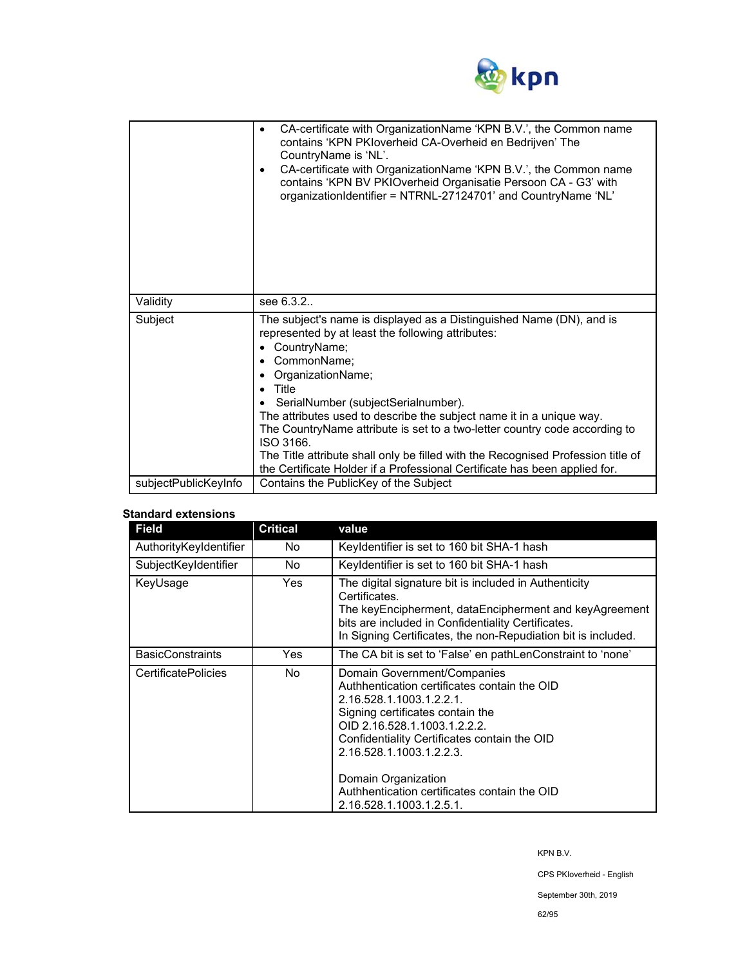

|                      | CA-certificate with OrganizationName 'KPN B.V.', the Common name<br>٠<br>contains 'KPN PKIoverheid CA-Overheid en Bedrijven' The<br>CountryName is 'NL'.<br>CA-certificate with OrganizationName 'KPN B.V.', the Common name<br>٠<br>contains 'KPN BV PKIOverheid Organisatie Persoon CA - G3' with<br>organizationIdentifier = NTRNL-27124701' and CountryName 'NL'                                                                                                                                                                                                    |  |  |
|----------------------|-------------------------------------------------------------------------------------------------------------------------------------------------------------------------------------------------------------------------------------------------------------------------------------------------------------------------------------------------------------------------------------------------------------------------------------------------------------------------------------------------------------------------------------------------------------------------|--|--|
| Validity             | see 6.3.2.                                                                                                                                                                                                                                                                                                                                                                                                                                                                                                                                                              |  |  |
| Subject              | The subject's name is displayed as a Distinguished Name (DN), and is<br>represented by at least the following attributes:<br>CountryName;<br>٠<br>CommonName;<br>OrganizationName;<br>Title<br>SerialNumber (subjectSerialnumber).<br>The attributes used to describe the subject name it in a unique way.<br>The CountryName attribute is set to a two-letter country code according to<br>ISO 3166.<br>The Title attribute shall only be filled with the Recognised Profession title of<br>the Certificate Holder if a Professional Certificate has been applied for. |  |  |
| subjectPublicKeyInfo | Contains the PublicKey of the Subject                                                                                                                                                                                                                                                                                                                                                                                                                                                                                                                                   |  |  |

## **Standard extensions**

| <b>Field</b>               | <b>Critical</b> | value                                                                                                                                                                                                                                                                                                                                                      |
|----------------------------|-----------------|------------------------------------------------------------------------------------------------------------------------------------------------------------------------------------------------------------------------------------------------------------------------------------------------------------------------------------------------------------|
| AuthorityKeyIdentifier     | No.             | Keyldentifier is set to 160 bit SHA-1 hash                                                                                                                                                                                                                                                                                                                 |
| SubjectKeyIdentifier       | No.             | Keyldentifier is set to 160 bit SHA-1 hash                                                                                                                                                                                                                                                                                                                 |
| KeyUsage                   | <b>Yes</b>      | The digital signature bit is included in Authenticity<br>Certificates.<br>The keyEncipherment, dataEncipherment and keyAgreement<br>bits are included in Confidentiality Certificates.<br>In Signing Certificates, the non-Repudiation bit is included.                                                                                                    |
| <b>BasicConstraints</b>    | Yes             | The CA bit is set to 'False' en pathLenConstraint to 'none'                                                                                                                                                                                                                                                                                                |
| <b>CertificatePolicies</b> | No.             | Domain Government/Companies<br>Authhentication certificates contain the OID<br>2.16.528.1.1003.1.2.2.1.<br>Signing certificates contain the<br>OID 2.16.528.1.1003.1.2.2.2.<br>Confidentiality Certificates contain the OID<br>2.16.528.1.1003.1.2.2.3.<br>Domain Organization<br>Authhentication certificates contain the OID<br>2.16.528.1.1003.1.2.5.1. |

KPN B.V.

CPS PKIoverheid - English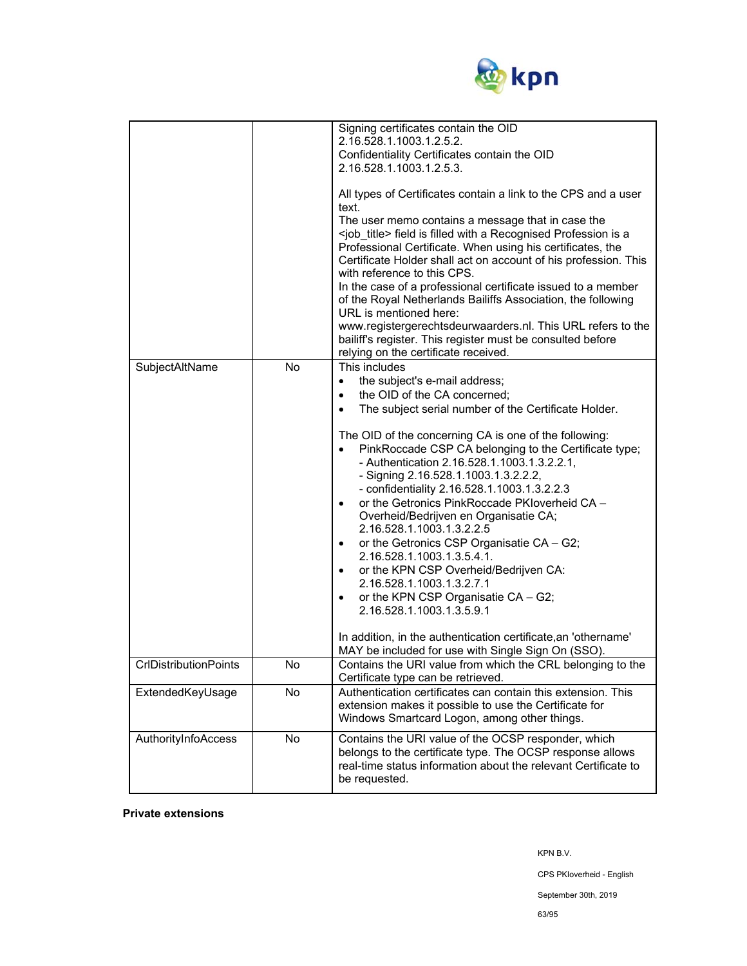

|                                                  |           | Signing certificates contain the OID<br>2.16.528.1.1003.1.2.5.2.<br>Confidentiality Certificates contain the OID<br>2.16.528.1.1003.1.2.5.3.<br>All types of Certificates contain a link to the CPS and a user<br>text.<br>The user memo contains a message that in case the<br><job_title> field is filled with a Recognised Profession is a<br/>Professional Certificate. When using his certificates, the<br/>Certificate Holder shall act on account of his profession. This<br/>with reference to this CPS.<br/>In the case of a professional certificate issued to a member<br/>of the Royal Netherlands Bailiffs Association, the following<br/>URL is mentioned here:<br/>www.registergerechtsdeurwaarders.nl. This URL refers to the<br/>bailiff's register. This register must be consulted before<br/>relying on the certificate received.</job_title>                                                                                             |
|--------------------------------------------------|-----------|---------------------------------------------------------------------------------------------------------------------------------------------------------------------------------------------------------------------------------------------------------------------------------------------------------------------------------------------------------------------------------------------------------------------------------------------------------------------------------------------------------------------------------------------------------------------------------------------------------------------------------------------------------------------------------------------------------------------------------------------------------------------------------------------------------------------------------------------------------------------------------------------------------------------------------------------------------------|
| SubjectAltName                                   | <b>No</b> | This includes<br>the subject's e-mail address;<br>$\bullet$<br>the OID of the CA concerned;<br>$\bullet$<br>The subject serial number of the Certificate Holder.<br>$\bullet$<br>The OID of the concerning CA is one of the following:<br>PinkRoccade CSP CA belonging to the Certificate type;<br>- Authentication 2.16.528.1.1003.1.3.2.2.1,<br>- Signing 2.16.528.1.1003.1.3.2.2.2,<br>- confidentiality 2.16.528.1.1003.1.3.2.2.3<br>or the Getronics PinkRoccade PKIoverheid CA -<br>$\bullet$<br>Overheid/Bedrijven en Organisatie CA;<br>2.16.528.1.1003.1.3.2.2.5<br>or the Getronics CSP Organisatie CA - G2;<br>$\bullet$<br>2.16.528.1.1003.1.3.5.4.1.<br>or the KPN CSP Overheid/Bedrijven CA:<br>$\bullet$<br>2.16.528.1.1003.1.3.2.7.1<br>or the KPN CSP Organisatie CA - G2;<br>$\bullet$<br>2.16.528.1.1003.1.3.5.9.1<br>In addition, in the authentication certificate, an 'othername'<br>MAY be included for use with Single Sign On (SSO). |
| <b>CrIDistributionPoints</b><br>ExtendedKeyUsage | No<br>No  | Contains the URI value from which the CRL belonging to the<br>Certificate type can be retrieved.<br>Authentication certificates can contain this extension. This                                                                                                                                                                                                                                                                                                                                                                                                                                                                                                                                                                                                                                                                                                                                                                                              |
|                                                  |           | extension makes it possible to use the Certificate for<br>Windows Smartcard Logon, among other things.                                                                                                                                                                                                                                                                                                                                                                                                                                                                                                                                                                                                                                                                                                                                                                                                                                                        |
| AuthorityInfoAccess                              | <b>No</b> | Contains the URI value of the OCSP responder, which<br>belongs to the certificate type. The OCSP response allows<br>real-time status information about the relevant Certificate to<br>be requested.                                                                                                                                                                                                                                                                                                                                                                                                                                                                                                                                                                                                                                                                                                                                                           |

**Private extensions** 

KPN B.V.

CPS PKIoverheid - English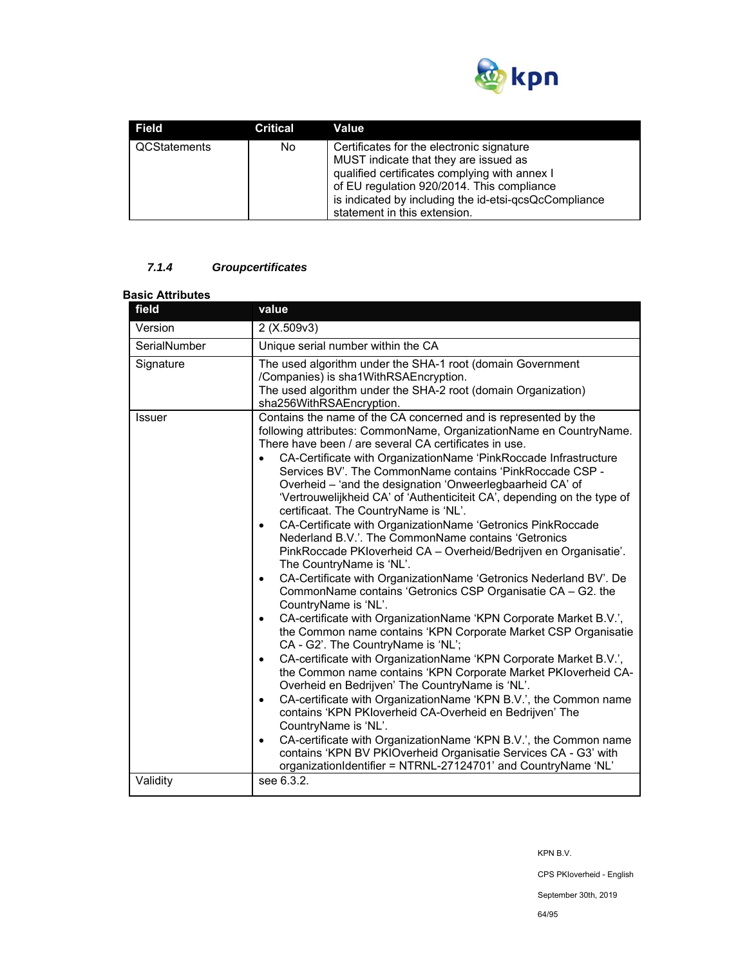

| Field               | <b>Critical</b> | Value                                                                                       |
|---------------------|-----------------|---------------------------------------------------------------------------------------------|
| <b>QCStatements</b> | No.             | Certificates for the electronic signature<br>MUST indicate that they are issued as          |
|                     |                 | qualified certificates complying with annex I<br>of EU regulation 920/2014. This compliance |
|                     |                 | is indicated by including the id-etsi-qcsQcCompliance<br>statement in this extension.       |

# *7.1.4 Groupcertificates*

# **Basic Attributes**

| field         | value                                                                                                                                                                                                                                                                                                                                                                                                                                                                                                                                                                                                                                                                                                                                                                                                                                                                                                                                                                                                                                                                                                                                                                                                                                                                                                                                                                                                                                                                                                                                                                                                                                                                                                                 |  |  |  |
|---------------|-----------------------------------------------------------------------------------------------------------------------------------------------------------------------------------------------------------------------------------------------------------------------------------------------------------------------------------------------------------------------------------------------------------------------------------------------------------------------------------------------------------------------------------------------------------------------------------------------------------------------------------------------------------------------------------------------------------------------------------------------------------------------------------------------------------------------------------------------------------------------------------------------------------------------------------------------------------------------------------------------------------------------------------------------------------------------------------------------------------------------------------------------------------------------------------------------------------------------------------------------------------------------------------------------------------------------------------------------------------------------------------------------------------------------------------------------------------------------------------------------------------------------------------------------------------------------------------------------------------------------------------------------------------------------------------------------------------------------|--|--|--|
| Version       | 2(X.509v3)                                                                                                                                                                                                                                                                                                                                                                                                                                                                                                                                                                                                                                                                                                                                                                                                                                                                                                                                                                                                                                                                                                                                                                                                                                                                                                                                                                                                                                                                                                                                                                                                                                                                                                            |  |  |  |
| SerialNumber  | Unique serial number within the CA                                                                                                                                                                                                                                                                                                                                                                                                                                                                                                                                                                                                                                                                                                                                                                                                                                                                                                                                                                                                                                                                                                                                                                                                                                                                                                                                                                                                                                                                                                                                                                                                                                                                                    |  |  |  |
| Signature     | The used algorithm under the SHA-1 root (domain Government<br>/Companies) is sha1WithRSAEncryption.<br>The used algorithm under the SHA-2 root (domain Organization)<br>sha256WithRSAEncryption.                                                                                                                                                                                                                                                                                                                                                                                                                                                                                                                                                                                                                                                                                                                                                                                                                                                                                                                                                                                                                                                                                                                                                                                                                                                                                                                                                                                                                                                                                                                      |  |  |  |
| <b>Issuer</b> | Contains the name of the CA concerned and is represented by the<br>following attributes: CommonName, OrganizationName en CountryName.<br>There have been / are several CA certificates in use.<br>CA-Certificate with OrganizationName 'PinkRoccade Infrastructure<br>Services BV'. The CommonName contains 'PinkRoccade CSP -<br>Overheid - 'and the designation 'Onweerlegbaarheid CA' of<br>'Vertrouwelijkheid CA' of 'Authenticiteit CA', depending on the type of<br>certificaat. The CountryName is 'NL'.<br>CA-Certificate with OrganizationName 'Getronics PinkRoccade<br>$\bullet$<br>Nederland B.V.'. The CommonName contains 'Getronics<br>PinkRoccade PKIoverheid CA - Overheid/Bedrijven en Organisatie'.<br>The CountryName is 'NL'.<br>CA-Certificate with OrganizationName 'Getronics Nederland BV'. De<br>$\bullet$<br>CommonName contains 'Getronics CSP Organisatie CA - G2. the<br>CountryName is 'NL'.<br>CA-certificate with OrganizationName 'KPN Corporate Market B.V.',<br>$\bullet$<br>the Common name contains 'KPN Corporate Market CSP Organisatie<br>CA - G2'. The CountryName is 'NL';<br>CA-certificate with OrganizationName 'KPN Corporate Market B.V.',<br>$\bullet$<br>the Common name contains 'KPN Corporate Market PKIoverheid CA-<br>Overheid en Bedrijven' The CountryName is 'NL'.<br>CA-certificate with OrganizationName 'KPN B.V.', the Common name<br>$\bullet$<br>contains 'KPN PKloverheid CA-Overheid en Bedrijven' The<br>CountryName is 'NL'.<br>CA-certificate with OrganizationName 'KPN B.V.', the Common name<br>$\bullet$<br>contains 'KPN BV PKIOverheid Organisatie Services CA - G3' with<br>organizationIdentifier = NTRNL-27124701' and CountryName 'NL' |  |  |  |
| Validity      | see 6.3.2.                                                                                                                                                                                                                                                                                                                                                                                                                                                                                                                                                                                                                                                                                                                                                                                                                                                                                                                                                                                                                                                                                                                                                                                                                                                                                                                                                                                                                                                                                                                                                                                                                                                                                                            |  |  |  |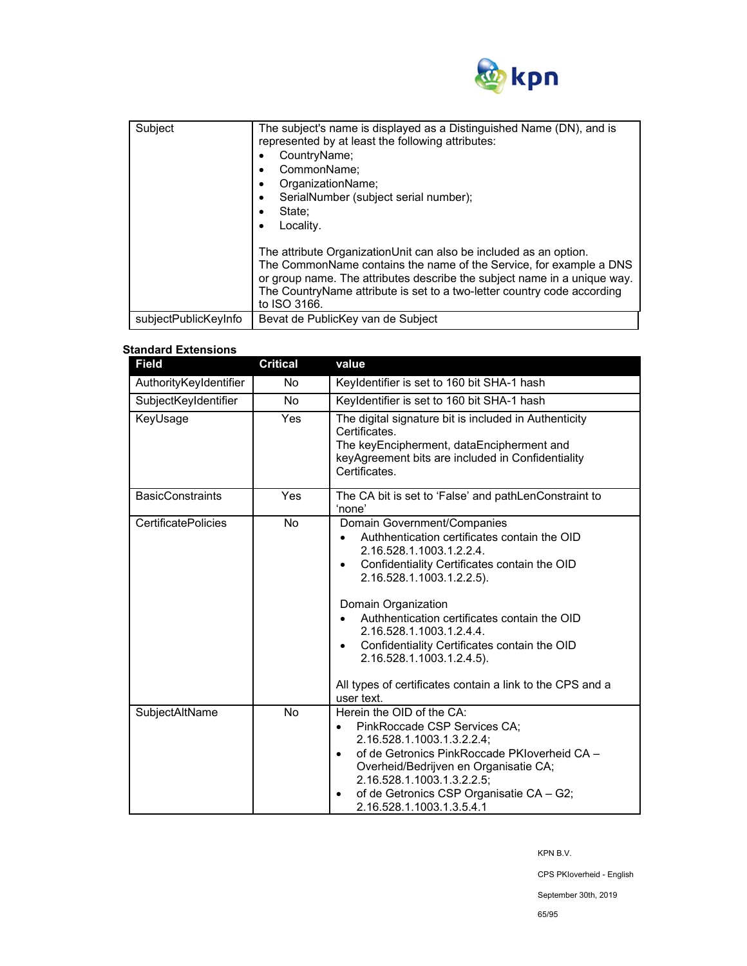

| Subject              | The subject's name is displayed as a Distinguished Name (DN), and is<br>represented by at least the following attributes:<br>CountryName;<br>CommonName;<br>٠<br>OrganizationName;<br>٠<br>SerialNumber (subject serial number);<br>$\bullet$<br>State:<br>٠<br>Locality.<br>٠<br>The attribute OrganizationUnit can also be included as an option.<br>The CommonName contains the name of the Service, for example a DNS<br>or group name. The attributes describe the subject name in a unique way.<br>The CountryName attribute is set to a two-letter country code according<br>to ISO 3166. |  |
|----------------------|--------------------------------------------------------------------------------------------------------------------------------------------------------------------------------------------------------------------------------------------------------------------------------------------------------------------------------------------------------------------------------------------------------------------------------------------------------------------------------------------------------------------------------------------------------------------------------------------------|--|
| subjectPublicKeyInfo | Bevat de PublicKey van de Subject                                                                                                                                                                                                                                                                                                                                                                                                                                                                                                                                                                |  |

# **Standard Extensions**

| <b>Field</b>               | <b>Critical</b> | value                                                                                                                                                                                                                                                                                                                                                                                                                                                |  |
|----------------------------|-----------------|------------------------------------------------------------------------------------------------------------------------------------------------------------------------------------------------------------------------------------------------------------------------------------------------------------------------------------------------------------------------------------------------------------------------------------------------------|--|
| AuthorityKeyIdentifier     | No.             | Keyldentifier is set to 160 bit SHA-1 hash                                                                                                                                                                                                                                                                                                                                                                                                           |  |
| SubjectKeyIdentifier       | <b>No</b>       | Keyldentifier is set to 160 bit SHA-1 hash                                                                                                                                                                                                                                                                                                                                                                                                           |  |
| KeyUsage                   | <b>Yes</b>      | The digital signature bit is included in Authenticity<br>Certificates<br>The keyEncipherment, dataEncipherment and<br>keyAgreement bits are included in Confidentiality<br>Certificates                                                                                                                                                                                                                                                              |  |
| <b>BasicConstraints</b>    | Yes             | The CA bit is set to 'False' and pathLenConstraint to<br>'none'                                                                                                                                                                                                                                                                                                                                                                                      |  |
| <b>CertificatePolicies</b> | No.             | Domain Government/Companies<br>Authhentication certificates contain the OID<br>2.16.528.1.1003.1.2.2.4.<br>Confidentiality Certificates contain the OID<br>2.16.528.1.1003.1.2.2.5).<br>Domain Organization<br>Authhentication certificates contain the OID<br>2.16.528.1.1003.1.2.4.4.<br>Confidentiality Certificates contain the OID<br>٠<br>2.16.528.1.1003.1.2.4.5).<br>All types of certificates contain a link to the CPS and a<br>user text. |  |
| SubjectAltName             | <b>No</b>       | Herein the OID of the CA:<br>PinkRoccade CSP Services CA;<br>2.16.528.1.1003.1.3.2.2.4;<br>of de Getronics PinkRoccade PKIoverheid CA -<br>Overheid/Bedrijven en Organisatie CA;<br>2.16.528.1.1003.1.3.2.2.5:<br>of de Getronics CSP Organisatie CA - G2;<br>$\bullet$<br>2.16.528.1.1003.1.3.5.4.1                                                                                                                                                 |  |

KPN B.V.

CPS PKIoverheid - English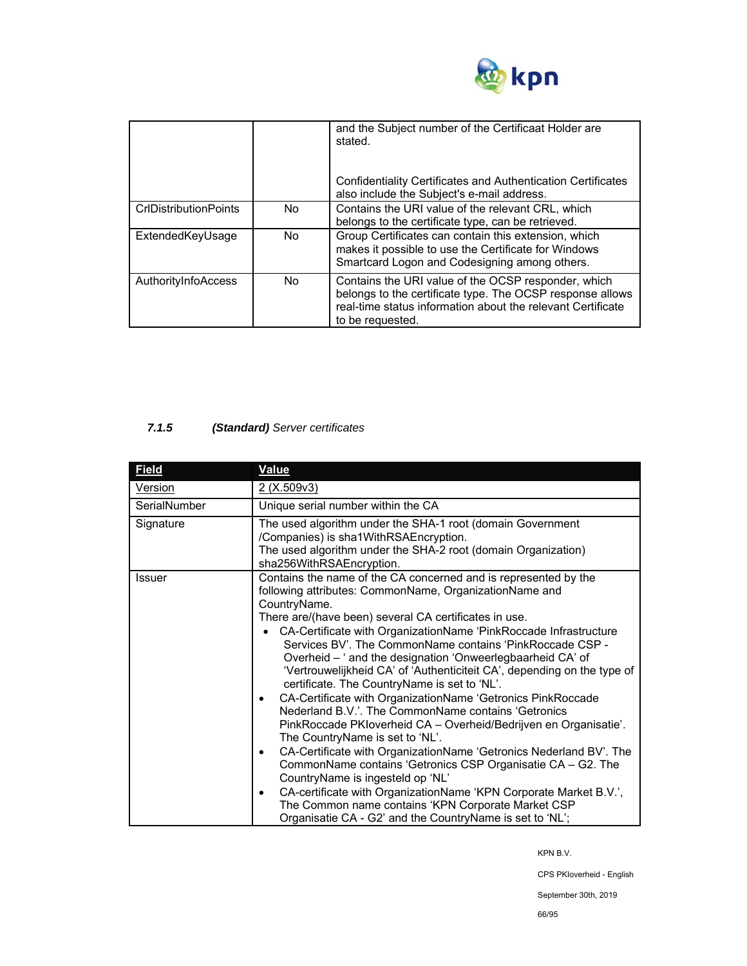

|                              |     | and the Subject number of the Certificaat Holder are<br>stated.<br>Confidentiality Certificates and Authentication Certificates<br>also include the Subject's e-mail address.                       |
|------------------------------|-----|-----------------------------------------------------------------------------------------------------------------------------------------------------------------------------------------------------|
| <b>CrIDistributionPoints</b> | No. | Contains the URI value of the relevant CRL, which<br>belongs to the certificate type, can be retrieved.                                                                                             |
| ExtendedKeyUsage             | No. | Group Certificates can contain this extension, which<br>makes it possible to use the Certificate for Windows<br>Smartcard Logon and Codesigning among others.                                       |
| AuthorityInfoAccess          | No. | Contains the URI value of the OCSP responder, which<br>belongs to the certificate type. The OCSP response allows<br>real-time status information about the relevant Certificate<br>to be requested. |

# *7.1.5 (Standard) Server certificates*

| <b>Field</b> | Value                                                                                                                                                                                                                                                                                                                                                                                                                                                                                                                                                                                                                                                                                                                                                                                                                                                                                                                                                                                                                                                                                                                                                   |  |  |
|--------------|---------------------------------------------------------------------------------------------------------------------------------------------------------------------------------------------------------------------------------------------------------------------------------------------------------------------------------------------------------------------------------------------------------------------------------------------------------------------------------------------------------------------------------------------------------------------------------------------------------------------------------------------------------------------------------------------------------------------------------------------------------------------------------------------------------------------------------------------------------------------------------------------------------------------------------------------------------------------------------------------------------------------------------------------------------------------------------------------------------------------------------------------------------|--|--|
| Version      | <u>2 (X.509v3)</u>                                                                                                                                                                                                                                                                                                                                                                                                                                                                                                                                                                                                                                                                                                                                                                                                                                                                                                                                                                                                                                                                                                                                      |  |  |
| SerialNumber | Unique serial number within the CA                                                                                                                                                                                                                                                                                                                                                                                                                                                                                                                                                                                                                                                                                                                                                                                                                                                                                                                                                                                                                                                                                                                      |  |  |
| Signature    | The used algorithm under the SHA-1 root (domain Government<br>/Companies) is sha1WithRSAEncryption.<br>The used algorithm under the SHA-2 root (domain Organization)<br>sha256WithRSAEncryption.                                                                                                                                                                                                                                                                                                                                                                                                                                                                                                                                                                                                                                                                                                                                                                                                                                                                                                                                                        |  |  |
| Issuer       | Contains the name of the CA concerned and is represented by the<br>following attributes: CommonName, OrganizationName and<br>CountryName.<br>There are/(have been) several CA certificates in use.<br>CA-Certificate with OrganizationName 'PinkRoccade Infrastructure<br>Services BV'. The CommonName contains 'PinkRoccade CSP -<br>Overheid - ' and the designation 'Onweerlegbaarheid CA' of<br>'Vertrouwelijkheid CA' of 'Authenticiteit CA', depending on the type of<br>certificate. The CountryName is set to 'NL'.<br>CA-Certificate with OrganizationName 'Getronics PinkRoccade<br>$\bullet$<br>Nederland B.V.'. The CommonName contains 'Getronics<br>PinkRoccade PKIoverheid CA - Overheid/Bedrijven en Organisatie'.<br>The CountryName is set to 'NL'.<br>CA-Certificate with OrganizationName 'Getronics Nederland BV'. The<br>$\bullet$<br>CommonName contains 'Getronics CSP Organisatie CA - G2. The<br>CountryName is ingesteld op 'NL'<br>CA-certificate with OrganizationName 'KPN Corporate Market B.V.',<br>٠<br>The Common name contains 'KPN Corporate Market CSP<br>Organisatie CA - G2' and the CountryName is set to 'NL'; |  |  |

KPN B.V.

CPS PKIoverheid - English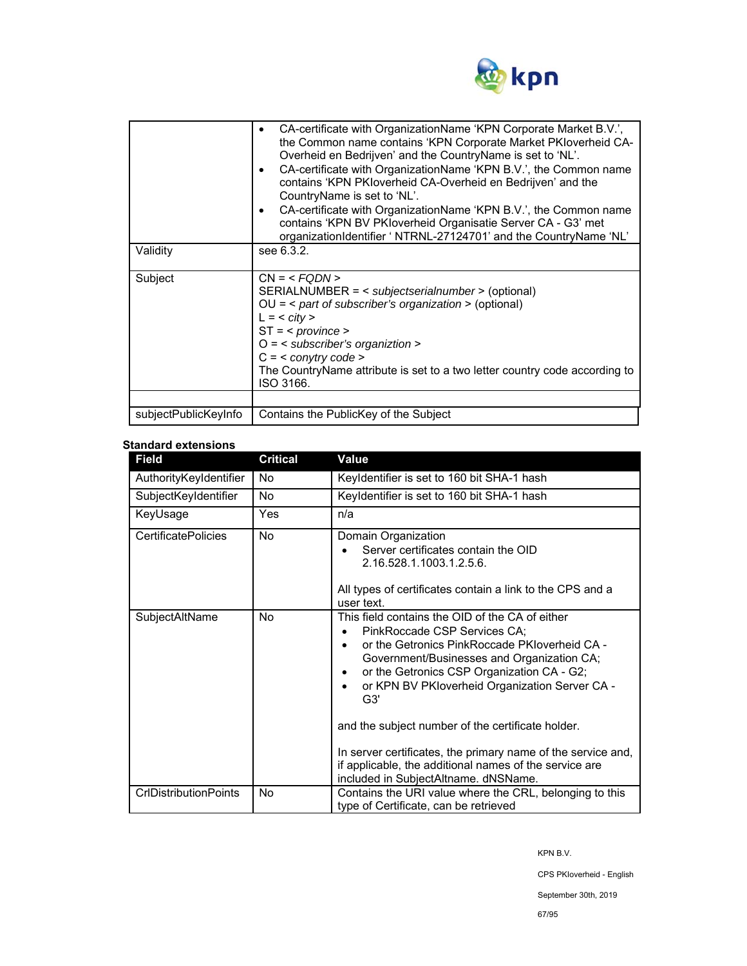

| Validity             | CA-certificate with OrganizationName 'KPN Corporate Market B.V.',<br>the Common name contains 'KPN Corporate Market PKIoverheid CA-<br>Overheid en Bedrijven' and the CountryName is set to 'NL'.<br>CA-certificate with OrganizationName 'KPN B.V.', the Common name<br>٠<br>contains 'KPN PKIoverheid CA-Overheid en Bedrijven' and the<br>CountryName is set to 'NL'.<br>CA-certificate with OrganizationName 'KPN B.V.', the Common name<br>٠<br>contains 'KPN BV PKloverheid Organisatie Server CA - G3' met<br>organizationIdentifier ' NTRNL-27124701' and the CountryName 'NL'<br>see 6.3.2. |  |
|----------------------|------------------------------------------------------------------------------------------------------------------------------------------------------------------------------------------------------------------------------------------------------------------------------------------------------------------------------------------------------------------------------------------------------------------------------------------------------------------------------------------------------------------------------------------------------------------------------------------------------|--|
| Subject              | $CN = $<br>SERIALNUMBER = < subjectserialnumber > (optional)<br>$OU =$ < part of subscriber's organization > (optional)<br>$L = <$ city ><br>$ST = <$ province ><br>$O =$ < subscriber's organiztion ><br>$C = <$ conytry code ><br>The CountryName attribute is set to a two letter country code according to<br>ISO 3166.                                                                                                                                                                                                                                                                          |  |
| subjectPublicKeyInfo | Contains the PublicKey of the Subject                                                                                                                                                                                                                                                                                                                                                                                                                                                                                                                                                                |  |

#### **Standard extensions**

| <b>Field</b>                 | <b>Critical</b> | Value                                                                                                                                                                                                                                                                                                                                                                                                                                                                                                                          |
|------------------------------|-----------------|--------------------------------------------------------------------------------------------------------------------------------------------------------------------------------------------------------------------------------------------------------------------------------------------------------------------------------------------------------------------------------------------------------------------------------------------------------------------------------------------------------------------------------|
| AuthorityKeyIdentifier       | No              | Keyldentifier is set to 160 bit SHA-1 hash                                                                                                                                                                                                                                                                                                                                                                                                                                                                                     |
| SubjectKeyIdentifier         | <b>No</b>       | Keyldentifier is set to 160 bit SHA-1 hash                                                                                                                                                                                                                                                                                                                                                                                                                                                                                     |
| KeyUsage                     | Yes             | n/a                                                                                                                                                                                                                                                                                                                                                                                                                                                                                                                            |
| <b>CertificatePolicies</b>   | <b>No</b>       | Domain Organization<br>Server certificates contain the OID<br>2.16.528.1.1003.1.2.5.6.<br>All types of certificates contain a link to the CPS and a<br>user text.                                                                                                                                                                                                                                                                                                                                                              |
| SubjectAltName               | No              | This field contains the OID of the CA of either<br>PinkRoccade CSP Services CA;<br>or the Getronics PinkRoccade PKIoverheid CA -<br>$\bullet$<br>Government/Businesses and Organization CA;<br>or the Getronics CSP Organization CA - G2;<br>or KPN BV PKloverheid Organization Server CA -<br>٠<br>G3'<br>and the subject number of the certificate holder.<br>In server certificates, the primary name of the service and,<br>if applicable, the additional names of the service are<br>included in SubjectAltname. dNSName. |
| <b>CrIDistributionPoints</b> | No              | Contains the URI value where the CRL, belonging to this<br>type of Certificate, can be retrieved                                                                                                                                                                                                                                                                                                                                                                                                                               |

KPN B.V.

CPS PKIoverheid - English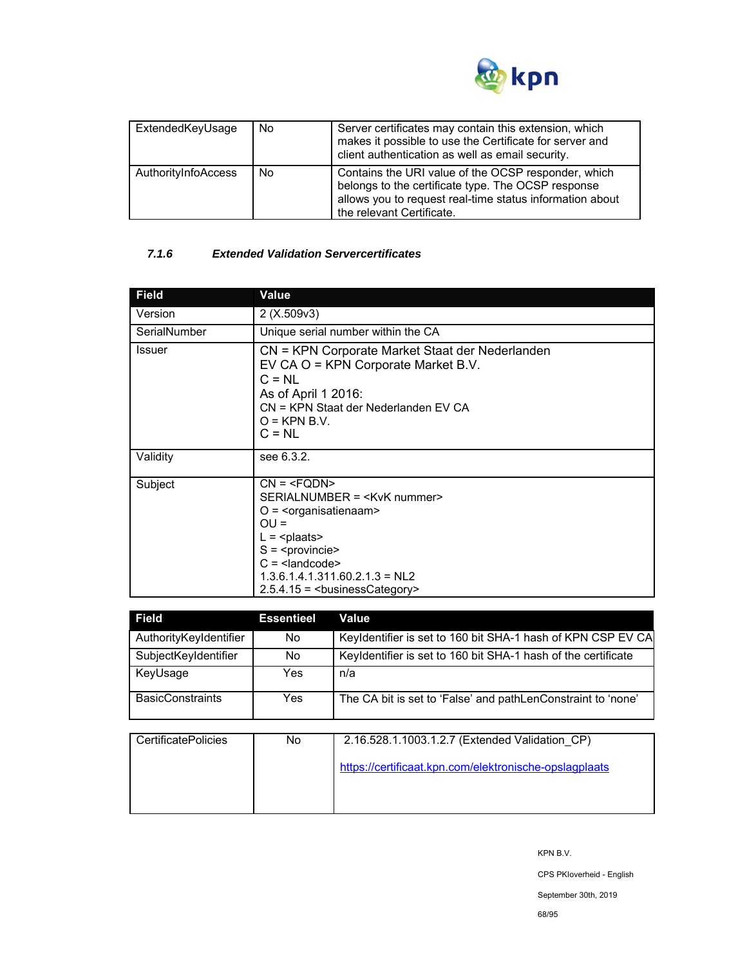

| ExtendedKeyUsage    | No. | Server certificates may contain this extension, which<br>makes it possible to use the Certificate for server and<br>client authentication as well as email security.                               |
|---------------------|-----|----------------------------------------------------------------------------------------------------------------------------------------------------------------------------------------------------|
| AuthorityInfoAccess | No. | Contains the URI value of the OCSP responder, which<br>belongs to the certificate type. The OCSP response<br>allows you to request real-time status information about<br>the relevant Certificate. |

# *7.1.6 Extended Validation Servercertificates*

| <b>Field</b>  | <b>Value</b>                                                                                                                                                                                    |
|---------------|-------------------------------------------------------------------------------------------------------------------------------------------------------------------------------------------------|
| Version       | 2(X.509v3)                                                                                                                                                                                      |
| SerialNumber  | Unique serial number within the CA                                                                                                                                                              |
| <b>Issuer</b> | CN = KPN Corporate Market Staat der Nederlanden<br>EV CA O = KPN Corporate Market B.V.<br>$C = NL$<br>As of April 1 2016:<br>CN = KPN Staat der Nederlanden EV CA<br>$O =$ KPN B.V.<br>$C = NL$ |
| Validity      | see 6.3.2.                                                                                                                                                                                      |
| Subject       | $CN = SERIALNUMBER = O = \langleorganisatienaam>OU =L = S = C = 1.3.6.1.4.1.311.60.2.1.3 = NL22.5.4.15 = businessCategory>$                                                                     |

| <b>Field</b>            | <b>Essentieel</b> | Value                                                         |
|-------------------------|-------------------|---------------------------------------------------------------|
| AuthorityKeyIdentifier  | No.               | Keyldentifier is set to 160 bit SHA-1 hash of KPN CSP EV CA   |
| SubjectKeyIdentifier    | No.               | Keyldentifier is set to 160 bit SHA-1 hash of the certificate |
| KeyUsage                | Yes               | n/a                                                           |
| <b>BasicConstraints</b> | Yes               | The CA bit is set to 'False' and pathLenConstraint to 'none'  |

| <b>CertificatePolicies</b> | No. | 2.16.528.1.1003.1.2.7 (Extended Validation CP)         |
|----------------------------|-----|--------------------------------------------------------|
|                            |     | https://certificaat.kpn.com/elektronische-opslagplaats |
|                            |     |                                                        |
|                            |     |                                                        |

KPN B.V. CPS PKIoverheid - English September 30th, 2019 68/95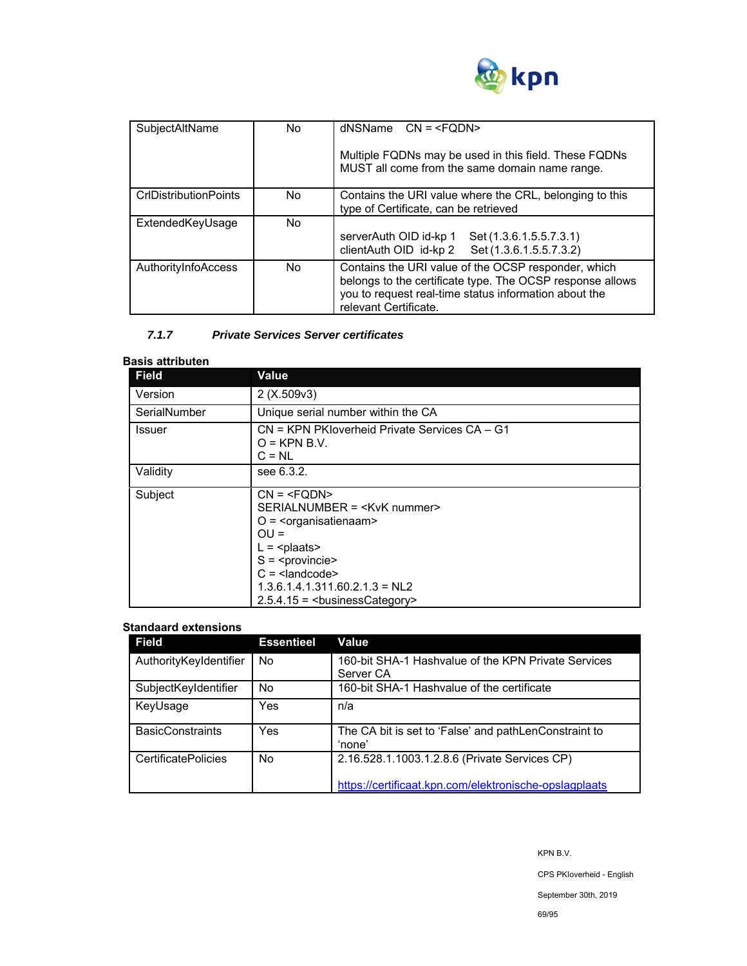

| SubjectAltName               | No. | $d$ NSName $CN = Multiple FQDNs may be used in this field. These FQDNsMUST all come from the same domain name range.$                                                                              |
|------------------------------|-----|----------------------------------------------------------------------------------------------------------------------------------------------------------------------------------------------------|
| <b>CrIDistributionPoints</b> | No. | Contains the URI value where the CRL, belonging to this<br>type of Certificate, can be retrieved                                                                                                   |
| ExtendedKeyUsage             | No. | serverAuth OID id-kp 1<br>Set (1.3.6.1.5.5.7.3.1)<br>clientAuth OID id-kp 2 Set (1.3.6.1.5.5.7.3.2)                                                                                                |
| AuthorityInfoAccess          | No. | Contains the URI value of the OCSP responder, which<br>belongs to the certificate type. The OCSP response allows<br>you to request real-time status information about the<br>relevant Certificate. |

# *7.1.7 Private Services Server certificates*

## **Basis attributen**

| <b>Field</b> | <b>Value</b>                                                                                                                      |
|--------------|-----------------------------------------------------------------------------------------------------------------------------------|
| Version      | 2(X.509v3)                                                                                                                        |
| SerialNumber | Unique serial number within the CA                                                                                                |
| Issuer       | CN = KPN PKloverheid Private Services CA - G1<br>$Q = KPN B.V.$<br>$C = NL$                                                       |
| Validity     | see 6.3.2.                                                                                                                        |
| Subject      | $CN = SERIALNUMBER = O = \langleorganisatienaam>OU =L = plaatsS = C = 1.3.6.1.4.1.311.60.2.1.3 = NL22.5.4.15 = businessCategory>$ |

#### **Standaard extensions**

| <b>Field</b>               | <b>Essentieel</b> | Value                                                            |
|----------------------------|-------------------|------------------------------------------------------------------|
| AuthorityKeyIdentifier     | <b>No</b>         | 160-bit SHA-1 Hashvalue of the KPN Private Services<br>Server CA |
| SubjectKeyIdentifier       | No.               | 160-bit SHA-1 Hashvalue of the certificate                       |
| KeyUsage                   | Yes               | n/a                                                              |
| <b>BasicConstraints</b>    | Yes               | The CA bit is set to 'False' and pathLenConstraint to<br>'none'  |
| <b>CertificatePolicies</b> | <b>No</b>         | 2.16.528.1.1003.1.2.8.6 (Private Services CP)                    |
|                            |                   | https://certificaat.kpn.com/elektronische-opslagplaats           |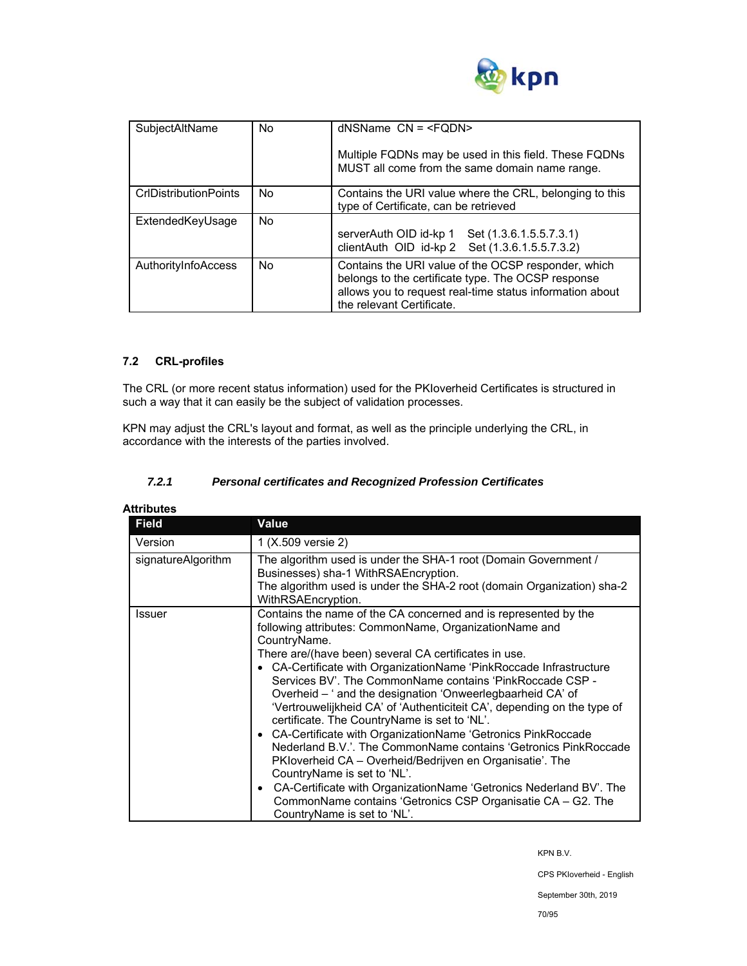

| SubjectAltName               | No        | $d$ NSName $CN = $                                                                                                                                                                                 |
|------------------------------|-----------|----------------------------------------------------------------------------------------------------------------------------------------------------------------------------------------------------|
|                              |           | Multiple FQDNs may be used in this field. These FQDNs<br>MUST all come from the same domain name range.                                                                                            |
| <b>CrIDistributionPoints</b> | No.       | Contains the URI value where the CRL, belonging to this<br>type of Certificate, can be retrieved                                                                                                   |
| ExtendedKeyUsage             | <b>No</b> | serverAuth OID id-kp 1 Set (1.3.6.1.5.5.7.3.1)<br>clientAuth OID id-kp 2 Set (1.3.6.1.5.5.7.3.2)                                                                                                   |
| AuthorityInfoAccess          | No.       | Contains the URI value of the OCSP responder, which<br>belongs to the certificate type. The OCSP response<br>allows you to request real-time status information about<br>the relevant Certificate. |

## **7.2 CRL-profiles**

The CRL (or more recent status information) used for the PKIoverheid Certificates is structured in such a way that it can easily be the subject of validation processes.

KPN may adjust the CRL's layout and format, as well as the principle underlying the CRL, in accordance with the interests of the parties involved.

## *7.2.1 Personal certificates and Recognized Profession Certificates*

| Field              | Value                                                                                                                                                                                                                                                                                                                                                                                                                                                                                                                                                                                                                                                                                                                                                                                                                                                                                                                                         |
|--------------------|-----------------------------------------------------------------------------------------------------------------------------------------------------------------------------------------------------------------------------------------------------------------------------------------------------------------------------------------------------------------------------------------------------------------------------------------------------------------------------------------------------------------------------------------------------------------------------------------------------------------------------------------------------------------------------------------------------------------------------------------------------------------------------------------------------------------------------------------------------------------------------------------------------------------------------------------------|
| Version            | 1 (X.509 versie 2)                                                                                                                                                                                                                                                                                                                                                                                                                                                                                                                                                                                                                                                                                                                                                                                                                                                                                                                            |
| signatureAlgorithm | The algorithm used is under the SHA-1 root (Domain Government /<br>Businesses) sha-1 WithRSAEncryption.<br>The algorithm used is under the SHA-2 root (domain Organization) sha-2<br>WithRSAEncryption.                                                                                                                                                                                                                                                                                                                                                                                                                                                                                                                                                                                                                                                                                                                                       |
| Issuer             | Contains the name of the CA concerned and is represented by the<br>following attributes: CommonName, OrganizationName and<br>CountryName.<br>There are/(have been) several CA certificates in use.<br>• CA-Certificate with OrganizationName 'PinkRoccade Infrastructure<br>Services BV'. The CommonName contains 'PinkRoccade CSP -<br>Overheid – ' and the designation 'Onweerlegbaarheid CA' of<br>'Vertrouwelijkheid CA' of 'Authenticiteit CA', depending on the type of<br>certificate. The CountryName is set to 'NL'.<br>• CA-Certificate with OrganizationName 'Getronics PinkRoccade<br>Nederland B.V.'. The CommonName contains 'Getronics PinkRoccade<br>PKloverheid CA - Overheid/Bedrijven en Organisatie'. The<br>CountryName is set to 'NL'.<br>CA-Certificate with OrganizationName 'Getronics Nederland BV'. The<br>$\bullet$<br>CommonName contains 'Getronics CSP Organisatie CA - G2. The<br>CountryName is set to 'NL'. |

KPN B.V.

CPS PKIoverheid - English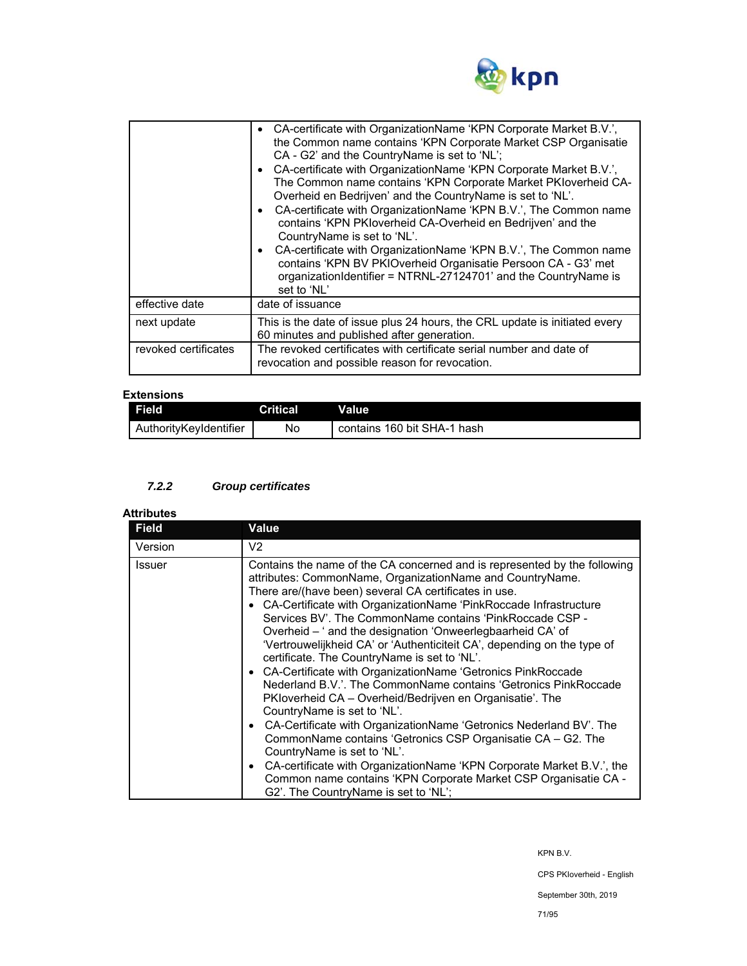

|                      | • CA-certificate with OrganizationName 'KPN Corporate Market B.V.',<br>the Common name contains 'KPN Corporate Market CSP Organisatie<br>CA - G2' and the CountryName is set to 'NL';<br>CA-certificate with OrganizationName 'KPN Corporate Market B.V.',<br>The Common name contains 'KPN Corporate Market PKIoverheid CA-<br>Overheid en Bedrijven' and the CountryName is set to 'NL'.<br>• CA-certificate with OrganizationName 'KPN B.V.', The Common name<br>contains 'KPN PKIoverheid CA-Overheid en Bedrijven' and the<br>CountryName is set to 'NL'.<br>CA-certificate with OrganizationName 'KPN B.V.', The Common name<br>contains 'KPN BV PKIOverheid Organisatie Persoon CA - G3' met<br>organizationIdentifier = NTRNL-27124701' and the CountryName is<br>set to 'NL' |
|----------------------|---------------------------------------------------------------------------------------------------------------------------------------------------------------------------------------------------------------------------------------------------------------------------------------------------------------------------------------------------------------------------------------------------------------------------------------------------------------------------------------------------------------------------------------------------------------------------------------------------------------------------------------------------------------------------------------------------------------------------------------------------------------------------------------|
| effective date       | date of issuance                                                                                                                                                                                                                                                                                                                                                                                                                                                                                                                                                                                                                                                                                                                                                                      |
| next update          | This is the date of issue plus 24 hours, the CRL update is initiated every<br>60 minutes and published after generation.                                                                                                                                                                                                                                                                                                                                                                                                                                                                                                                                                                                                                                                              |
| revoked certificates | The revoked certificates with certificate serial number and date of<br>revocation and possible reason for revocation.                                                                                                                                                                                                                                                                                                                                                                                                                                                                                                                                                                                                                                                                 |

# **Extensions**

| -----------            |          |                             |
|------------------------|----------|-----------------------------|
| Field                  | Critical | Value                       |
| AuthorityKevIdentifier | No       | contains 160 bit SHA-1 hash |

# *7.2.2 Group certificates*

# **Attributes**

| <b>Field</b>  | <b>Value</b>                                                                                                                                                                                                                                                                                                                                                                                                                                                                                                                                                                                                                                                                                                                                                                                                                                                                                                                                                                                                                                                                                                                     |
|---------------|----------------------------------------------------------------------------------------------------------------------------------------------------------------------------------------------------------------------------------------------------------------------------------------------------------------------------------------------------------------------------------------------------------------------------------------------------------------------------------------------------------------------------------------------------------------------------------------------------------------------------------------------------------------------------------------------------------------------------------------------------------------------------------------------------------------------------------------------------------------------------------------------------------------------------------------------------------------------------------------------------------------------------------------------------------------------------------------------------------------------------------|
| Version       | V <sub>2</sub>                                                                                                                                                                                                                                                                                                                                                                                                                                                                                                                                                                                                                                                                                                                                                                                                                                                                                                                                                                                                                                                                                                                   |
| <b>Issuer</b> | Contains the name of the CA concerned and is represented by the following<br>attributes: CommonName, OrganizationName and CountryName.<br>There are/(have been) several CA certificates in use.<br>• CA-Certificate with OrganizationName 'PinkRoccade Infrastructure<br>Services BV'. The CommonName contains 'PinkRoccade CSP -<br>Overheid – ' and the designation 'Onweerlegbaarheid CA' of<br>'Vertrouwelijkheid CA' or 'Authenticiteit CA', depending on the type of<br>certificate. The CountryName is set to 'NL'.<br>• CA-Certificate with OrganizationName 'Getronics PinkRoccade<br>Nederland B.V.'. The CommonName contains 'Getronics PinkRoccade<br>PKIoverheid CA – Overheid/Bedrijven en Organisatie'. The<br>CountryName is set to 'NL'.<br>• CA-Certificate with OrganizationName 'Getronics Nederland BV'. The<br>CommonName contains 'Getronics CSP Organisatie CA - G2. The<br>CountryName is set to 'NL'.<br>CA-certificate with OrganizationName 'KPN Corporate Market B.V.', the<br>$\bullet$<br>Common name contains 'KPN Corporate Market CSP Organisatie CA -<br>G2'. The CountryName is set to 'NL'; |

KPN B.V.

CPS PKIoverheid - English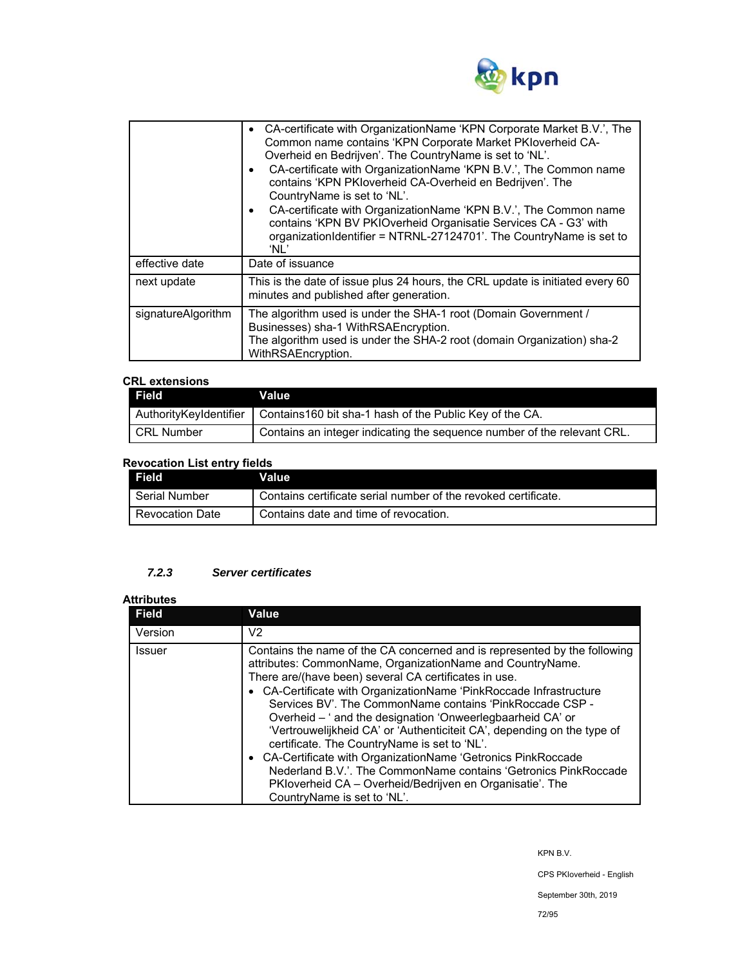

|                    | CA-certificate with OrganizationName 'KPN Corporate Market B.V.', The<br>Common name contains 'KPN Corporate Market PKIoverheid CA-<br>Overheid en Bedrijven'. The CountryName is set to 'NL'.<br>CA-certificate with OrganizationName 'KPN B.V.', The Common name<br>$\bullet$<br>contains 'KPN PKIoverheid CA-Overheid en Bedrijven'. The<br>CountryName is set to 'NL'.<br>CA-certificate with OrganizationName 'KPN B.V.', The Common name<br>$\bullet$<br>contains 'KPN BV PKIOverheid Organisatie Services CA - G3' with<br>organizationIdentifier = NTRNL-27124701'. The CountryName is set to<br>'NL' |
|--------------------|---------------------------------------------------------------------------------------------------------------------------------------------------------------------------------------------------------------------------------------------------------------------------------------------------------------------------------------------------------------------------------------------------------------------------------------------------------------------------------------------------------------------------------------------------------------------------------------------------------------|
| effective date     | Date of issuance                                                                                                                                                                                                                                                                                                                                                                                                                                                                                                                                                                                              |
| next update        | This is the date of issue plus 24 hours, the CRL update is initiated every 60<br>minutes and published after generation.                                                                                                                                                                                                                                                                                                                                                                                                                                                                                      |
| signatureAlgorithm | The algorithm used is under the SHA-1 root (Domain Government /<br>Businesses) sha-1 WithRSAEncryption.<br>The algorithm used is under the SHA-2 root (domain Organization) sha-2<br>WithRSAEncryption.                                                                                                                                                                                                                                                                                                                                                                                                       |

## **CRL extensions**

| Field                  | Value                                                                   |
|------------------------|-------------------------------------------------------------------------|
| AuthorityKeyIdentifier | Contains 160 bit sha-1 hash of the Public Key of the CA.                |
| <b>CRL Number</b>      | Contains an integer indicating the sequence number of the relevant CRL. |

# **Revocation List entry fields**

| Field                  | Value                                                          |
|------------------------|----------------------------------------------------------------|
| Serial Number          | Contains certificate serial number of the revoked certificate. |
| <b>Revocation Date</b> | Contains date and time of revocation.                          |

# *7.2.3 Server certificates*

## **Attributes**

| <b>Field</b> | Value                                                                                                                                                                                                                                                                                                                                                                                                                                                                                                                                                                                                                                                                                                                                                     |
|--------------|-----------------------------------------------------------------------------------------------------------------------------------------------------------------------------------------------------------------------------------------------------------------------------------------------------------------------------------------------------------------------------------------------------------------------------------------------------------------------------------------------------------------------------------------------------------------------------------------------------------------------------------------------------------------------------------------------------------------------------------------------------------|
| Version      | V <sub>2</sub>                                                                                                                                                                                                                                                                                                                                                                                                                                                                                                                                                                                                                                                                                                                                            |
| Issuer       | Contains the name of the CA concerned and is represented by the following<br>attributes: CommonName, OrganizationName and CountryName.<br>There are/(have been) several CA certificates in use.<br>• CA-Certificate with OrganizationName 'PinkRoccade Infrastructure<br>Services BV'. The CommonName contains 'PinkRoccade CSP -<br>Overheid - ' and the designation 'Onweerlegbaarheid CA' or<br>'Vertrouwelijkheid CA' or 'Authenticiteit CA', depending on the type of<br>certificate. The CountryName is set to 'NL'.<br>• CA-Certificate with OrganizationName 'Getronics PinkRoccade<br>Nederland B.V.'. The CommonName contains 'Getronics PinkRoccade<br>PKIoverheid CA – Overheid/Bedrijven en Organisatie'. The<br>CountryName is set to 'NL'. |

KPN B.V.

CPS PKIoverheid - English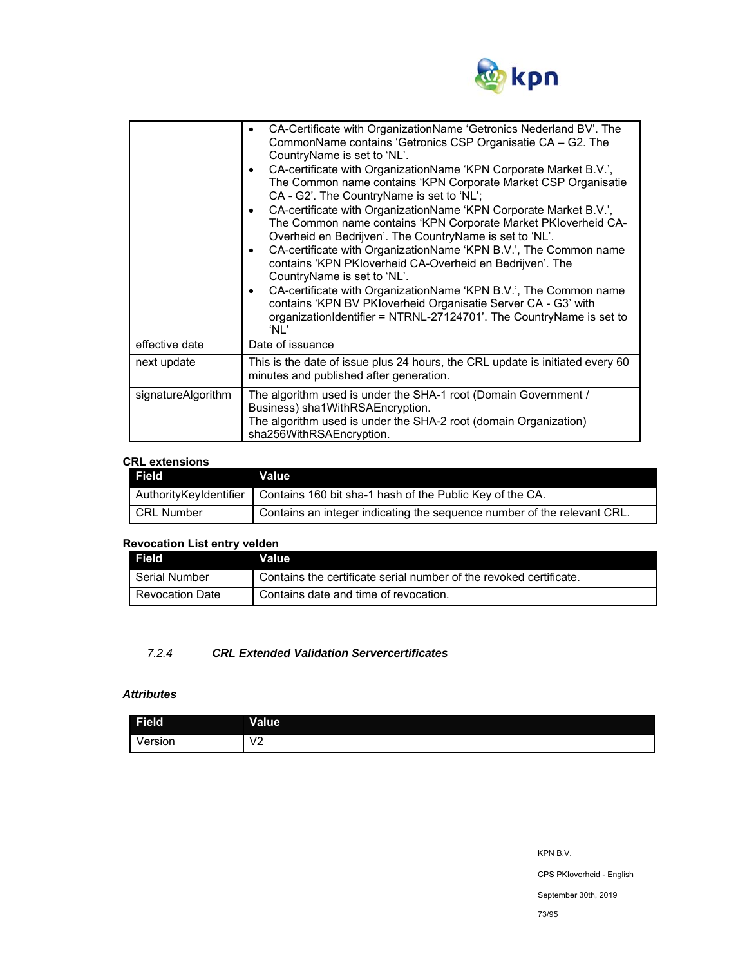

| effective date     | CA-Certificate with OrganizationName 'Getronics Nederland BV'. The<br>CommonName contains 'Getronics CSP Organisatie CA - G2. The<br>CountryName is set to 'NL'.<br>CA-certificate with OrganizationName 'KPN Corporate Market B.V.',<br>The Common name contains 'KPN Corporate Market CSP Organisatie<br>CA - G2'. The CountryName is set to 'NL';<br>CA-certificate with OrganizationName 'KPN Corporate Market B.V.',<br>The Common name contains 'KPN Corporate Market PKIoverheid CA-<br>Overheid en Bedrijven'. The CountryName is set to 'NL'.<br>CA-certificate with OrganizationName 'KPN B.V.', The Common name<br>contains 'KPN PKIoverheid CA-Overheid en Bedrijven'. The<br>CountryName is set to 'NL'.<br>CA-certificate with OrganizationName 'KPN B.V.', The Common name<br>contains 'KPN BV PKIoverheid Organisatie Server CA - G3' with<br>organizationIdentifier = NTRNL-27124701'. The CountryName is set to<br>'NL'<br>Date of issuance |  |  |  |
|--------------------|---------------------------------------------------------------------------------------------------------------------------------------------------------------------------------------------------------------------------------------------------------------------------------------------------------------------------------------------------------------------------------------------------------------------------------------------------------------------------------------------------------------------------------------------------------------------------------------------------------------------------------------------------------------------------------------------------------------------------------------------------------------------------------------------------------------------------------------------------------------------------------------------------------------------------------------------------------------|--|--|--|
| next update        | This is the date of issue plus 24 hours, the CRL update is initiated every 60<br>minutes and published after generation.                                                                                                                                                                                                                                                                                                                                                                                                                                                                                                                                                                                                                                                                                                                                                                                                                                      |  |  |  |
| signatureAlgorithm | The algorithm used is under the SHA-1 root (Domain Government /<br>Business) sha1WithRSAEncryption.<br>The algorithm used is under the SHA-2 root (domain Organization)<br>sha256WithRSAEncryption.                                                                                                                                                                                                                                                                                                                                                                                                                                                                                                                                                                                                                                                                                                                                                           |  |  |  |

## **CRL extensions**

| Field <b>I</b>         | Value                                                                   |
|------------------------|-------------------------------------------------------------------------|
| AuthorityKeyIdentifier | Contains 160 bit sha-1 hash of the Public Key of the CA.                |
| CRL Number             | Contains an integer indicating the sequence number of the relevant CRL. |

# **Revocation List entry velden**

| Field                  | Value                                                              |
|------------------------|--------------------------------------------------------------------|
| Serial Number          | Contains the certificate serial number of the revoked certificate. |
| <b>Revocation Date</b> | Contains date and time of revocation.                              |

# *7.2.4 CRL Extended Validation Servercertificates*

# *Attributes*

| Field   | <b>Value</b>             |
|---------|--------------------------|
| /ersion | $\sqrt{2}$<br>$\epsilon$ |

KPN B.V. CPS PKIoverheid - English September 30th, 2019 73/95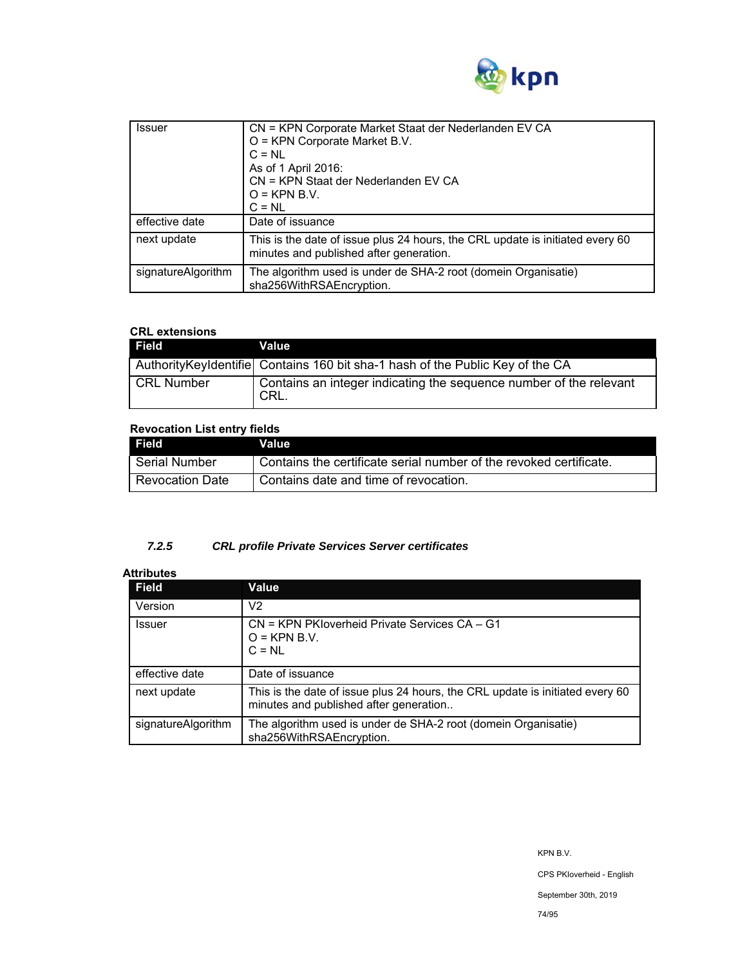

| <b>Issuer</b>      | CN = KPN Corporate Market Staat der Nederlanden EV CA<br>O = KPN Corporate Market B.V.<br>$C = NL$<br>As of 1 April 2016:<br>CN = KPN Staat der Nederlanden EV CA<br>$O =$ KPN B.V.<br>$C = NL$ |
|--------------------|-------------------------------------------------------------------------------------------------------------------------------------------------------------------------------------------------|
| effective date     | Date of issuance                                                                                                                                                                                |
| next update        | This is the date of issue plus 24 hours, the CRL update is initiated every 60<br>minutes and published after generation.                                                                        |
| signatureAlgorithm | The algorithm used is under de SHA-2 root (domein Organisatie)<br>sha256WithRSAEncryption.                                                                                                      |

# **CRL extensions**

| Field             | Value                                                                           |
|-------------------|---------------------------------------------------------------------------------|
|                   | Authority Keyldentifiel Contains 160 bit sha-1 hash of the Public Key of the CA |
| <b>CRL Number</b> | Contains an integer indicating the sequence number of the relevant<br>CRL.      |

# **Revocation List entry fields**

| l Field                  | Value                                                              |
|--------------------------|--------------------------------------------------------------------|
| l Serial Number          | Contains the certificate serial number of the revoked certificate. |
| <b>I Revocation Date</b> | l Contains date and time of revocation.                            |

# *7.2.5 CRL profile Private Services Server certificates*

# **Attributes**

| <b>Field</b>       | Value                                                                                                                   |  |  |  |  |
|--------------------|-------------------------------------------------------------------------------------------------------------------------|--|--|--|--|
| Version            | V2                                                                                                                      |  |  |  |  |
| <b>Issuer</b>      | CN = KPN PKIoverheid Private Services CA - G1<br>$O =$ KPN B.V.<br>$C = NI$                                             |  |  |  |  |
| effective date     | Date of issuance                                                                                                        |  |  |  |  |
| next update        | This is the date of issue plus 24 hours, the CRL update is initiated every 60<br>minutes and published after generation |  |  |  |  |
| signatureAlgorithm | The algorithm used is under de SHA-2 root (domein Organisatie)<br>sha256WithRSAEncryption.                              |  |  |  |  |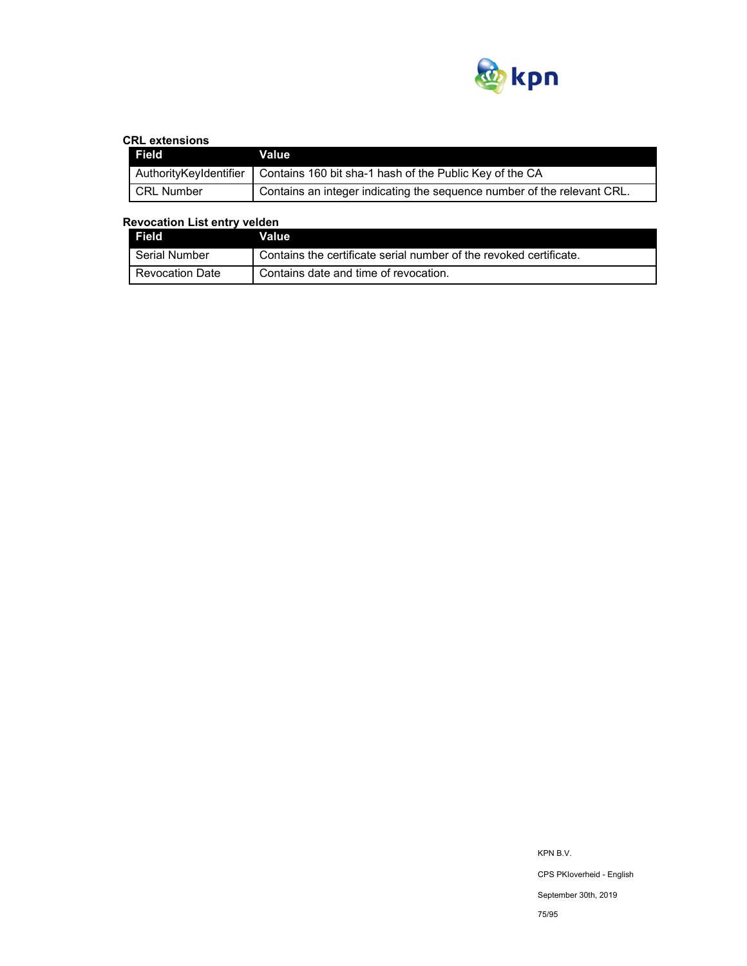

# **CRL extensions**

| Field                  | Value                                                                   |
|------------------------|-------------------------------------------------------------------------|
| AuthorityKeyIdentifier | Contains 160 bit sha-1 hash of the Public Key of the CA                 |
| CRL Number             | Contains an integer indicating the sequence number of the relevant CRL. |

# **Revocation List entry velden**

| Field                | Value                                                              |
|----------------------|--------------------------------------------------------------------|
| <b>Serial Number</b> | Contains the certificate serial number of the revoked certificate. |
| Revocation Date      | Contains date and time of revocation.                              |

KPN B.V. CPS PKIoverheid - English September 30th, 2019 75/95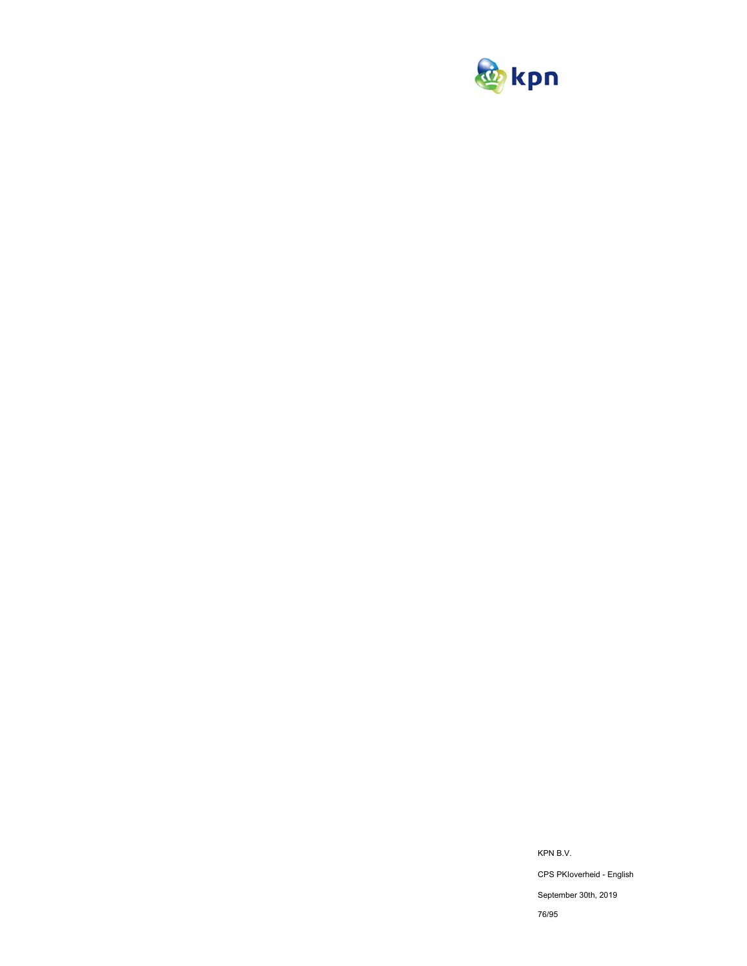

KPN B.V. CPS PKIoverheid - English September 30th, 2019 76/95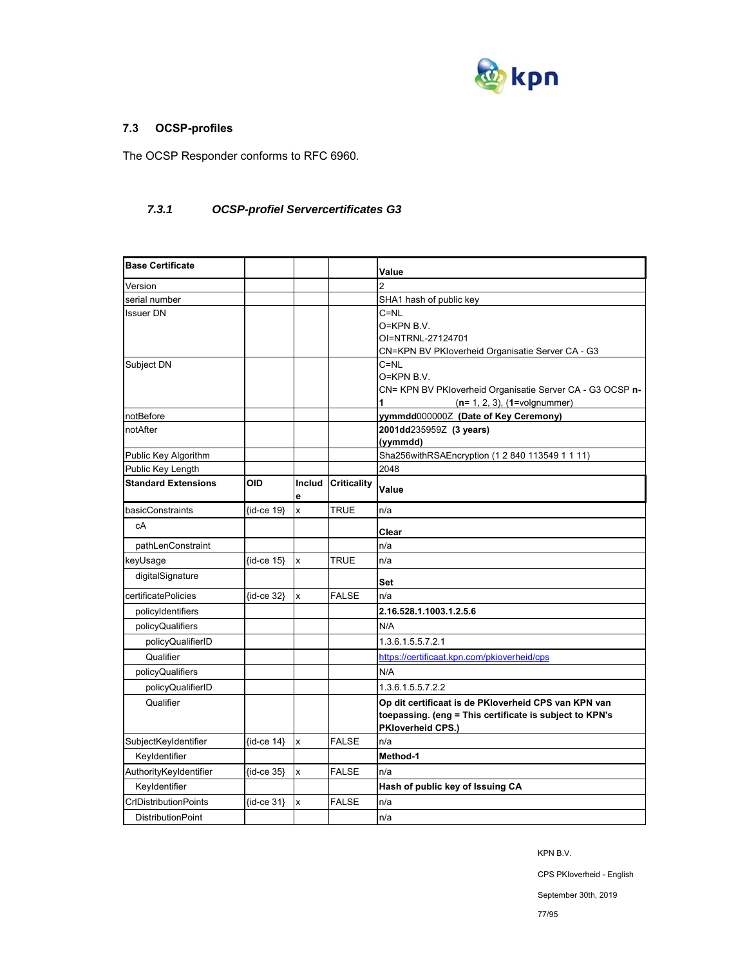

# **7.3 OCSP-profiles**

The OCSP Responder conforms to RFC 6960.

# *7.3.1 OCSP-profiel Servercertificates G3*

| <b>Base Certificate</b>      |                |              |              | Value                                                                                                                                       |
|------------------------------|----------------|--------------|--------------|---------------------------------------------------------------------------------------------------------------------------------------------|
| Version                      |                |              |              | $\overline{2}$                                                                                                                              |
| serial number                |                |              |              | SHA1 hash of public key                                                                                                                     |
| <b>Issuer DN</b>             |                |              |              | $C = NL$<br>O=KPN B.V.<br>OI=NTRNL-27124701<br>CN=KPN BV PKloverheid Organisatie Server CA - G3                                             |
| Subject DN                   |                |              |              | $C = NL$<br>O=KPN B.V.<br>CN= KPN BV PKloverheid Organisatie Server CA - G3 OCSP n-<br>$(n=1, 2, 3)$ , $(1=$ volgnummer)<br>1               |
| notBefore                    |                |              |              | yymmdd000000Z (Date of Key Ceremony)                                                                                                        |
| notAfter                     |                |              |              | 2001dd235959Z (3 years)<br>(yymmdd)                                                                                                         |
| Public Key Algorithm         |                |              |              | Sha256withRSAEncryption (1 2 840 113549 1 1 11)                                                                                             |
| Public Key Length            |                |              |              | 2048                                                                                                                                        |
| <b>Standard Extensions</b>   | OID            | Includ<br>е  | Criticality  | Value                                                                                                                                       |
| basicConstraints             | {id-ce 19}     | $\mathsf{x}$ | <b>TRUE</b>  | n/a                                                                                                                                         |
| сA                           |                |              |              | Clear                                                                                                                                       |
| pathLenConstraint            |                |              |              | n/a                                                                                                                                         |
| keyUsage                     | $\{id-ce 15\}$ | x            | <b>TRUE</b>  | n/a                                                                                                                                         |
| digitalSignature             |                |              |              | Set                                                                                                                                         |
| certificatePolicies          | {id-ce 32}     | x            | <b>FALSE</b> | n/a                                                                                                                                         |
| policyIdentifiers            |                |              |              | 2.16.528.1.1003.1.2.5.6                                                                                                                     |
| policyQualifiers             |                |              |              | N/A                                                                                                                                         |
| policyQualifierID            |                |              |              | 1.3.6.1.5.5.7.2.1                                                                                                                           |
| Qualifier                    |                |              |              | https://certificaat.kpn.com/pkioverheid/cps                                                                                                 |
| policyQualifiers             |                |              |              | N/A                                                                                                                                         |
| policyQualifierID            |                |              |              | 1.3.6.1.5.5.7.2.2                                                                                                                           |
| Qualifier                    |                |              |              | Op dit certificaat is de PKIoverheid CPS van KPN van<br>toepassing. (eng = This certificate is subject to KPN's<br><b>PKloverheid CPS.)</b> |
| SubjectKeyIdentifier         | $\{id-ce 14\}$ | $\mathsf{x}$ | <b>FALSE</b> | n/a                                                                                                                                         |
| Keyldentifier                |                |              |              | Method-1                                                                                                                                    |
| AuthorityKeyIdentifier       | {id-ce 35}     | x            | <b>FALSE</b> | n/a                                                                                                                                         |
| Keyldentifier                |                |              |              | Hash of public key of Issuing CA                                                                                                            |
| <b>CrIDistributionPoints</b> | {id-ce 31}     | X            | <b>FALSE</b> | n/a                                                                                                                                         |
| <b>DistributionPoint</b>     |                |              |              | n/a                                                                                                                                         |

KPN B.V.

CPS PKIoverheid - English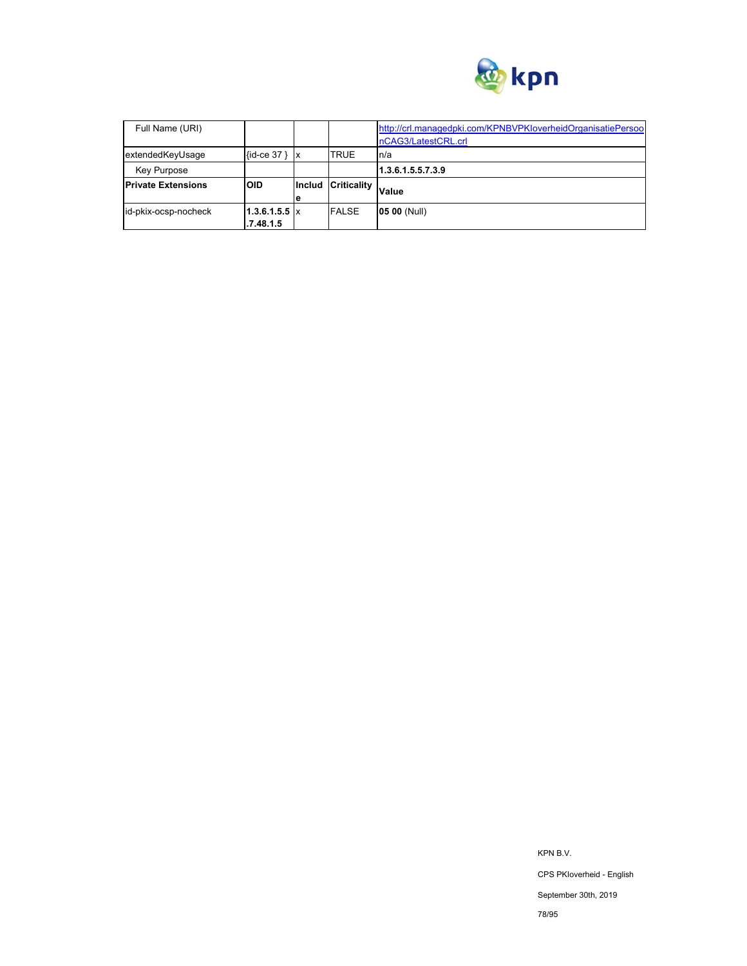

| Full Name (URI)           |                    |               |                    | http://crl.managedpki.com/KPNBVPKloverheidOrganisatiePersoo |  |
|---------------------------|--------------------|---------------|--------------------|-------------------------------------------------------------|--|
|                           |                    |               |                    | nCAG3/LatestCRL.crl                                         |  |
| extendedKeyUsage          | $\{id$ -ce 37 $\}$ | - Ix          | <b>TRUE</b>        | In/a                                                        |  |
| Key Purpose               |                    |               |                    | 1.3.6.1.5.5.7.3.9                                           |  |
| <b>Private Extensions</b> | IOID               | <b>Includ</b> | <b>Criticality</b> | Value                                                       |  |
|                           |                    |               |                    |                                                             |  |
| id-pkix-ocsp-nocheck      | $1.3.6.1.5.5$ x    |               | <b>FALSE</b>       | 05 00 (Null)                                                |  |
|                           | .7.48.1.5          |               |                    |                                                             |  |

KPN B.V. CPS PKIoverheid - English September 30th, 2019 78/95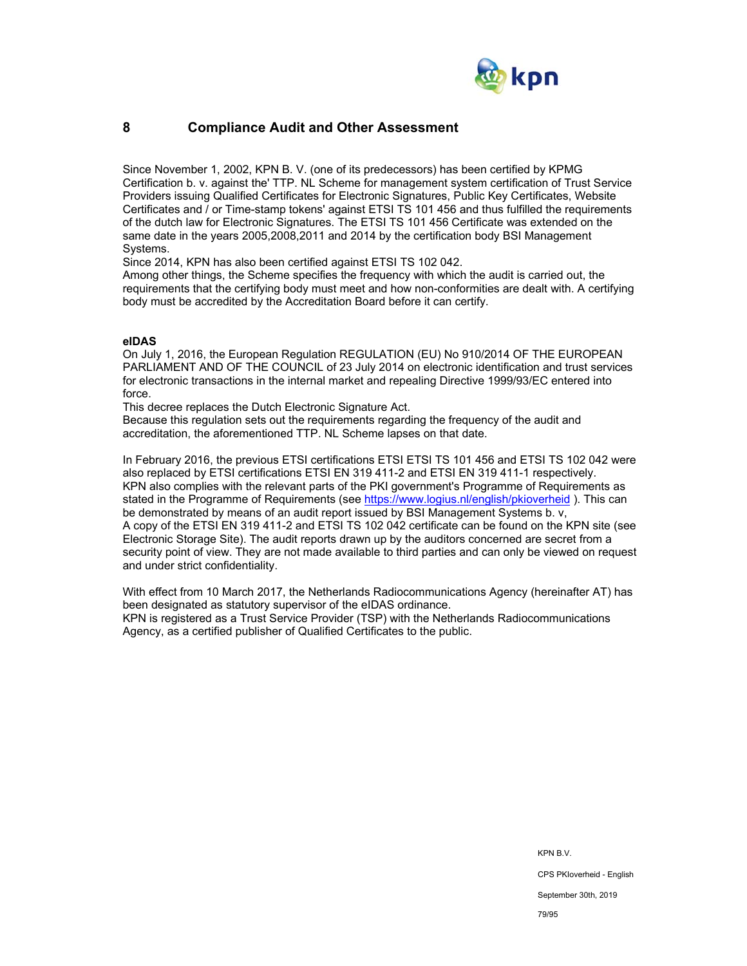

# **8 Compliance Audit and Other Assessment**

Since November 1, 2002, KPN B. V. (one of its predecessors) has been certified by KPMG Certification b. v. against the' TTP. NL Scheme for management system certification of Trust Service Providers issuing Qualified Certificates for Electronic Signatures, Public Key Certificates, Website Certificates and / or Time-stamp tokens' against ETSI TS 101 456 and thus fulfilled the requirements of the dutch law for Electronic Signatures. The ETSI TS 101 456 Certificate was extended on the same date in the years 2005,2008,2011 and 2014 by the certification body BSI Management Systems.

Since 2014, KPN has also been certified against ETSI TS 102 042.

Among other things, the Scheme specifies the frequency with which the audit is carried out, the requirements that the certifying body must meet and how non-conformities are dealt with. A certifying body must be accredited by the Accreditation Board before it can certify.

## **eIDAS**

On July 1, 2016, the European Regulation REGULATION (EU) No 910/2014 OF THE EUROPEAN PARLIAMENT AND OF THE COUNCIL of 23 July 2014 on electronic identification and trust services for electronic transactions in the internal market and repealing Directive 1999/93/EC entered into force.

This decree replaces the Dutch Electronic Signature Act.

Because this regulation sets out the requirements regarding the frequency of the audit and accreditation, the aforementioned TTP. NL Scheme lapses on that date.

In February 2016, the previous ETSI certifications ETSI ETSI TS 101 456 and ETSI TS 102 042 were also replaced by ETSI certifications ETSI EN 319 411-2 and ETSI EN 319 411-1 respectively. KPN also complies with the relevant parts of the PKI government's Programme of Requirements as stated in the Programme of Requirements (see https://www.logius.nl/english/pkioverheid ). This can be demonstrated by means of an audit report issued by BSI Management Systems b. v, A copy of the ETSI EN 319 411-2 and ETSI TS 102 042 certificate can be found on the KPN site (see Electronic Storage Site). The audit reports drawn up by the auditors concerned are secret from a security point of view. They are not made available to third parties and can only be viewed on request and under strict confidentiality.

With effect from 10 March 2017, the Netherlands Radiocommunications Agency (hereinafter AT) has been designated as statutory supervisor of the eIDAS ordinance. KPN is registered as a Trust Service Provider (TSP) with the Netherlands Radiocommunications Agency, as a certified publisher of Qualified Certificates to the public.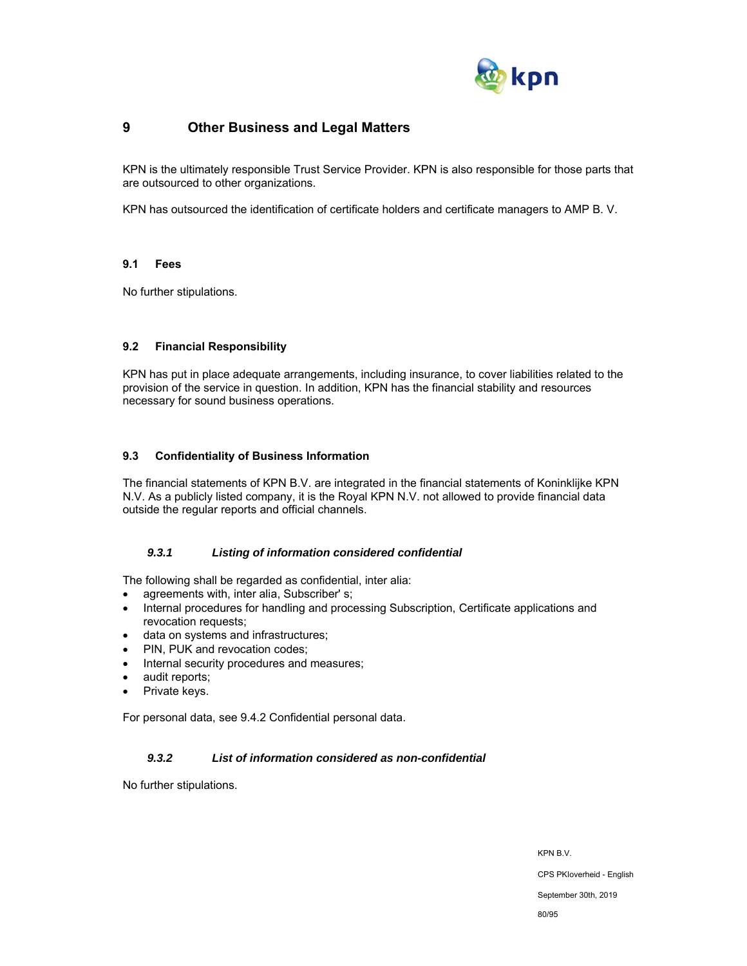

# **9 Other Business and Legal Matters**

KPN is the ultimately responsible Trust Service Provider. KPN is also responsible for those parts that are outsourced to other organizations.

KPN has outsourced the identification of certificate holders and certificate managers to AMP B. V.

## **9.1 Fees**

No further stipulations.

## **9.2 Financial Responsibility**

KPN has put in place adequate arrangements, including insurance, to cover liabilities related to the provision of the service in question. In addition, KPN has the financial stability and resources necessary for sound business operations.

# **9.3 Confidentiality of Business Information**

The financial statements of KPN B.V. are integrated in the financial statements of Koninklijke KPN N.V. As a publicly listed company, it is the Royal KPN N.V. not allowed to provide financial data outside the regular reports and official channels.

# *9.3.1 Listing of information considered confidential*

The following shall be regarded as confidential, inter alia:

- agreements with, inter alia, Subscriber' s;
- Internal procedures for handling and processing Subscription, Certificate applications and revocation requests;
- data on systems and infrastructures;
- PIN, PUK and revocation codes;
- Internal security procedures and measures;
- audit reports;
- Private keys.

For personal data, see 9.4.2 Confidential personal data.

# *9.3.2 List of information considered as non-confidential*

No further stipulations.

KPN B.V.

CPS PKIoverheid - English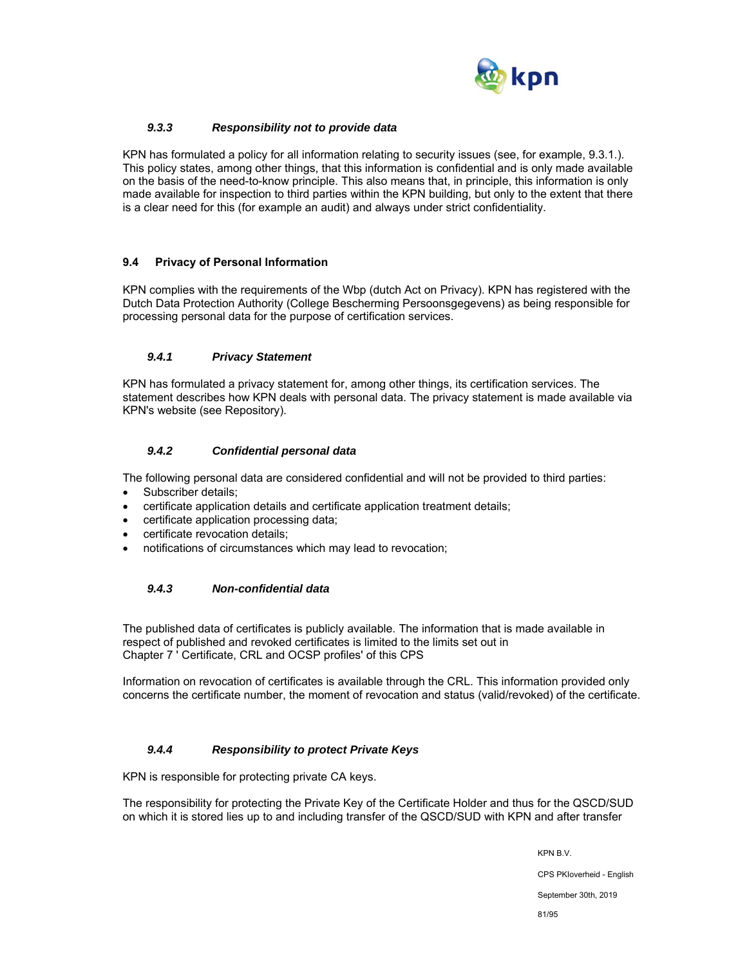

# *9.3.3 Responsibility not to provide data*

KPN has formulated a policy for all information relating to security issues (see, for example, 9.3.1.). This policy states, among other things, that this information is confidential and is only made available on the basis of the need-to-know principle. This also means that, in principle, this information is only made available for inspection to third parties within the KPN building, but only to the extent that there is a clear need for this (for example an audit) and always under strict confidentiality.

## **9.4 Privacy of Personal Information**

KPN complies with the requirements of the Wbp (dutch Act on Privacy). KPN has registered with the Dutch Data Protection Authority (College Bescherming Persoonsgegevens) as being responsible for processing personal data for the purpose of certification services.

## *9.4.1 Privacy Statement*

KPN has formulated a privacy statement for, among other things, its certification services. The statement describes how KPN deals with personal data. The privacy statement is made available via KPN's website (see Repository).

## *9.4.2 Confidential personal data*

The following personal data are considered confidential and will not be provided to third parties:

- Subscriber details;
- certificate application details and certificate application treatment details;
- certificate application processing data;
- certificate revocation details;
- notifications of circumstances which may lead to revocation;

# *9.4.3 Non-confidential data*

The published data of certificates is publicly available. The information that is made available in respect of published and revoked certificates is limited to the limits set out in Chapter 7 ' Certificate, CRL and OCSP profiles' of this CPS

Information on revocation of certificates is available through the CRL. This information provided only concerns the certificate number, the moment of revocation and status (valid/revoked) of the certificate.

# *9.4.4 Responsibility to protect Private Keys*

KPN is responsible for protecting private CA keys.

The responsibility for protecting the Private Key of the Certificate Holder and thus for the QSCD/SUD on which it is stored lies up to and including transfer of the QSCD/SUD with KPN and after transfer

KPN B.V.

CPS PKIoverheid - English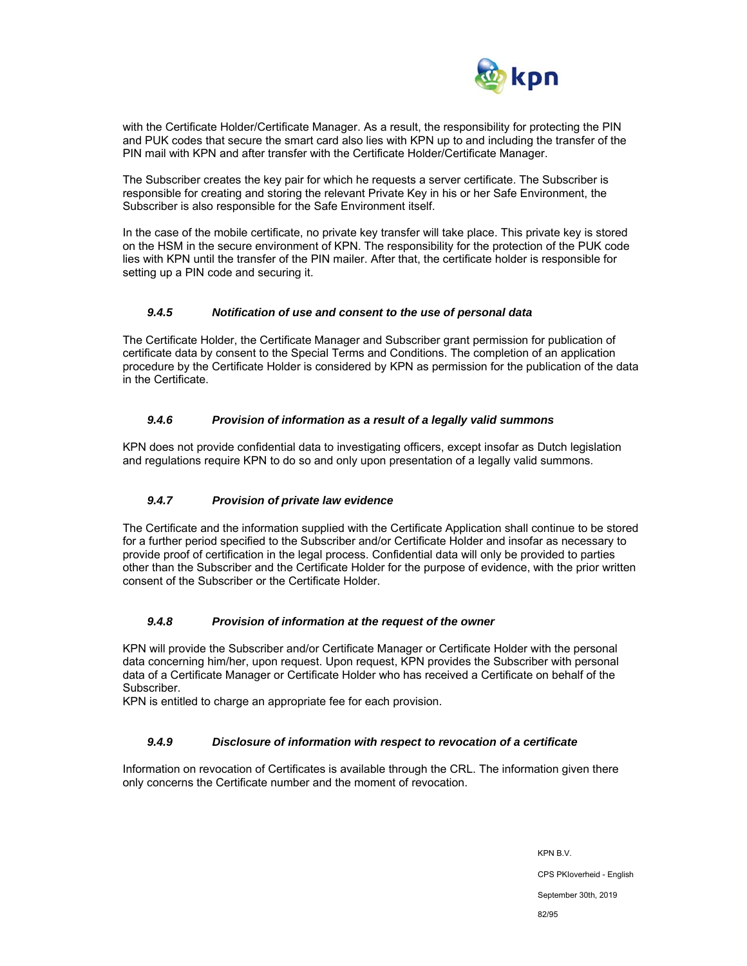

with the Certificate Holder/Certificate Manager. As a result, the responsibility for protecting the PIN and PUK codes that secure the smart card also lies with KPN up to and including the transfer of the PIN mail with KPN and after transfer with the Certificate Holder/Certificate Manager.

The Subscriber creates the key pair for which he requests a server certificate. The Subscriber is responsible for creating and storing the relevant Private Key in his or her Safe Environment, the Subscriber is also responsible for the Safe Environment itself.

In the case of the mobile certificate, no private key transfer will take place. This private key is stored on the HSM in the secure environment of KPN. The responsibility for the protection of the PUK code lies with KPN until the transfer of the PIN mailer. After that, the certificate holder is responsible for setting up a PIN code and securing it.

# *9.4.5 Notification of use and consent to the use of personal data*

The Certificate Holder, the Certificate Manager and Subscriber grant permission for publication of certificate data by consent to the Special Terms and Conditions. The completion of an application procedure by the Certificate Holder is considered by KPN as permission for the publication of the data in the Certificate.

## *9.4.6 Provision of information as a result of a legally valid summons*

KPN does not provide confidential data to investigating officers, except insofar as Dutch legislation and regulations require KPN to do so and only upon presentation of a legally valid summons.

# *9.4.7 Provision of private law evidence*

The Certificate and the information supplied with the Certificate Application shall continue to be stored for a further period specified to the Subscriber and/or Certificate Holder and insofar as necessary to provide proof of certification in the legal process. Confidential data will only be provided to parties other than the Subscriber and the Certificate Holder for the purpose of evidence, with the prior written consent of the Subscriber or the Certificate Holder.

#### *9.4.8 Provision of information at the request of the owner*

KPN will provide the Subscriber and/or Certificate Manager or Certificate Holder with the personal data concerning him/her, upon request. Upon request, KPN provides the Subscriber with personal data of a Certificate Manager or Certificate Holder who has received a Certificate on behalf of the Subscriber.

KPN is entitled to charge an appropriate fee for each provision.

#### *9.4.9 Disclosure of information with respect to revocation of a certificate*

Information on revocation of Certificates is available through the CRL. The information given there only concerns the Certificate number and the moment of revocation.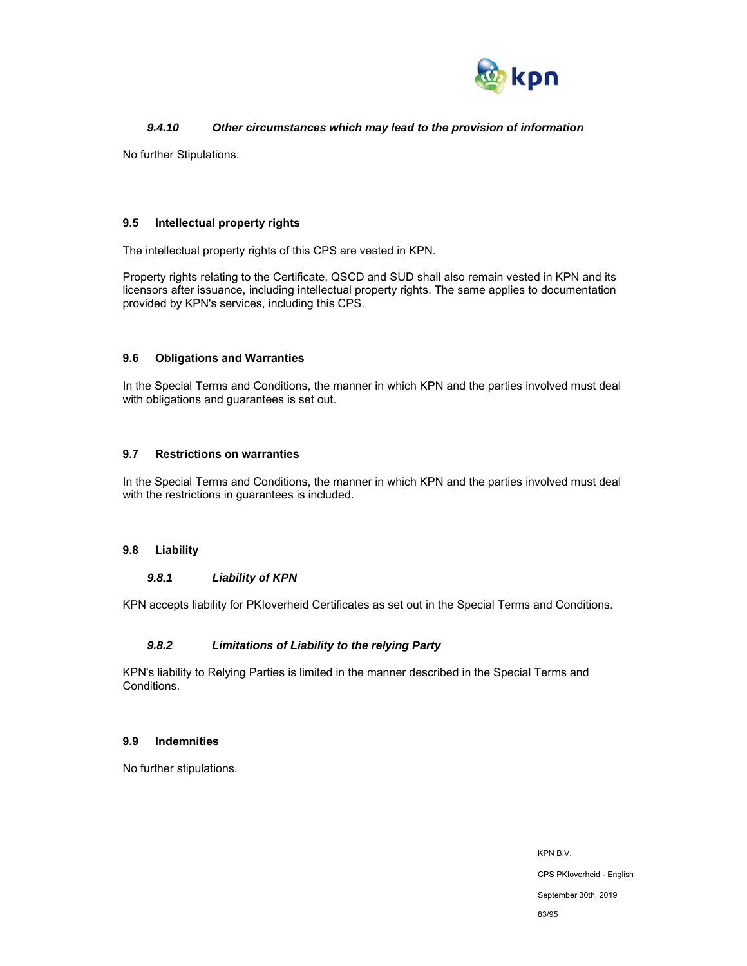

# *9.4.10 Other circumstances which may lead to the provision of information*

No further Stipulations.

## **9.5 Intellectual property rights**

The intellectual property rights of this CPS are vested in KPN.

Property rights relating to the Certificate, QSCD and SUD shall also remain vested in KPN and its licensors after issuance, including intellectual property rights. The same applies to documentation provided by KPN's services, including this CPS.

## **9.6 Obligations and Warranties**

In the Special Terms and Conditions, the manner in which KPN and the parties involved must deal with obligations and guarantees is set out.

## **9.7 Restrictions on warranties**

In the Special Terms and Conditions, the manner in which KPN and the parties involved must deal with the restrictions in guarantees is included.

#### **9.8 Liability**

## *9.8.1 Liability of KPN*

KPN accepts liability for PKIoverheid Certificates as set out in the Special Terms and Conditions.

#### *9.8.2 Limitations of Liability to the relying Party*

KPN's liability to Relying Parties is limited in the manner described in the Special Terms and Conditions.

### **9.9 Indemnities**

No further stipulations.

KPN B.V. CPS PKIoverheid - English September 30th, 2019 83/95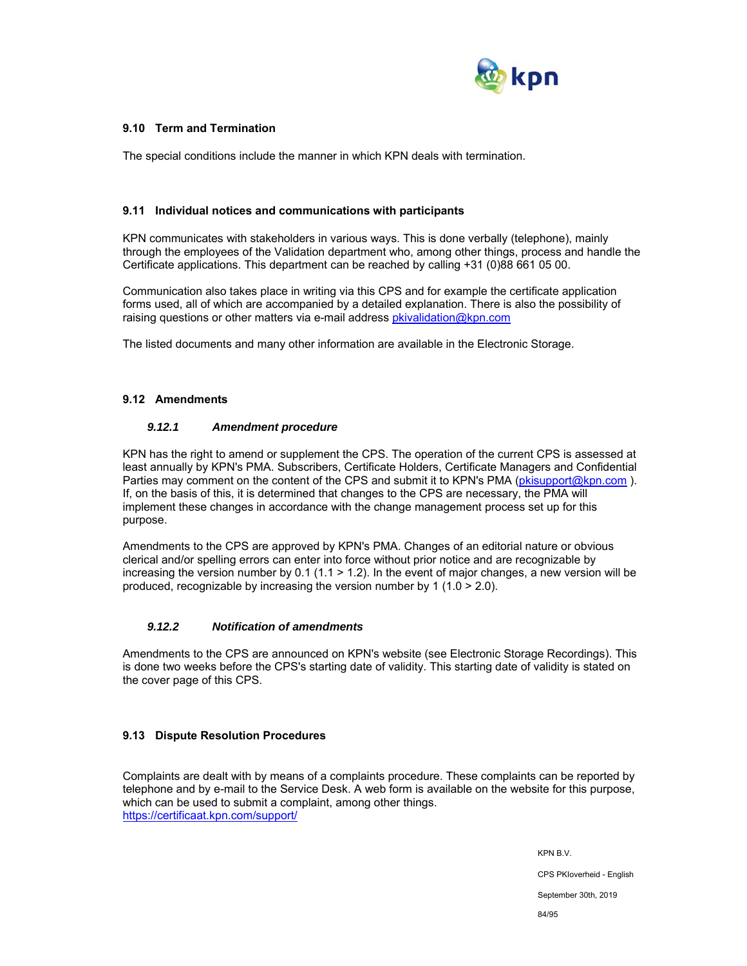

## **9.10 Term and Termination**

The special conditions include the manner in which KPN deals with termination.

### **9.11 Individual notices and communications with participants**

KPN communicates with stakeholders in various ways. This is done verbally (telephone), mainly through the employees of the Validation department who, among other things, process and handle the Certificate applications. This department can be reached by calling +31 (0)88 661 05 00.

Communication also takes place in writing via this CPS and for example the certificate application forms used, all of which are accompanied by a detailed explanation. There is also the possibility of raising questions or other matters via e-mail address pkivalidation@kpn.com

The listed documents and many other information are available in the Electronic Storage.

#### **9.12 Amendments**

#### *9.12.1 Amendment procedure*

KPN has the right to amend or supplement the CPS. The operation of the current CPS is assessed at least annually by KPN's PMA. Subscribers, Certificate Holders, Certificate Managers and Confidential Parties may comment on the content of the CPS and submit it to KPN's PMA (pkisupport@kpn.com). If, on the basis of this, it is determined that changes to the CPS are necessary, the PMA will implement these changes in accordance with the change management process set up for this purpose.

Amendments to the CPS are approved by KPN's PMA. Changes of an editorial nature or obvious clerical and/or spelling errors can enter into force without prior notice and are recognizable by increasing the version number by 0.1 (1.1 > 1.2). In the event of major changes, a new version will be produced, recognizable by increasing the version number by 1 (1.0 > 2.0).

#### *9.12.2 Notification of amendments*

Amendments to the CPS are announced on KPN's website (see Electronic Storage Recordings). This is done two weeks before the CPS's starting date of validity. This starting date of validity is stated on the cover page of this CPS.

#### **9.13 Dispute Resolution Procedures**

Complaints are dealt with by means of a complaints procedure. These complaints can be reported by telephone and by e-mail to the Service Desk. A web form is available on the website for this purpose, which can be used to submit a complaint, among other things. https://certificaat.kpn.com/support/

> KPN B.V. CPS PKIoverheid - English September 30th, 2019 84/95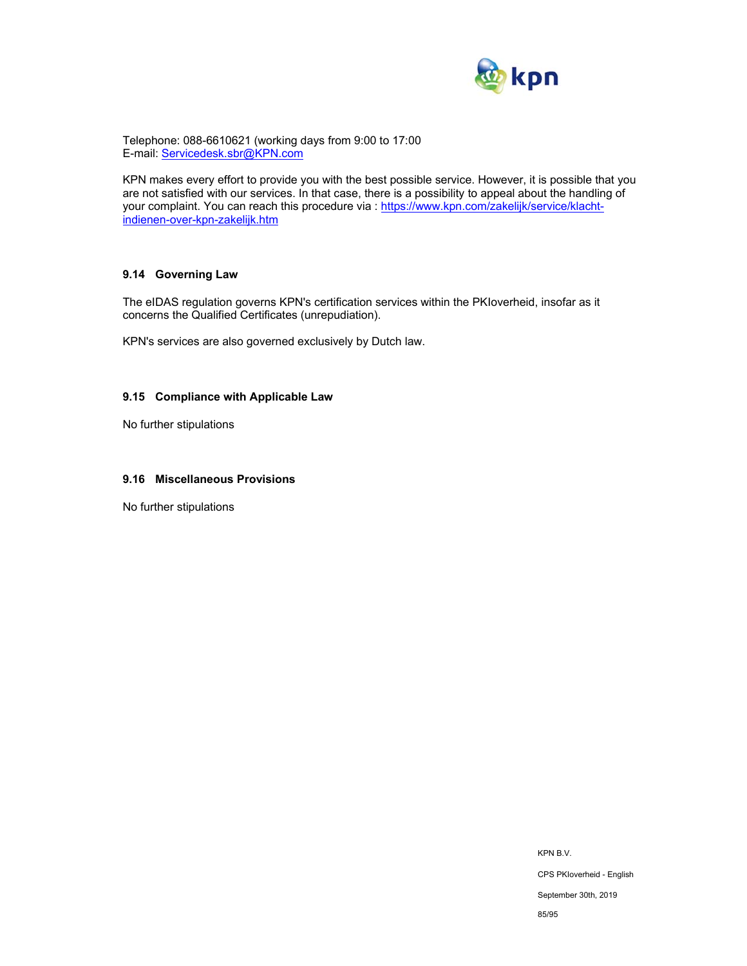

Telephone: 088-6610621 (working days from 9:00 to 17:00 E-mail: Servicedesk.sbr@KPN.com

KPN makes every effort to provide you with the best possible service. However, it is possible that you are not satisfied with our services. In that case, there is a possibility to appeal about the handling of your complaint. You can reach this procedure via : https://www.kpn.com/zakelijk/service/klachtindienen-over-kpn-zakelijk.htm

# **9.14 Governing Law**

The eIDAS regulation governs KPN's certification services within the PKIoverheid, insofar as it concerns the Qualified Certificates (unrepudiation).

KPN's services are also governed exclusively by Dutch law.

# **9.15 Compliance with Applicable Law**

No further stipulations

## **9.16 Miscellaneous Provisions**

No further stipulations

KPN B.V. CPS PKIoverheid - English September 30th, 2019 85/95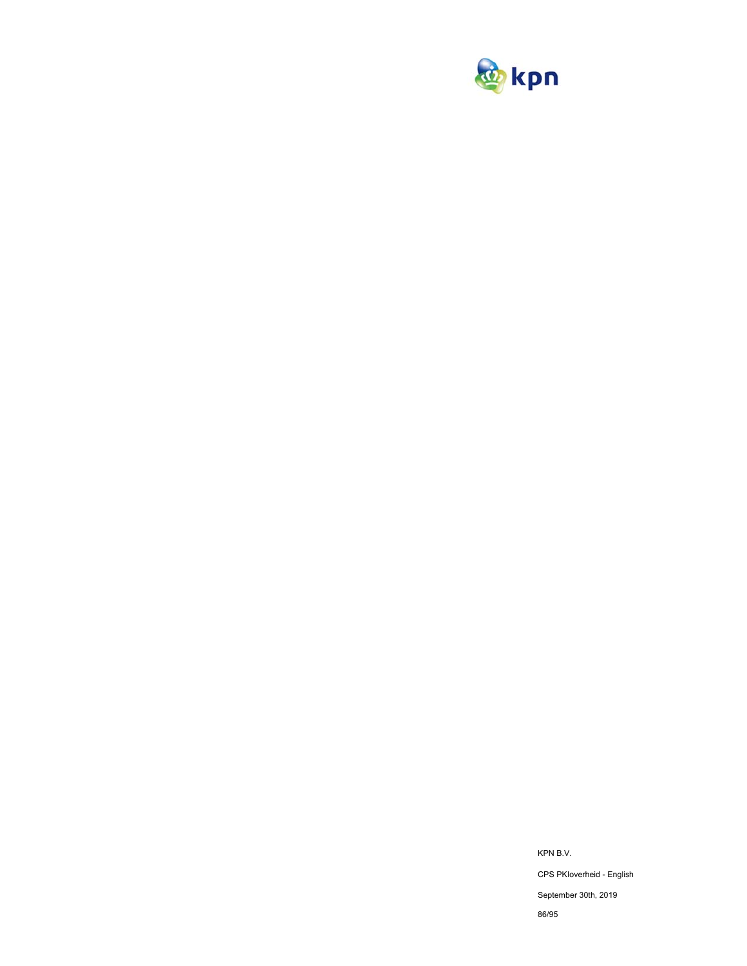

KPN B.V. CPS PKIoverheid - English September 30th, 2019 86/95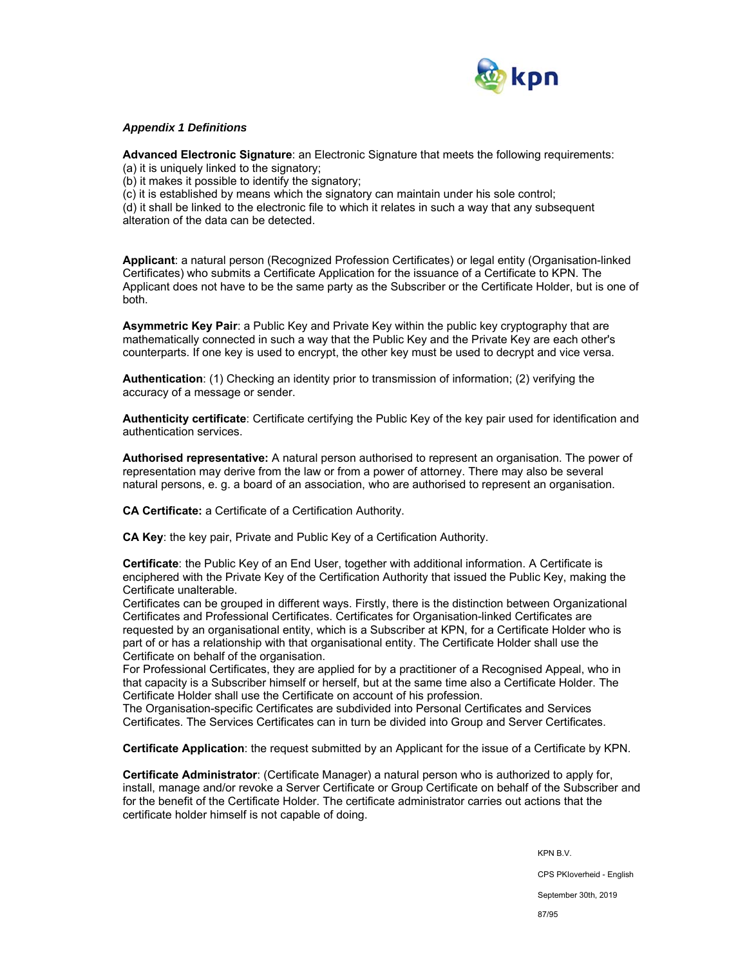

### *Appendix 1 Definitions*

**Advanced Electronic Signature**: an Electronic Signature that meets the following requirements: (a) it is uniquely linked to the signatory;

(b) it makes it possible to identify the signatory;

(c) it is established by means which the signatory can maintain under his sole control;

(d) it shall be linked to the electronic file to which it relates in such a way that any subsequent alteration of the data can be detected.

**Applicant**: a natural person (Recognized Profession Certificates) or legal entity (Organisation-linked Certificates) who submits a Certificate Application for the issuance of a Certificate to KPN. The Applicant does not have to be the same party as the Subscriber or the Certificate Holder, but is one of both.

**Asymmetric Key Pair**: a Public Key and Private Key within the public key cryptography that are mathematically connected in such a way that the Public Key and the Private Key are each other's counterparts. If one key is used to encrypt, the other key must be used to decrypt and vice versa.

**Authentication**: (1) Checking an identity prior to transmission of information; (2) verifying the accuracy of a message or sender.

**Authenticity certificate**: Certificate certifying the Public Key of the key pair used for identification and authentication services.

**Authorised representative:** A natural person authorised to represent an organisation. The power of representation may derive from the law or from a power of attorney. There may also be several natural persons, e. g. a board of an association, who are authorised to represent an organisation.

**CA Certificate:** a Certificate of a Certification Authority.

**CA Key**: the key pair, Private and Public Key of a Certification Authority.

**Certificate**: the Public Key of an End User, together with additional information. A Certificate is enciphered with the Private Key of the Certification Authority that issued the Public Key, making the Certificate unalterable.

Certificates can be grouped in different ways. Firstly, there is the distinction between Organizational Certificates and Professional Certificates. Certificates for Organisation-linked Certificates are requested by an organisational entity, which is a Subscriber at KPN, for a Certificate Holder who is part of or has a relationship with that organisational entity. The Certificate Holder shall use the Certificate on behalf of the organisation.

For Professional Certificates, they are applied for by a practitioner of a Recognised Appeal, who in that capacity is a Subscriber himself or herself, but at the same time also a Certificate Holder. The Certificate Holder shall use the Certificate on account of his profession.

The Organisation-specific Certificates are subdivided into Personal Certificates and Services Certificates. The Services Certificates can in turn be divided into Group and Server Certificates.

**Certificate Application**: the request submitted by an Applicant for the issue of a Certificate by KPN.

**Certificate Administrator**: (Certificate Manager) a natural person who is authorized to apply for, install, manage and/or revoke a Server Certificate or Group Certificate on behalf of the Subscriber and for the benefit of the Certificate Holder. The certificate administrator carries out actions that the certificate holder himself is not capable of doing.

KPN B.V.

CPS PKIoverheid - English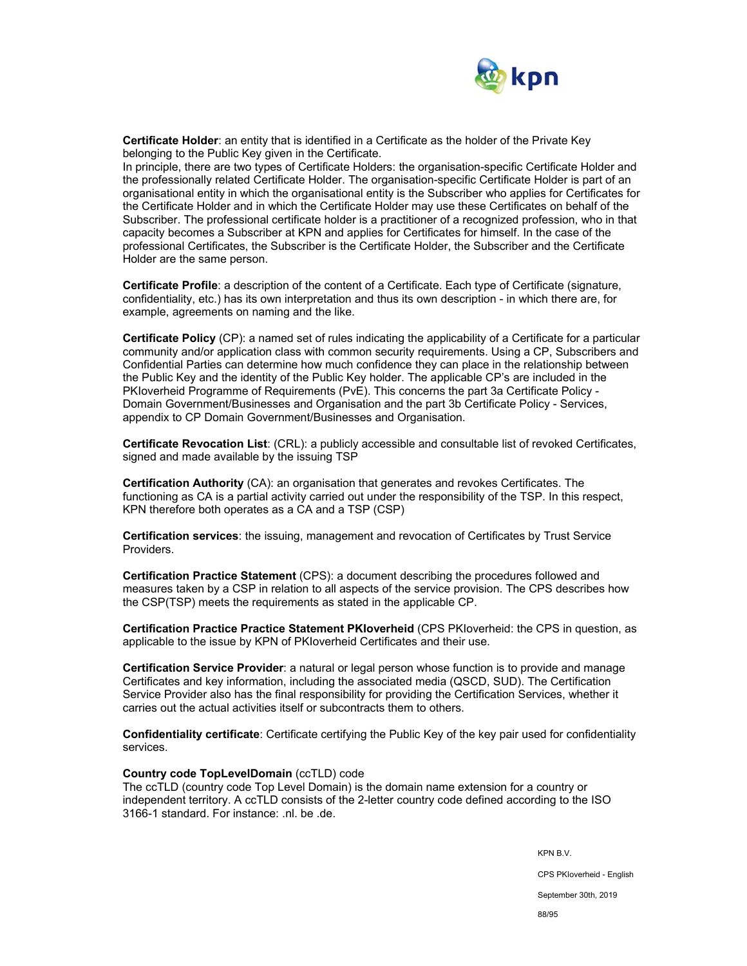

**Certificate Holder**: an entity that is identified in a Certificate as the holder of the Private Key belonging to the Public Key given in the Certificate.

In principle, there are two types of Certificate Holders: the organisation-specific Certificate Holder and the professionally related Certificate Holder. The organisation-specific Certificate Holder is part of an organisational entity in which the organisational entity is the Subscriber who applies for Certificates for the Certificate Holder and in which the Certificate Holder may use these Certificates on behalf of the Subscriber. The professional certificate holder is a practitioner of a recognized profession, who in that capacity becomes a Subscriber at KPN and applies for Certificates for himself. In the case of the professional Certificates, the Subscriber is the Certificate Holder, the Subscriber and the Certificate Holder are the same person.

**Certificate Profile**: a description of the content of a Certificate. Each type of Certificate (signature, confidentiality, etc.) has its own interpretation and thus its own description - in which there are, for example, agreements on naming and the like.

**Certificate Policy** (CP): a named set of rules indicating the applicability of a Certificate for a particular community and/or application class with common security requirements. Using a CP, Subscribers and Confidential Parties can determine how much confidence they can place in the relationship between the Public Key and the identity of the Public Key holder. The applicable CP's are included in the PKIoverheid Programme of Requirements (PvE). This concerns the part 3a Certificate Policy - Domain Government/Businesses and Organisation and the part 3b Certificate Policy - Services, appendix to CP Domain Government/Businesses and Organisation.

**Certificate Revocation List**: (CRL): a publicly accessible and consultable list of revoked Certificates, signed and made available by the issuing TSP

**Certification Authority** (CA): an organisation that generates and revokes Certificates. The functioning as CA is a partial activity carried out under the responsibility of the TSP. In this respect, KPN therefore both operates as a CA and a TSP (CSP)

**Certification services**: the issuing, management and revocation of Certificates by Trust Service Providers.

**Certification Practice Statement** (CPS): a document describing the procedures followed and measures taken by a CSP in relation to all aspects of the service provision. The CPS describes how the CSP(TSP) meets the requirements as stated in the applicable CP.

**Certification Practice Practice Statement PKIoverheid** (CPS PKIoverheid: the CPS in question, as applicable to the issue by KPN of PKIoverheid Certificates and their use.

**Certification Service Provider**: a natural or legal person whose function is to provide and manage Certificates and key information, including the associated media (QSCD, SUD). The Certification Service Provider also has the final responsibility for providing the Certification Services, whether it carries out the actual activities itself or subcontracts them to others.

**Confidentiality certificate**: Certificate certifying the Public Key of the key pair used for confidentiality services.

#### **Country code TopLevelDomain** (ccTLD) code

The ccTLD (country code Top Level Domain) is the domain name extension for a country or independent territory. A ccTLD consists of the 2-letter country code defined according to the ISO 3166-1 standard. For instance: .nl. be .de.

KPN B.V.

CPS PKIoverheid - English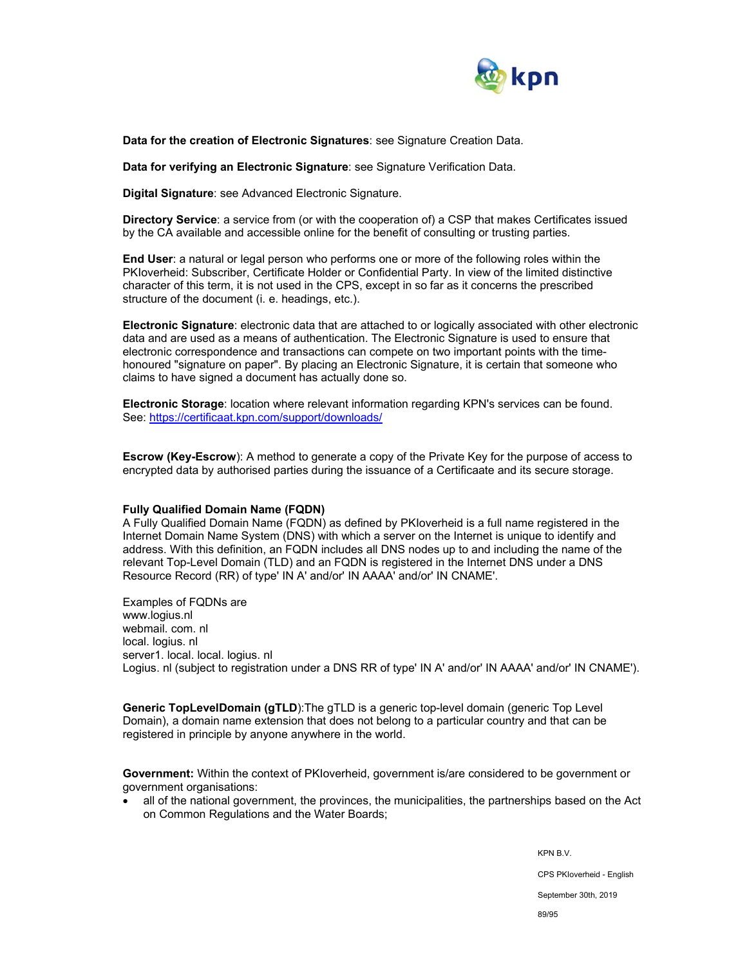

**Data for the creation of Electronic Signatures**: see Signature Creation Data.

**Data for verifying an Electronic Signature**: see Signature Verification Data.

**Digital Signature**: see Advanced Electronic Signature.

**Directory Service**: a service from (or with the cooperation of) a CSP that makes Certificates issued by the CA available and accessible online for the benefit of consulting or trusting parties.

**End User**: a natural or legal person who performs one or more of the following roles within the PKIoverheid: Subscriber, Certificate Holder or Confidential Party. In view of the limited distinctive character of this term, it is not used in the CPS, except in so far as it concerns the prescribed structure of the document (i. e. headings, etc.).

**Electronic Signature**: electronic data that are attached to or logically associated with other electronic data and are used as a means of authentication. The Electronic Signature is used to ensure that electronic correspondence and transactions can compete on two important points with the timehonoured "signature on paper". By placing an Electronic Signature, it is certain that someone who claims to have signed a document has actually done so.

**Electronic Storage**: location where relevant information regarding KPN's services can be found. See: https://certificaat.kpn.com/support/downloads/

**Escrow (Key-Escrow**): A method to generate a copy of the Private Key for the purpose of access to encrypted data by authorised parties during the issuance of a Certificaate and its secure storage.

#### **Fully Qualified Domain Name (FQDN)**

A Fully Qualified Domain Name (FQDN) as defined by PKIoverheid is a full name registered in the Internet Domain Name System (DNS) with which a server on the Internet is unique to identify and address. With this definition, an FQDN includes all DNS nodes up to and including the name of the relevant Top-Level Domain (TLD) and an FQDN is registered in the Internet DNS under a DNS Resource Record (RR) of type' IN A' and/or' IN AAAA' and/or' IN CNAME'.

Examples of FQDNs are www.logius.nl webmail. com. nl local. logius. nl server1. local. local. logius. nl Logius. nl (subject to registration under a DNS RR of type' IN A' and/or' IN AAAA' and/or' IN CNAME').

**Generic TopLevelDomain (gTLD**):The gTLD is a generic top-level domain (generic Top Level Domain), a domain name extension that does not belong to a particular country and that can be registered in principle by anyone anywhere in the world.

**Government:** Within the context of PKIoverheid, government is/are considered to be government or government organisations:

• all of the national government, the provinces, the municipalities, the partnerships based on the Act on Common Regulations and the Water Boards;

KPN B.V.

CPS PKIoverheid - English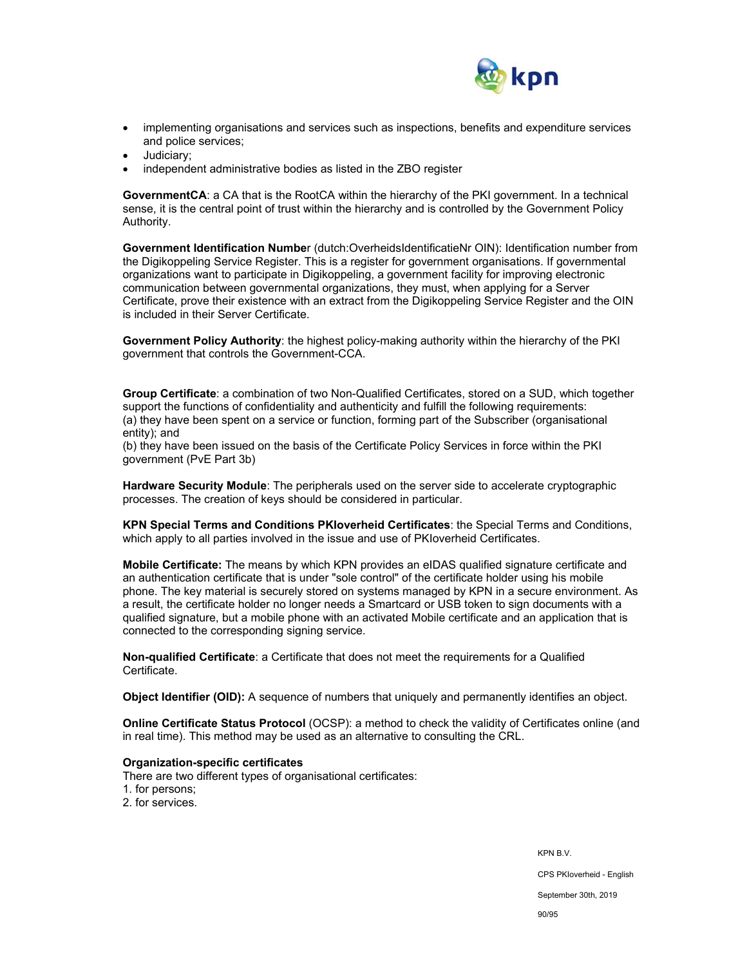

- implementing organisations and services such as inspections, benefits and expenditure services and police services;
- Judiciary;
- independent administrative bodies as listed in the ZBO register

**GovernmentCA**: a CA that is the RootCA within the hierarchy of the PKI government. In a technical sense, it is the central point of trust within the hierarchy and is controlled by the Government Policy Authority.

**Government Identification Numbe**r (dutch:OverheidsIdentificatieNr OIN): Identification number from the Digikoppeling Service Register. This is a register for government organisations. If governmental organizations want to participate in Digikoppeling, a government facility for improving electronic communication between governmental organizations, they must, when applying for a Server Certificate, prove their existence with an extract from the Digikoppeling Service Register and the OIN is included in their Server Certificate.

**Government Policy Authority**: the highest policy-making authority within the hierarchy of the PKI government that controls the Government-CCA.

**Group Certificate**: a combination of two Non-Qualified Certificates, stored on a SUD, which together support the functions of confidentiality and authenticity and fulfill the following requirements: (a) they have been spent on a service or function, forming part of the Subscriber (organisational entity); and

(b) they have been issued on the basis of the Certificate Policy Services in force within the PKI government (PvE Part 3b)

**Hardware Security Module**: The peripherals used on the server side to accelerate cryptographic processes. The creation of keys should be considered in particular.

**KPN Special Terms and Conditions PKIoverheid Certificates**: the Special Terms and Conditions, which apply to all parties involved in the issue and use of PKIoverheid Certificates.

**Mobile Certificate:** The means by which KPN provides an eIDAS qualified signature certificate and an authentication certificate that is under "sole control" of the certificate holder using his mobile phone. The key material is securely stored on systems managed by KPN in a secure environment. As a result, the certificate holder no longer needs a Smartcard or USB token to sign documents with a qualified signature, but a mobile phone with an activated Mobile certificate and an application that is connected to the corresponding signing service.

**Non-qualified Certificate**: a Certificate that does not meet the requirements for a Qualified Certificate.

**Object Identifier (OID):** A sequence of numbers that uniquely and permanently identifies an object.

**Online Certificate Status Protocol** (OCSP): a method to check the validity of Certificates online (and in real time). This method may be used as an alternative to consulting the CRL.

#### **Organization-specific certificates**

There are two different types of organisational certificates:

- 1. for persons;
- 2. for services.

KPN B.V. CPS PKIoverheid - English September 30th, 2019 90/95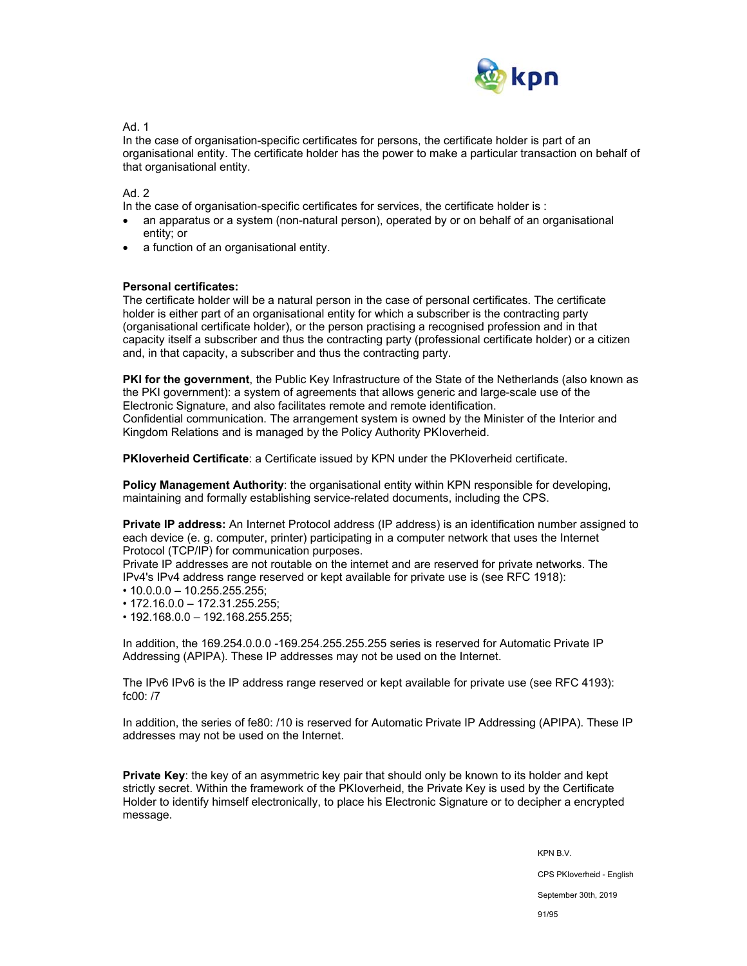

Ad. 1

In the case of organisation-specific certificates for persons, the certificate holder is part of an organisational entity. The certificate holder has the power to make a particular transaction on behalf of that organisational entity.

Ad. 2

In the case of organisation-specific certificates for services, the certificate holder is :

- an apparatus or a system (non-natural person), operated by or on behalf of an organisational entity; or
- a function of an organisational entity.

## **Personal certificates:**

The certificate holder will be a natural person in the case of personal certificates. The certificate holder is either part of an organisational entity for which a subscriber is the contracting party (organisational certificate holder), or the person practising a recognised profession and in that capacity itself a subscriber and thus the contracting party (professional certificate holder) or a citizen and, in that capacity, a subscriber and thus the contracting party.

**PKI for the government**, the Public Key Infrastructure of the State of the Netherlands (also known as the PKI government): a system of agreements that allows generic and large-scale use of the Electronic Signature, and also facilitates remote and remote identification. Confidential communication. The arrangement system is owned by the Minister of the Interior and Kingdom Relations and is managed by the Policy Authority PKIoverheid.

**PKIoverheid Certificate**: a Certificate issued by KPN under the PKIoverheid certificate.

**Policy Management Authority**: the organisational entity within KPN responsible for developing, maintaining and formally establishing service-related documents, including the CPS.

**Private IP address:** An Internet Protocol address (IP address) is an identification number assigned to each device (e. g. computer, printer) participating in a computer network that uses the Internet Protocol (TCP/IP) for communication purposes.

Private IP addresses are not routable on the internet and are reserved for private networks. The IPv4's IPv4 address range reserved or kept available for private use is (see RFC 1918):

- $\cdot$  10.0.0.0 10.255.255.255;
- 172.16.0.0 172.31.255.255;
- 192.168.0.0 192.168.255.255;

In addition, the 169.254.0.0.0 -169.254.255.255.255 series is reserved for Automatic Private IP Addressing (APIPA). These IP addresses may not be used on the Internet.

The IPv6 IPv6 is the IP address range reserved or kept available for private use (see RFC 4193): fc00: /7

In addition, the series of fe80: /10 is reserved for Automatic Private IP Addressing (APIPA). These IP addresses may not be used on the Internet.

**Private Key**: the key of an asymmetric key pair that should only be known to its holder and kept strictly secret. Within the framework of the PKIoverheid, the Private Key is used by the Certificate Holder to identify himself electronically, to place his Electronic Signature or to decipher a encrypted message.

KPN B.V.

CPS PKIoverheid - English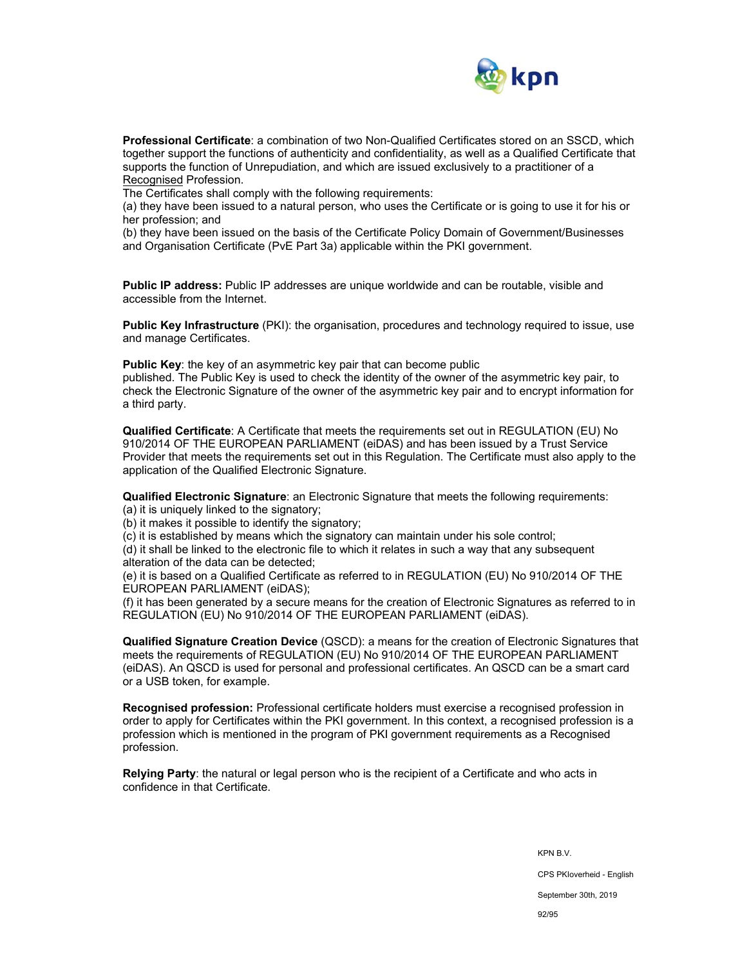

**Professional Certificate**: a combination of two Non-Qualified Certificates stored on an SSCD, which together support the functions of authenticity and confidentiality, as well as a Qualified Certificate that supports the function of Unrepudiation, and which are issued exclusively to a practitioner of a Recognised Profession.

The Certificates shall comply with the following requirements:

(a) they have been issued to a natural person, who uses the Certificate or is going to use it for his or her profession; and

(b) they have been issued on the basis of the Certificate Policy Domain of Government/Businesses and Organisation Certificate (PvE Part 3a) applicable within the PKI government.

**Public IP address:** Public IP addresses are unique worldwide and can be routable, visible and accessible from the Internet.

**Public Key Infrastructure** (PKI): the organisation, procedures and technology required to issue, use and manage Certificates.

**Public Key:** the key of an asymmetric key pair that can become public published. The Public Key is used to check the identity of the owner of the asymmetric key pair, to check the Electronic Signature of the owner of the asymmetric key pair and to encrypt information for a third party.

**Qualified Certificate**: A Certificate that meets the requirements set out in REGULATION (EU) No 910/2014 OF THE EUROPEAN PARLIAMENT (eiDAS) and has been issued by a Trust Service Provider that meets the requirements set out in this Regulation. The Certificate must also apply to the application of the Qualified Electronic Signature.

**Qualified Electronic Signature**: an Electronic Signature that meets the following requirements:

(a) it is uniquely linked to the signatory;

(b) it makes it possible to identify the signatory;

(c) it is established by means which the signatory can maintain under his sole control;

(d) it shall be linked to the electronic file to which it relates in such a way that any subsequent alteration of the data can be detected;

(e) it is based on a Qualified Certificate as referred to in REGULATION (EU) No 910/2014 OF THE EUROPEAN PARLIAMENT (eiDAS);

(f) it has been generated by a secure means for the creation of Electronic Signatures as referred to in REGULATION (EU) No 910/2014 OF THE EUROPEAN PARLIAMENT (eiDAS).

**Qualified Signature Creation Device** (QSCD): a means for the creation of Electronic Signatures that meets the requirements of REGULATION (EU) No 910/2014 OF THE EUROPEAN PARLIAMENT (eiDAS). An QSCD is used for personal and professional certificates. An QSCD can be a smart card or a USB token, for example.

**Recognised profession:** Professional certificate holders must exercise a recognised profession in order to apply for Certificates within the PKI government. In this context, a recognised profession is a profession which is mentioned in the program of PKI government requirements as a Recognised profession.

**Relying Party**: the natural or legal person who is the recipient of a Certificate and who acts in confidence in that Certificate.

> KPN B.V. CPS PKIoverheid - English September 30th, 2019 92/95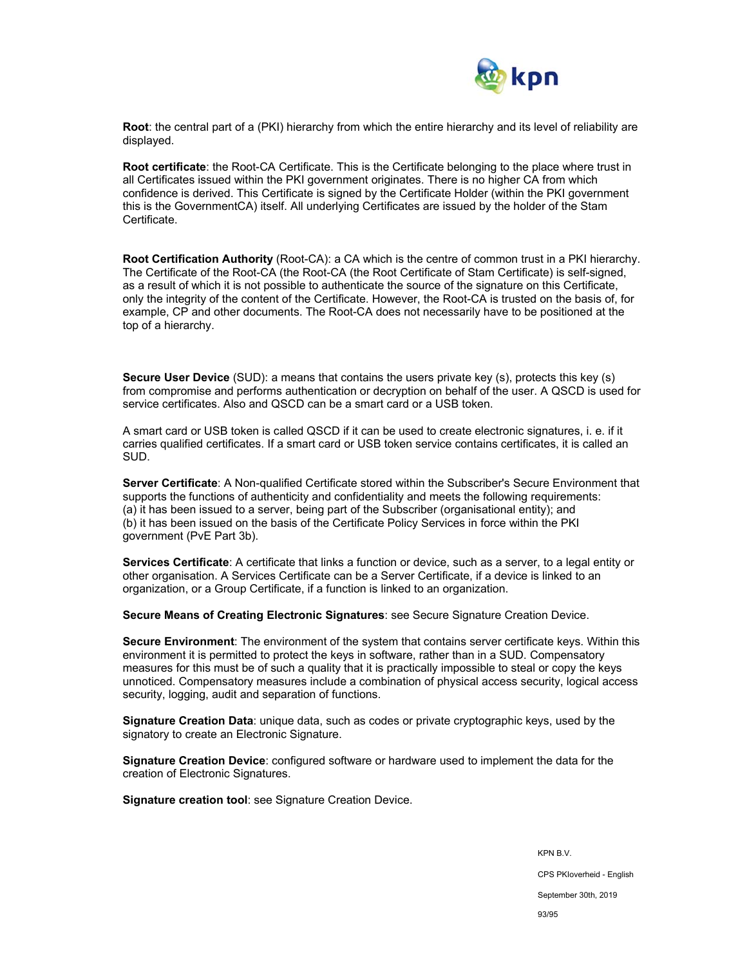

**Root**: the central part of a (PKI) hierarchy from which the entire hierarchy and its level of reliability are displayed.

**Root certificate**: the Root-CA Certificate. This is the Certificate belonging to the place where trust in all Certificates issued within the PKI government originates. There is no higher CA from which confidence is derived. This Certificate is signed by the Certificate Holder (within the PKI government this is the GovernmentCA) itself. All underlying Certificates are issued by the holder of the Stam Certificate.

**Root Certification Authority** (Root-CA): a CA which is the centre of common trust in a PKI hierarchy. The Certificate of the Root-CA (the Root-CA (the Root Certificate of Stam Certificate) is self-signed, as a result of which it is not possible to authenticate the source of the signature on this Certificate, only the integrity of the content of the Certificate. However, the Root-CA is trusted on the basis of, for example, CP and other documents. The Root-CA does not necessarily have to be positioned at the top of a hierarchy.

**Secure User Device** (SUD): a means that contains the users private key (s), protects this key (s) from compromise and performs authentication or decryption on behalf of the user. A QSCD is used for service certificates. Also and QSCD can be a smart card or a USB token.

A smart card or USB token is called QSCD if it can be used to create electronic signatures, i. e. if it carries qualified certificates. If a smart card or USB token service contains certificates, it is called an SUD.

**Server Certificate**: A Non-qualified Certificate stored within the Subscriber's Secure Environment that supports the functions of authenticity and confidentiality and meets the following requirements: (a) it has been issued to a server, being part of the Subscriber (organisational entity); and (b) it has been issued on the basis of the Certificate Policy Services in force within the PKI government (PvE Part 3b).

**Services Certificate**: A certificate that links a function or device, such as a server, to a legal entity or other organisation. A Services Certificate can be a Server Certificate, if a device is linked to an organization, or a Group Certificate, if a function is linked to an organization.

**Secure Means of Creating Electronic Signatures**: see Secure Signature Creation Device.

**Secure Environment**: The environment of the system that contains server certificate keys. Within this environment it is permitted to protect the keys in software, rather than in a SUD. Compensatory measures for this must be of such a quality that it is practically impossible to steal or copy the keys unnoticed. Compensatory measures include a combination of physical access security, logical access security, logging, audit and separation of functions.

**Signature Creation Data**: unique data, such as codes or private cryptographic keys, used by the signatory to create an Electronic Signature.

**Signature Creation Device**: configured software or hardware used to implement the data for the creation of Electronic Signatures.

**Signature creation tool**: see Signature Creation Device.

KPN B.V. CPS PKIoverheid - English September 30th, 2019 93/95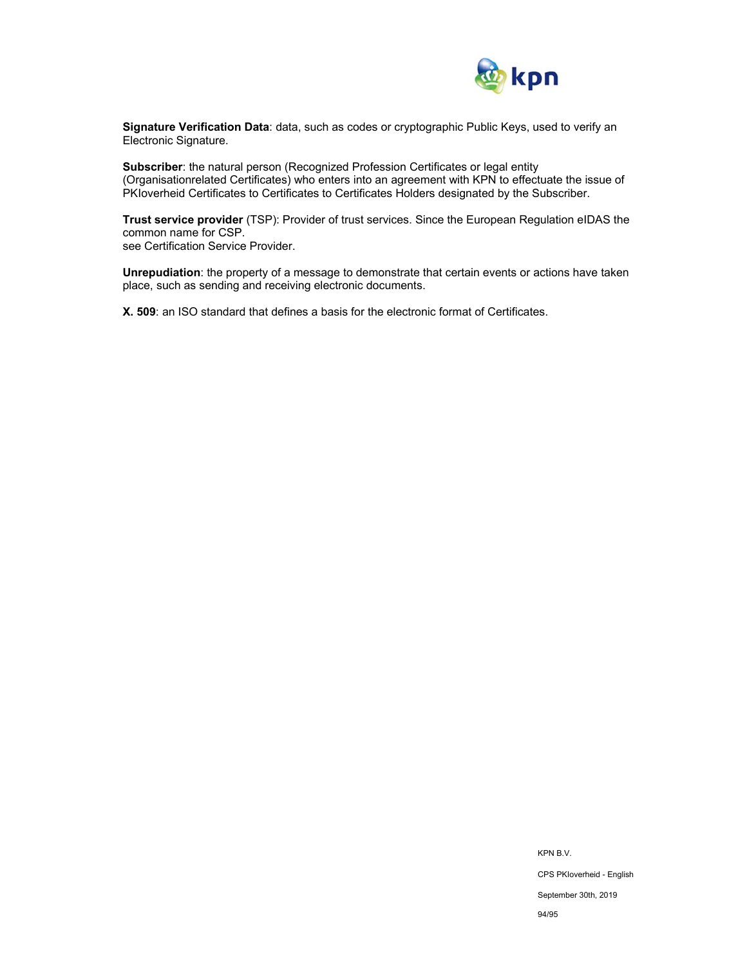

**Signature Verification Data**: data, such as codes or cryptographic Public Keys, used to verify an Electronic Signature.

**Subscriber**: the natural person (Recognized Profession Certificates or legal entity (Organisationrelated Certificates) who enters into an agreement with KPN to effectuate the issue of PKIoverheid Certificates to Certificates to Certificates Holders designated by the Subscriber.

**Trust service provider** (TSP): Provider of trust services. Since the European Regulation eIDAS the common name for CSP.

see Certification Service Provider.

**Unrepudiation**: the property of a message to demonstrate that certain events or actions have taken place, such as sending and receiving electronic documents.

**X. 509**: an ISO standard that defines a basis for the electronic format of Certificates.

KPN B.V. CPS PKIoverheid - English September 30th, 2019 94/95